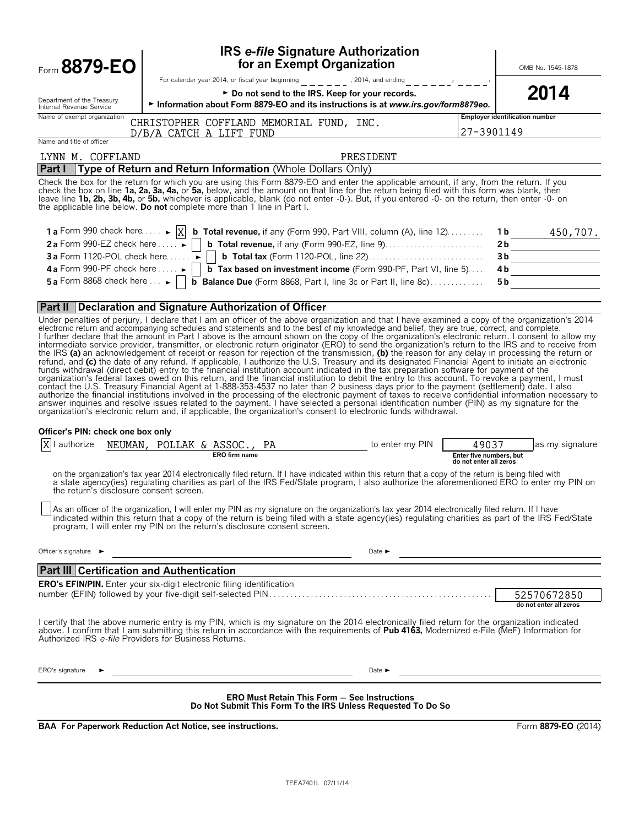| Form 8879-EO                                           |                                                                                                                                                                                                                                                                                                                                                                                                                                                                                                                                                                                                                                                                                                                                                                                                                                                                                                                                                                                                                                                                                                                                                                                                                                                                                                                                                                                                                                                                                                                                                                                                                                   | <b>IRS e-file Signature Authorization</b><br>for an Exempt Organization                                             |                                                   | OMB No. 1545-1878                     |
|--------------------------------------------------------|-----------------------------------------------------------------------------------------------------------------------------------------------------------------------------------------------------------------------------------------------------------------------------------------------------------------------------------------------------------------------------------------------------------------------------------------------------------------------------------------------------------------------------------------------------------------------------------------------------------------------------------------------------------------------------------------------------------------------------------------------------------------------------------------------------------------------------------------------------------------------------------------------------------------------------------------------------------------------------------------------------------------------------------------------------------------------------------------------------------------------------------------------------------------------------------------------------------------------------------------------------------------------------------------------------------------------------------------------------------------------------------------------------------------------------------------------------------------------------------------------------------------------------------------------------------------------------------------------------------------------------------|---------------------------------------------------------------------------------------------------------------------|---------------------------------------------------|---------------------------------------|
|                                                        | For calendar year 2014, or fiscal year beginning $\frac{1}{2} - \frac{1}{2} - \frac{1}{2} = \frac{1}{2}$ , 2014, and ending $\frac{1}{2} - \frac{1}{2} - \frac{1}{2} = \frac{1}{2}$                                                                                                                                                                                                                                                                                                                                                                                                                                                                                                                                                                                                                                                                                                                                                                                                                                                                                                                                                                                                                                                                                                                                                                                                                                                                                                                                                                                                                                               |                                                                                                                     |                                                   |                                       |
| Department of the Treasury<br>Internal Revenue Service | Information about Form 8879-EO and its instructions is at www.irs.gov/form8879eo.                                                                                                                                                                                                                                                                                                                                                                                                                                                                                                                                                                                                                                                                                                                                                                                                                                                                                                                                                                                                                                                                                                                                                                                                                                                                                                                                                                                                                                                                                                                                                 | ► Do not send to the IRS. Keep for your records.                                                                    |                                                   | 2014                                  |
| Name of exempt organization                            | CHRISTOPHER COFFLAND MEMORIAL FUND, INC.                                                                                                                                                                                                                                                                                                                                                                                                                                                                                                                                                                                                                                                                                                                                                                                                                                                                                                                                                                                                                                                                                                                                                                                                                                                                                                                                                                                                                                                                                                                                                                                          |                                                                                                                     |                                                   | <b>Employer identification number</b> |
|                                                        | D/B/A CATCH A LIFT FUND                                                                                                                                                                                                                                                                                                                                                                                                                                                                                                                                                                                                                                                                                                                                                                                                                                                                                                                                                                                                                                                                                                                                                                                                                                                                                                                                                                                                                                                                                                                                                                                                           |                                                                                                                     | 27-3901149                                        |                                       |
| Name and title of officer                              |                                                                                                                                                                                                                                                                                                                                                                                                                                                                                                                                                                                                                                                                                                                                                                                                                                                                                                                                                                                                                                                                                                                                                                                                                                                                                                                                                                                                                                                                                                                                                                                                                                   |                                                                                                                     |                                                   |                                       |
| LYNN M. COFFLAND                                       |                                                                                                                                                                                                                                                                                                                                                                                                                                                                                                                                                                                                                                                                                                                                                                                                                                                                                                                                                                                                                                                                                                                                                                                                                                                                                                                                                                                                                                                                                                                                                                                                                                   | PRESIDENT                                                                                                           |                                                   |                                       |
|                                                        | Part I   Type of Return and Return Information (Whole Dollars Only)                                                                                                                                                                                                                                                                                                                                                                                                                                                                                                                                                                                                                                                                                                                                                                                                                                                                                                                                                                                                                                                                                                                                                                                                                                                                                                                                                                                                                                                                                                                                                               |                                                                                                                     |                                                   |                                       |
|                                                        | Check the box for the return for which you are using this Form 8879-EO and enter the applicable amount, if any, from the return. If you<br>check the box on line 1a, 2a, 3a, 4a, or 5a, below, and the amount on that line for the return being filed with this form was blank, then<br>leave line 1b, 2b, 3b, 4b, or 5b, whichever is applicable, blank (do not enter -0-). But, if you entered -0- on the return, then enter -0- on<br>the applicable line below. Do not complete more than 1 line in Part I.                                                                                                                                                                                                                                                                                                                                                                                                                                                                                                                                                                                                                                                                                                                                                                                                                                                                                                                                                                                                                                                                                                                   |                                                                                                                     |                                                   |                                       |
|                                                        | 1 a Form 990 check here $\dots \rightarrow  X $ b Total revenue, if any (Form 990, Part VIII, column (A), line 12) $\dots \dots$                                                                                                                                                                                                                                                                                                                                                                                                                                                                                                                                                                                                                                                                                                                                                                                                                                                                                                                                                                                                                                                                                                                                                                                                                                                                                                                                                                                                                                                                                                  |                                                                                                                     |                                                   | 1 b<br>450,707.                       |
|                                                        | 2a Form 990-EZ check here $\dots$     b Total revenue, if any (Form 990-EZ, line 9) $\dots$                                                                                                                                                                                                                                                                                                                                                                                                                                                                                                                                                                                                                                                                                                                                                                                                                                                                                                                                                                                                                                                                                                                                                                                                                                                                                                                                                                                                                                                                                                                                       |                                                                                                                     |                                                   | 2 <sub>b</sub>                        |
|                                                        |                                                                                                                                                                                                                                                                                                                                                                                                                                                                                                                                                                                                                                                                                                                                                                                                                                                                                                                                                                                                                                                                                                                                                                                                                                                                                                                                                                                                                                                                                                                                                                                                                                   |                                                                                                                     |                                                   | 3b                                    |
|                                                        | 4a Form 990-PF check here $\dots$ $\blacktriangleright$   $\boxed{b}$ Tax based on investment income (Form 990-PF, Part VI, line 5) $\dots$                                                                                                                                                                                                                                                                                                                                                                                                                                                                                                                                                                                                                                                                                                                                                                                                                                                                                                                                                                                                                                                                                                                                                                                                                                                                                                                                                                                                                                                                                       |                                                                                                                     |                                                   | 4b                                    |
|                                                        | 5 a Form 8868 check here $\ldots$ $\Box$ <b>b Balance Due</b> (Form 8868, Part I, line 3c or Part II, line 8c)                                                                                                                                                                                                                                                                                                                                                                                                                                                                                                                                                                                                                                                                                                                                                                                                                                                                                                                                                                                                                                                                                                                                                                                                                                                                                                                                                                                                                                                                                                                    |                                                                                                                     |                                                   | 5 b                                   |
|                                                        |                                                                                                                                                                                                                                                                                                                                                                                                                                                                                                                                                                                                                                                                                                                                                                                                                                                                                                                                                                                                                                                                                                                                                                                                                                                                                                                                                                                                                                                                                                                                                                                                                                   |                                                                                                                     |                                                   |                                       |
|                                                        | <b>Part II Declaration and Signature Authorization of Officer</b>                                                                                                                                                                                                                                                                                                                                                                                                                                                                                                                                                                                                                                                                                                                                                                                                                                                                                                                                                                                                                                                                                                                                                                                                                                                                                                                                                                                                                                                                                                                                                                 |                                                                                                                     |                                                   |                                       |
|                                                        | electronic return and accompanying schedules and statements and to the best of my knowledge and belief, they are true, correct, and complete.<br>I further declare that the amount in Part I above is the amount shown on the copy of the organization's electronic return. I consent to allow my<br>intermediate service provider, transmitter, or electronic return originator (ERO) to send the organization's return to the IRS and to receive from<br>the IRS (a) an acknowledgement of receipt or reason for rejection of the transmission, (b) the reason for any delay in processing the return or<br>refund, and (c) the date of any refund. If applicable, I authorize the U.S. Treasury and its designated Financial Agent to initiate an electronic<br>funds withdrawal (direct debit) entry to the financial institution account indicated in the tax preparation software for payment of the<br>organization's federal taxes owed on this return, and the financial institution to debit the entry to this account. To revoke a payment, I must<br>contact the U.S. Treasury Financial Agent at 1-888-353-4537 no later than 2 business days prior to the payment (settlement) date. I also<br>authorize the financial institutions involved in the processing of the electronic payment of taxes to receive confidential information necessary to<br>answer inquiries and resolve issues related to the payment. I have selected a personal identification number (PIN) as my signature for the<br>organization's electronic return and, if applicable, the organization's consent to electronic funds withdrawal. |                                                                                                                     |                                                   |                                       |
| Officer's PIN: check one box only                      |                                                                                                                                                                                                                                                                                                                                                                                                                                                                                                                                                                                                                                                                                                                                                                                                                                                                                                                                                                                                                                                                                                                                                                                                                                                                                                                                                                                                                                                                                                                                                                                                                                   |                                                                                                                     |                                                   |                                       |
|                                                        | $\overline{X}$ authorize NEUMAN, POLLAK & ASSOC., PA to enter my PIN                                                                                                                                                                                                                                                                                                                                                                                                                                                                                                                                                                                                                                                                                                                                                                                                                                                                                                                                                                                                                                                                                                                                                                                                                                                                                                                                                                                                                                                                                                                                                              |                                                                                                                     | 49037                                             | as my signature                       |
|                                                        |                                                                                                                                                                                                                                                                                                                                                                                                                                                                                                                                                                                                                                                                                                                                                                                                                                                                                                                                                                                                                                                                                                                                                                                                                                                                                                                                                                                                                                                                                                                                                                                                                                   |                                                                                                                     | Enter five numbers, but<br>do not enter all zeros |                                       |
| the return's disclosure consent screen.                | on the organization's tax year 2014 electronically filed return. If I have indicated within this return that a copy of the return is being filed with<br>a state agency(ies) regulating charities as part of the IRS Fed/State program, I also authorize the aforementioned ERO to enter my PIN on                                                                                                                                                                                                                                                                                                                                                                                                                                                                                                                                                                                                                                                                                                                                                                                                                                                                                                                                                                                                                                                                                                                                                                                                                                                                                                                                |                                                                                                                     |                                                   |                                       |
|                                                        | As an officer of the organization, I will enter my PIN as my signature on the organization's tax year 2014 electronically filed return. If I have<br>indicated within this return that a copy of the return is being filed with a state agency(ies) regulating charities as part of the IRS Fed/State<br>program, I will enter my PIN on the return's disclosure consent screen.                                                                                                                                                                                                                                                                                                                                                                                                                                                                                                                                                                                                                                                                                                                                                                                                                                                                                                                                                                                                                                                                                                                                                                                                                                                  |                                                                                                                     |                                                   |                                       |
| Officer's signature ►                                  |                                                                                                                                                                                                                                                                                                                                                                                                                                                                                                                                                                                                                                                                                                                                                                                                                                                                                                                                                                                                                                                                                                                                                                                                                                                                                                                                                                                                                                                                                                                                                                                                                                   | Date $\blacktriangleright$                                                                                          |                                                   |                                       |
| <b>Part III Certification and Authentication</b>       |                                                                                                                                                                                                                                                                                                                                                                                                                                                                                                                                                                                                                                                                                                                                                                                                                                                                                                                                                                                                                                                                                                                                                                                                                                                                                                                                                                                                                                                                                                                                                                                                                                   |                                                                                                                     |                                                   |                                       |
|                                                        | <b>ERO's EFIN/PIN.</b> Enter your six-digit electronic filing identification                                                                                                                                                                                                                                                                                                                                                                                                                                                                                                                                                                                                                                                                                                                                                                                                                                                                                                                                                                                                                                                                                                                                                                                                                                                                                                                                                                                                                                                                                                                                                      |                                                                                                                     |                                                   |                                       |
|                                                        |                                                                                                                                                                                                                                                                                                                                                                                                                                                                                                                                                                                                                                                                                                                                                                                                                                                                                                                                                                                                                                                                                                                                                                                                                                                                                                                                                                                                                                                                                                                                                                                                                                   |                                                                                                                     |                                                   | 52570672850<br>do not enter all zeros |
| Authorized IRS e-file Providers for Business Returns.  | I certify that the above numeric entry is my PIN, which is my signature on the 2014 electronically filed return for the organization indicated<br>above. I confirm that I am submitting this return in accordance with the requirements of Pub 4163, Modernized e-File (MeF) Information for                                                                                                                                                                                                                                                                                                                                                                                                                                                                                                                                                                                                                                                                                                                                                                                                                                                                                                                                                                                                                                                                                                                                                                                                                                                                                                                                      |                                                                                                                     |                                                   |                                       |
| ERO's signature                                        |                                                                                                                                                                                                                                                                                                                                                                                                                                                                                                                                                                                                                                                                                                                                                                                                                                                                                                                                                                                                                                                                                                                                                                                                                                                                                                                                                                                                                                                                                                                                                                                                                                   | Date $\blacktriangleright$                                                                                          |                                                   |                                       |
|                                                        |                                                                                                                                                                                                                                                                                                                                                                                                                                                                                                                                                                                                                                                                                                                                                                                                                                                                                                                                                                                                                                                                                                                                                                                                                                                                                                                                                                                                                                                                                                                                                                                                                                   | <b>ERO Must Retain This Form - See Instructions</b><br>Do Not Submit This Form To the IRS Unless Requested To Do So |                                                   |                                       |
|                                                        | <b>BAA For Paperwork Reduction Act Notice, see instructions.</b>                                                                                                                                                                                                                                                                                                                                                                                                                                                                                                                                                                                                                                                                                                                                                                                                                                                                                                                                                                                                                                                                                                                                                                                                                                                                                                                                                                                                                                                                                                                                                                  |                                                                                                                     |                                                   | Form 8879-EO (2014)                   |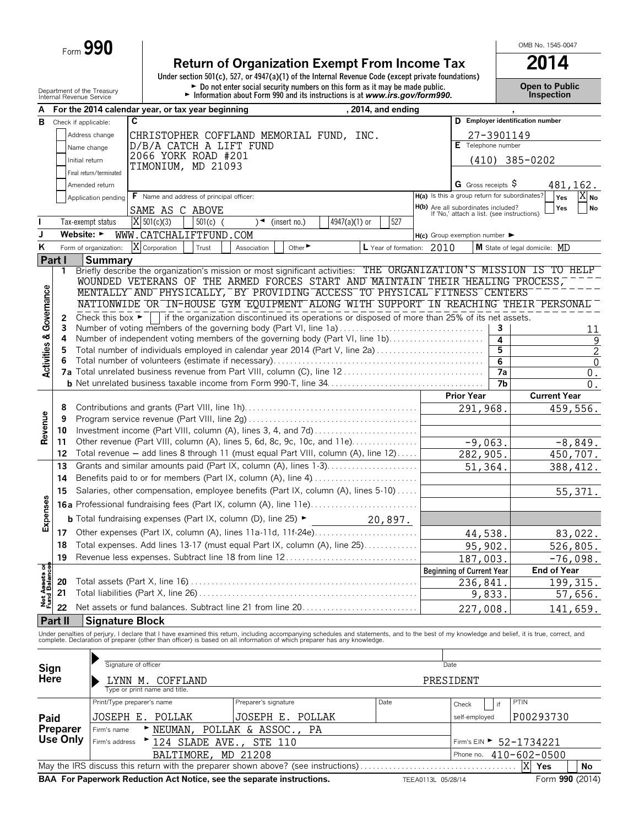Form **990**

# **Return of Organization Exempt From Income Tax**<br>
Under section 501(c), 527, or 4947(a)(1) of the Internal Revenue Code (except private foundations)

Department of the Treasury **Depent to Public**<br> **Example 19 Four Depart of the Treasury Cheff of the Treasury Propert of Contraction about Form 990 and its instructions is at www.irs.gov/form990.<br>
Internal Revenue Service <b>** 

OMB No. 1545-0047

| А                                      |          |                                |                | For the 2014 calendar year, or tax year beginning                                                                                                                                                                                                                                                                        | , 2014, and ending        |                    |                                                                                   |            |                                  |
|----------------------------------------|----------|--------------------------------|----------------|--------------------------------------------------------------------------------------------------------------------------------------------------------------------------------------------------------------------------------------------------------------------------------------------------------------------------|---------------------------|--------------------|-----------------------------------------------------------------------------------|------------|----------------------------------|
| в                                      |          | Check if applicable:           |                | C                                                                                                                                                                                                                                                                                                                        |                           |                    |                                                                                   |            | D Employer identification number |
|                                        |          | Address change                 |                |                                                                                                                                                                                                                                                                                                                          |                           |                    |                                                                                   |            |                                  |
|                                        |          |                                |                | CHRISTOPHER COFFLAND MEMORIAL FUND, INC.<br>D/B/A CATCH A LIFT FUND                                                                                                                                                                                                                                                      |                           |                    | E Telephone number                                                                | 27-3901149 |                                  |
|                                        |          | Name change                    |                | 2066 YORK ROAD #201                                                                                                                                                                                                                                                                                                      |                           |                    |                                                                                   |            |                                  |
|                                        |          | Initial return                 |                | TIMONIUM, MD 21093                                                                                                                                                                                                                                                                                                       |                           |                    |                                                                                   |            | $(410)$ 385-0202                 |
|                                        |          | Final return/terminated        |                |                                                                                                                                                                                                                                                                                                                          |                           |                    |                                                                                   |            |                                  |
|                                        |          | Amended return                 |                |                                                                                                                                                                                                                                                                                                                          |                           |                    | G Gross receipts S                                                                |            | 481,162.                         |
|                                        |          | Application pending            |                | F Name and address of principal officer:                                                                                                                                                                                                                                                                                 |                           |                    | H(a) Is this a group return for subordinates?                                     |            | $X_{N0}$<br>Yes                  |
|                                        |          |                                |                | SAME AS C ABOVE                                                                                                                                                                                                                                                                                                          |                           |                    | H(b) Are all subordinates included?<br>If 'No,' attach a list. (see instructions) |            | No<br>Yes                        |
|                                        |          | Tax-exempt status              |                | $X$ 501(c)(3)<br>$501(c)$ (<br>4947(a)(1) or<br>$\sqrt{\bullet}$ (insert no.)                                                                                                                                                                                                                                            | 527                       |                    |                                                                                   |            |                                  |
| J                                      |          | Website: $\blacktriangleright$ |                | WWW.CATCHALIFTFUND.COM                                                                                                                                                                                                                                                                                                   |                           |                    | $H(c)$ Group exemption number $\blacktriangleright$                               |            |                                  |
| Κ                                      |          | Form of organization:          |                | X Corporation<br>Trust<br>Other $\blacktriangleright$<br>Association                                                                                                                                                                                                                                                     | L Year of formation: 2010 |                    |                                                                                   |            | M State of legal domicile: MD    |
|                                        | Part I   |                                |                |                                                                                                                                                                                                                                                                                                                          |                           |                    |                                                                                   |            |                                  |
|                                        | 1.       | <b>Summary</b>                 |                | Briefly describe the organization's mission or most significant activities: THE ORGANIZATION'S MISSION IS TO HELP                                                                                                                                                                                                        |                           |                    |                                                                                   |            |                                  |
|                                        |          |                                |                | WOUNDED VETERANS OF THE ARMED FORCES START AND MAINTAIN THEIR HEALING PROCESS,                                                                                                                                                                                                                                           |                           |                    |                                                                                   |            |                                  |
|                                        |          |                                |                | MENTALLY AND PHYSICALLY, BY PROVIDING ACCESS TO PHYSICAL FITNESS CENTERS                                                                                                                                                                                                                                                 |                           |                    |                                                                                   |            |                                  |
|                                        |          |                                |                | NATIONWIDE OR IN-HOUSE GYM EQUIPMENT ALONG WITH SUPPORT IN REACHING THEIR PERSONAL                                                                                                                                                                                                                                       |                           |                    |                                                                                   |            |                                  |
| Governance                             |          |                                |                |                                                                                                                                                                                                                                                                                                                          |                           |                    |                                                                                   |            |                                  |
|                                        | 2        |                                |                | Check this box $\blacktriangleright$ if the organization discontinued its operations or disposed of more than 25% of its net assets.                                                                                                                                                                                     |                           |                    |                                                                                   |            |                                  |
|                                        | 3<br>4   |                                |                | Number of voting members of the governing body (Part VI, line 1a)<br>Number of independent voting members of the governing body (Part VI, line 1b)                                                                                                                                                                       |                           |                    |                                                                                   | 3          | 11                               |
|                                        |          |                                |                |                                                                                                                                                                                                                                                                                                                          |                           |                    |                                                                                   | 4          | 9                                |
| <b>Activities &amp;</b>                | 5        |                                |                | Total number of individuals employed in calendar year 2014 (Part V, line 2a)                                                                                                                                                                                                                                             |                           |                    |                                                                                   | 5          | $\overline{2}$                   |
|                                        | 6        |                                |                |                                                                                                                                                                                                                                                                                                                          |                           |                    |                                                                                   | 6          | $\overline{0}$                   |
|                                        |          |                                |                |                                                                                                                                                                                                                                                                                                                          |                           |                    |                                                                                   | 7a         | $0$ .                            |
|                                        |          |                                |                |                                                                                                                                                                                                                                                                                                                          |                           |                    |                                                                                   | 7b         | $0$ .                            |
|                                        |          |                                |                |                                                                                                                                                                                                                                                                                                                          |                           |                    | <b>Prior Year</b>                                                                 |            | <b>Current Year</b>              |
|                                        | 8        |                                |                |                                                                                                                                                                                                                                                                                                                          |                           |                    | 291,968.                                                                          |            | 459,556.                         |
| Revenue                                | 9        |                                |                |                                                                                                                                                                                                                                                                                                                          |                           |                    |                                                                                   |            |                                  |
|                                        | 10       |                                |                |                                                                                                                                                                                                                                                                                                                          |                           |                    |                                                                                   |            |                                  |
|                                        | 11       |                                |                | Other revenue (Part VIII, column (A), lines 5, 6d, 8c, 9c, 10c, and 11e)                                                                                                                                                                                                                                                 |                           |                    | $-9,063.$                                                                         |            | $\overline{-8,849}$ .            |
|                                        | 12       |                                |                | Total revenue - add lines 8 through 11 (must equal Part VIII, column (A), line 12)                                                                                                                                                                                                                                       |                           |                    | 282,905.                                                                          |            | 450,707.                         |
|                                        | 13       |                                |                | Grants and similar amounts paid (Part IX, column (A), lines 1-3)                                                                                                                                                                                                                                                         |                           |                    | 51,364.                                                                           |            | 388, 412.                        |
|                                        | 14       |                                |                | Benefits paid to or for members (Part IX, column (A), line 4)                                                                                                                                                                                                                                                            |                           |                    |                                                                                   |            |                                  |
|                                        | 15       |                                |                | Salaries, other compensation, employee benefits (Part IX, column (A), lines 5-10)                                                                                                                                                                                                                                        |                           |                    |                                                                                   |            | 55, 371.                         |
| Expenses                               |          |                                |                |                                                                                                                                                                                                                                                                                                                          |                           |                    |                                                                                   |            |                                  |
|                                        |          |                                |                |                                                                                                                                                                                                                                                                                                                          |                           |                    |                                                                                   |            |                                  |
|                                        |          |                                |                | <b>b</b> Total fundraising expenses (Part IX, column (D), line 25) $\blacktriangleright$                                                                                                                                                                                                                                 | 20,897.                   |                    |                                                                                   |            |                                  |
|                                        | 17       |                                |                |                                                                                                                                                                                                                                                                                                                          |                           |                    | 44,538.                                                                           |            | 83,022.                          |
|                                        | 18       |                                |                | Total expenses. Add lines 13-17 (must equal Part IX, column (A), line 25)                                                                                                                                                                                                                                                |                           |                    | 95,902.                                                                           |            | 526,805.                         |
|                                        | 19       |                                |                | Revenue less expenses. Subtract line 18 from line 12                                                                                                                                                                                                                                                                     |                           |                    | 187,003.                                                                          |            | $-76,098.$                       |
| <b>Net Assets of<br/>Fund Balances</b> |          |                                |                |                                                                                                                                                                                                                                                                                                                          |                           |                    | <b>Beginning of Current Year</b>                                                  |            | End of Year                      |
|                                        | 20       |                                |                |                                                                                                                                                                                                                                                                                                                          |                           |                    | 236,841.                                                                          |            | 199, 315.                        |
|                                        | 21       |                                |                |                                                                                                                                                                                                                                                                                                                          |                           |                    |                                                                                   | 9,833.     | 57,656.                          |
|                                        | 22       |                                |                | Net assets or fund balances. Subtract line 21 from line 20                                                                                                                                                                                                                                                               |                           |                    | 227,008.                                                                          |            | 141,659.                         |
|                                        | Part II  |                                |                | <b>Signature Block</b>                                                                                                                                                                                                                                                                                                   |                           |                    |                                                                                   |            |                                  |
|                                        |          |                                |                |                                                                                                                                                                                                                                                                                                                          |                           |                    |                                                                                   |            |                                  |
|                                        |          |                                |                | Under penalties of perjury, I declare that I have examined this return, including accompanying schedules and statements, and to the best of my knowledge and belief, it is true, correct, and<br>complete. Declaration of preparer (other than officer) is based on all information of which preparer has any knowledge. |                           |                    |                                                                                   |            |                                  |
|                                        |          |                                |                |                                                                                                                                                                                                                                                                                                                          |                           |                    |                                                                                   |            |                                  |
|                                        |          |                                |                | Signature of officer                                                                                                                                                                                                                                                                                                     |                           |                    | Date                                                                              |            |                                  |
| Sign<br>Here                           |          |                                |                |                                                                                                                                                                                                                                                                                                                          |                           |                    |                                                                                   |            |                                  |
|                                        |          |                                |                | LYNN M. COFFLAND<br>Type or print name and title.                                                                                                                                                                                                                                                                        |                           |                    | PRESIDENT                                                                         |            |                                  |
|                                        |          |                                |                |                                                                                                                                                                                                                                                                                                                          |                           |                    |                                                                                   |            |                                  |
|                                        |          |                                |                | Preparer's signature<br>Print/Type preparer's name                                                                                                                                                                                                                                                                       | Date                      |                    | Check                                                                             | if         | PTIN                             |
| Paid                                   |          |                                |                | JOSEPH E. POLLAK<br>JOSEPH E. POLLAK                                                                                                                                                                                                                                                                                     |                           |                    | self-employed                                                                     |            | P00293730                        |
|                                        | Preparer |                                | Firm's name    | NEUMAN,<br>POLLAK & ASSOC.<br>PA                                                                                                                                                                                                                                                                                         |                           |                    |                                                                                   |            |                                  |
|                                        | Use Only |                                | Firm's address | 124 SLADE AVE.,<br>STE 110                                                                                                                                                                                                                                                                                               |                           |                    |                                                                                   |            | Firm's EIN > 52-1734221          |
|                                        |          |                                |                | BALTIMORE,<br>MD 21208                                                                                                                                                                                                                                                                                                   |                           |                    | Phone no.                                                                         |            | $410 - 602 - 0500$               |
|                                        |          |                                |                | May the IRS discuss this return with the preparer shown above? (see instructions)                                                                                                                                                                                                                                        |                           |                    |                                                                                   |            | X Yes<br>No                      |
|                                        |          |                                |                | BAA For Paperwork Reduction Act Notice, see the separate instructions.                                                                                                                                                                                                                                                   |                           | TEEA0113L 05/28/14 |                                                                                   |            | Form 990 (2014)                  |
|                                        |          |                                |                |                                                                                                                                                                                                                                                                                                                          |                           |                    |                                                                                   |            |                                  |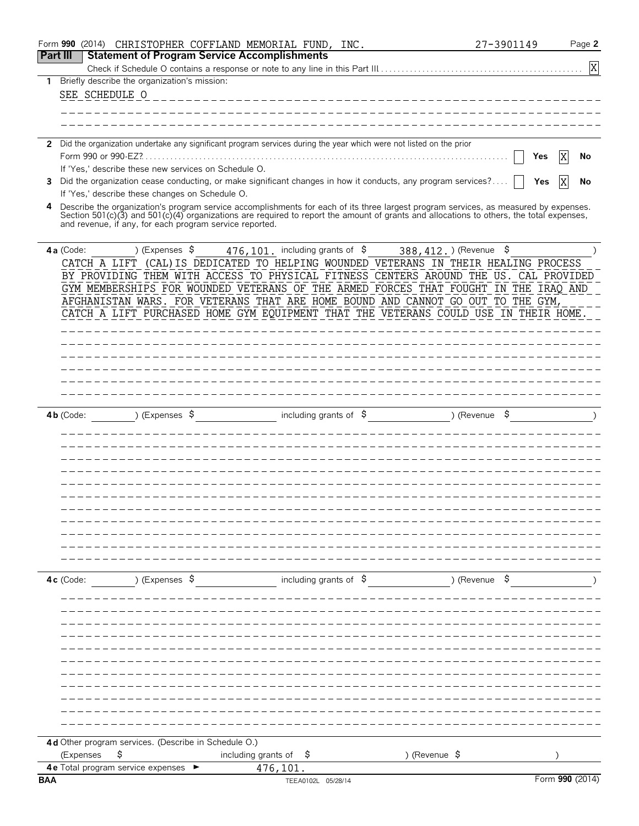|                 | Form 990 (2014)                   |                                                         | CHRISTOPHER COFFLAND MEMORIAL FUND, INC.                                                                                                                                      |                          | 27-3901149    | Page 2          |
|-----------------|-----------------------------------|---------------------------------------------------------|-------------------------------------------------------------------------------------------------------------------------------------------------------------------------------|--------------------------|---------------|-----------------|
| <b>Part III</b> |                                   |                                                         | <b>Statement of Program Service Accomplishments</b>                                                                                                                           |                          |               |                 |
|                 |                                   |                                                         |                                                                                                                                                                               |                          |               | X               |
| $\mathbf{1}$    |                                   | Briefly describe the organization's mission:            |                                                                                                                                                                               |                          |               |                 |
|                 | SEE SCHEDULE O                    |                                                         |                                                                                                                                                                               |                          |               |                 |
|                 |                                   |                                                         |                                                                                                                                                                               |                          |               |                 |
|                 |                                   |                                                         |                                                                                                                                                                               |                          |               |                 |
|                 |                                   |                                                         | 2 Did the organization undertake any significant program services during the year which were not listed on the prior                                                          |                          |               |                 |
|                 |                                   |                                                         |                                                                                                                                                                               |                          |               | X<br>No<br>Yes  |
|                 |                                   | If 'Yes,' describe these new services on Schedule O.    |                                                                                                                                                                               |                          |               |                 |
| 3               |                                   |                                                         | Did the organization cease conducting, or make significant changes in how it conducts, any program services?                                                                  |                          |               | ΙX<br>Yes<br>No |
|                 |                                   | If 'Yes,' describe these changes on Schedule O.         |                                                                                                                                                                               |                          |               |                 |
| 4               |                                   |                                                         | Describe the organization's program service accomplishments for each of its three largest program services, as measured by expenses.                                          |                          |               |                 |
|                 |                                   |                                                         | Section 501(c)(3) and 501(c)(4) organizations are required to report the amount of grants and allocations to others, the total expenses,                                      |                          |               |                 |
|                 |                                   | and revenue, if any, for each program service reported. |                                                                                                                                                                               |                          |               |                 |
|                 |                                   |                                                         |                                                                                                                                                                               |                          |               |                 |
|                 | 4a (Code:                         | (Express 5)                                             | 476, 101. including grants of \$388, 412. ) (Revenue \$                                                                                                                       |                          |               |                 |
|                 |                                   |                                                         | CATCH A LIFT (CAL) IS DEDICATED TO HELPING WOUNDED VETERANS IN THEIR HEALING PROCESS<br>BY PROVIDING THEM WITH ACCESS TO PHYSICAL FITNESS CENTERS AROUND THE US. CAL PROVIDED |                          |               |                 |
|                 |                                   |                                                         | GYM MEMBERSHIPS FOR WOUNDED VETERANS OF THE ARMED FORCES THAT FOUGHT                                                                                                          |                          |               | IN THE IRAQ AND |
|                 |                                   |                                                         | AFGHANISTAN WARS. FOR VETERANS THAT ARE HOME BOUND AND CANNOT GO OUT TO THE GYM,                                                                                              |                          |               |                 |
|                 |                                   |                                                         | CATCH A LIFT PURCHASED HOME GYM EQUIPMENT THAT THE VETERANS COULD USE IN THEIR HOME                                                                                           |                          |               |                 |
|                 |                                   |                                                         |                                                                                                                                                                               |                          |               |                 |
|                 |                                   |                                                         |                                                                                                                                                                               |                          |               |                 |
|                 |                                   |                                                         |                                                                                                                                                                               |                          |               |                 |
|                 |                                   |                                                         |                                                                                                                                                                               |                          |               |                 |
|                 |                                   |                                                         |                                                                                                                                                                               |                          |               |                 |
|                 |                                   |                                                         |                                                                                                                                                                               |                          |               |                 |
|                 |                                   |                                                         |                                                                                                                                                                               |                          |               |                 |
|                 | $4b$ (Code:                       | ) (Expenses $\sqrt{5}$                                  | including grants of $\sqrt{5}$                                                                                                                                                |                          | ) (Revenue    |                 |
|                 |                                   |                                                         |                                                                                                                                                                               |                          |               |                 |
|                 |                                   |                                                         |                                                                                                                                                                               |                          |               |                 |
|                 |                                   |                                                         |                                                                                                                                                                               |                          |               |                 |
|                 |                                   |                                                         |                                                                                                                                                                               |                          |               |                 |
|                 |                                   |                                                         |                                                                                                                                                                               |                          |               |                 |
|                 |                                   |                                                         |                                                                                                                                                                               |                          |               |                 |
|                 |                                   |                                                         |                                                                                                                                                                               |                          |               |                 |
|                 |                                   |                                                         |                                                                                                                                                                               |                          |               |                 |
|                 |                                   |                                                         |                                                                                                                                                                               |                          |               |                 |
|                 |                                   |                                                         |                                                                                                                                                                               |                          |               |                 |
|                 |                                   |                                                         |                                                                                                                                                                               |                          |               |                 |
|                 |                                   |                                                         |                                                                                                                                                                               |                          |               |                 |
|                 | 4c (Code:                         | ) (Expenses $$$                                         | including grants of $\frac{1}{5}$                                                                                                                                             |                          | ) (Revenue \$ |                 |
|                 |                                   |                                                         |                                                                                                                                                                               |                          |               |                 |
|                 |                                   |                                                         |                                                                                                                                                                               |                          |               |                 |
|                 |                                   |                                                         |                                                                                                                                                                               |                          |               |                 |
|                 |                                   |                                                         |                                                                                                                                                                               |                          |               |                 |
|                 |                                   |                                                         |                                                                                                                                                                               |                          |               |                 |
|                 |                                   |                                                         |                                                                                                                                                                               |                          |               |                 |
|                 |                                   |                                                         |                                                                                                                                                                               |                          |               |                 |
|                 |                                   |                                                         |                                                                                                                                                                               |                          |               |                 |
|                 |                                   |                                                         |                                                                                                                                                                               |                          |               |                 |
|                 |                                   |                                                         |                                                                                                                                                                               |                          |               |                 |
|                 |                                   |                                                         |                                                                                                                                                                               |                          |               |                 |
|                 |                                   |                                                         |                                                                                                                                                                               |                          |               |                 |
|                 |                                   | 4d Other program services. (Describe in Schedule O.)    |                                                                                                                                                                               |                          |               |                 |
|                 | (Expenses<br>Ş                    |                                                         | including grants of $\frac{1}{2}$                                                                                                                                             | ) (Revenue $\frac{1}{2}$ |               |                 |
|                 | 4e Total program service expenses |                                                         | 476,101.                                                                                                                                                                      |                          |               |                 |
| <b>BAA</b>      |                                   |                                                         | TEEA0102L 05/28/14                                                                                                                                                            |                          |               | Form 990 (2014) |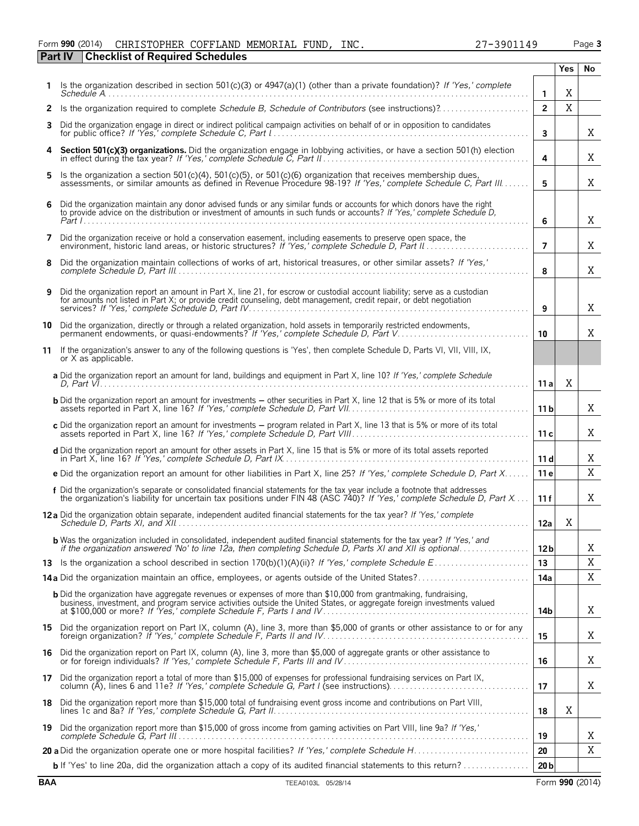# Form **990** (2014) Page **3** CHRISTOPHER COFFLAND MEMORIAL FUND, INC. 27-3901149 **Part IV Checklist of Required Schedules**

|     |                                                                                                                                                                                                                                                     |                 | Yes | No |
|-----|-----------------------------------------------------------------------------------------------------------------------------------------------------------------------------------------------------------------------------------------------------|-----------------|-----|----|
|     | 1 Is the organization described in section 501(c)(3) or $4947(a)(1)$ (other than a private foundation)? If 'Yes,' complete                                                                                                                          | $\mathbf{1}$    | X   |    |
|     |                                                                                                                                                                                                                                                     | $\overline{2}$  | X   |    |
| 3   | Did the organization engage in direct or indirect political campaign activities on behalf of or in opposition to candidates                                                                                                                         | $\mathbf{3}$    |     | Χ  |
|     | 4 Section 501(c)(3) organizations. Did the organization engage in lobbying activities, or have a section 501(h) election                                                                                                                            | 4               |     | X  |
| 5.  | Is the organization a section 501(c)(4), 501(c)(5), or 501(c)(6) organization that receives membership dues,<br>assessments, or similar amounts as defined in Revenue Procedure 98-19? If 'Yes,' complete Schedule C. Part III                      | 5               |     | Χ  |
| 6   | Did the organization maintain any donor advised funds or any similar funds or accounts for which donors have the right<br>to provide advice on the distribution or investment of amounts in such funds or accounts? If 'Yes,' complete Schedule D,  | 6               |     | Χ  |
| 7   | Did the organization receive or hold a conservation easement, including easements to preserve open space, the                                                                                                                                       | $\overline{7}$  |     | X  |
| 8   | Did the organization maintain collections of works of art, historical treasures, or other similar assets? If 'Yes,'                                                                                                                                 | 8               |     | X  |
| 9   | Did the organization report an amount in Part X, line 21, for escrow or custodial account liability; serve as a custodian<br>for amounts not listed in Part X; or provide credit counseling, debt management, credit repair, or debt negotiation    | 9               |     | Χ  |
|     | 10 Did the organization, directly or through a related organization, hold assets in temporarily restricted endowments,<br>permanent endowments, or quasi-endowments? If 'Yes,' complete Schedule D, Part V                                          | 10              |     | X  |
|     | 11 If the organization's answer to any of the following questions is 'Yes', then complete Schedule D, Parts VI, VII, VIII, IX,<br>or X as applicable.                                                                                               |                 |     |    |
|     | a Did the organization report an amount for land, buildings and equipment in Part X, line 10? If 'Yes,' complete Schedule                                                                                                                           | 11 a            | Χ   |    |
|     | <b>b</b> Did the organization report an amount for investments – other securities in Part X, line 12 that is 5% or more of its total                                                                                                                | 11 <sub>b</sub> |     | Χ  |
|     | c Did the organization report an amount for investments - program related in Part X, line 13 that is 5% or more of its total                                                                                                                        | 11c             |     | Χ  |
|     | d Did the organization report an amount for other assets in Part X, line 15 that is 5% or more of its total assets reported                                                                                                                         | 11d             |     | Χ  |
|     | e Did the organization report an amount for other liabilities in Part X, line 25? If 'Yes,' complete Schedule D, Part X                                                                                                                             | 11 <sub>e</sub> |     | X  |
|     | f Did the organization's separate or consolidated financial statements for the tax year include a footnote that addresses<br>the organization's liability for uncertain tax positions under FIN 48 (ASC 740)? If 'Yes,' complete Schedule D, Part X | 11f             |     | X  |
|     | 12 a Did the organization obtain separate, independent audited financial statements for the tax year? If 'Yes,' complete                                                                                                                            | 12a             | Χ   |    |
|     | <b>b</b> Was the organization included in consolidated, independent audited financial statements for the tax year? If 'Yes,' and if the organization answered 'No' to line 12a, then completing Schedule D, Parts XI and XII is opt                 | 12 <sub>b</sub> |     | X  |
|     |                                                                                                                                                                                                                                                     | 13              |     | X  |
|     | 14a Did the organization maintain an office, employees, or agents outside of the United States?                                                                                                                                                     | 14a             |     | Χ  |
|     | <b>b</b> Did the organization have aggregate revenues or expenses of more than \$10,000 from grantmaking, fundraising,                                                                                                                              | 14b             |     | X  |
|     | 15 Did the organization report on Part IX, column (A), line 3, more than \$5,000 of grants or other assistance to or for any                                                                                                                        | 15              |     | X  |
|     | 16 Did the organization report on Part IX, column (A), line 3, more than \$5,000 of aggregate grants or other assistance to<br>or for foreign individuals? If 'Yes,' complete Schedule F, Parts III and IV                                          | 16              |     | X  |
|     | 17 Did the organization report a total of more than \$15,000 of expenses for professional fundraising services on Part IX,<br>column (A), lines 6 and 11e? If 'Yes,' complete Schedule G, Part I (see instructions)                                 | 17              |     | X  |
| 18. | Did the organization report more than \$15,000 total of fundraising event gross income and contributions on Part VIII,                                                                                                                              | 18              | Χ   |    |
| 19  | Did the organization report more than \$15,000 of gross income from gaming activities on Part VIII, line 9a? If 'Yes,'                                                                                                                              | 19              |     | Χ  |
|     |                                                                                                                                                                                                                                                     | 20              |     | X  |
|     | b If 'Yes' to line 20a, did the organization attach a copy of its audited financial statements to this return?                                                                                                                                      | 20 <sub>b</sub> |     |    |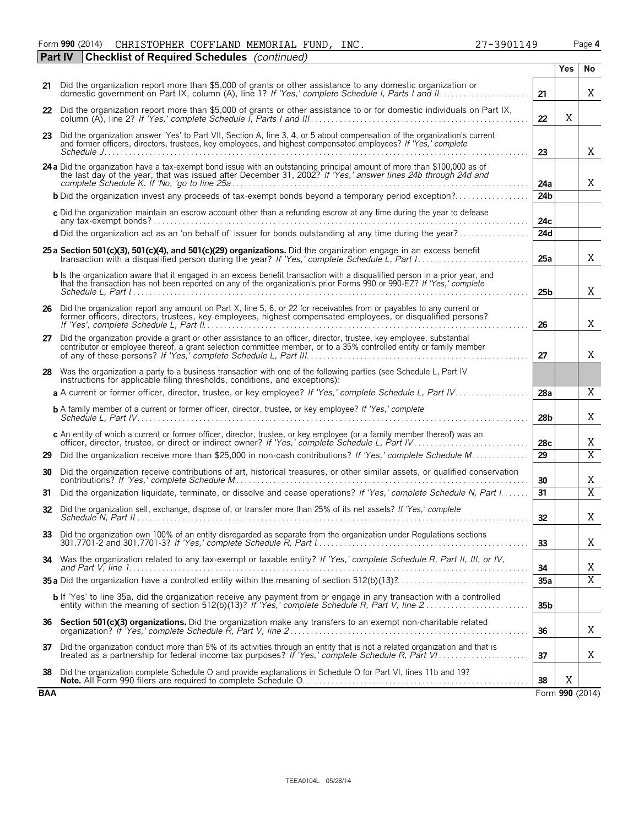| 27-3901149 |  |  |  |
|------------|--|--|--|
|            |  |  |  |

|            | <b>Checklist of Required Schedules</b> (continued)<br><b>Part IV</b>                                                                                                                                                                                         |                 |            |                 |
|------------|--------------------------------------------------------------------------------------------------------------------------------------------------------------------------------------------------------------------------------------------------------------|-----------------|------------|-----------------|
|            |                                                                                                                                                                                                                                                              |                 | <b>Yes</b> | No              |
|            | 21 Did the organization report more than \$5,000 of grants or other assistance to any domestic organization or                                                                                                                                               | 21              |            | X               |
|            | 22 Did the organization report more than \$5,000 of grants or other assistance to or for domestic individuals on Part IX,<br>column (A), line 2? If 'Yes,' complete Schedule I, Parts I and III.                                                             | 22              | Χ          |                 |
|            | 23 Did the organization answer 'Yes' to Part VII, Section A, line 3, 4, or 5 about compensation of the organization's current<br>and former officers, directors, trustees, key employees, and highest compensated employees? If 'Yes,' complete              |                 |            |                 |
|            |                                                                                                                                                                                                                                                              | 23              |            | X               |
|            | 24 a Did the organization have a tax-exempt bond issue with an outstanding principal amount of more than \$100,000 as of<br>the last day of the year, that was issued after December 31, 2002? If 'Yes,' answer lines 24b through 24d and                    | 24a             |            | X               |
|            | <b>b</b> Did the organization invest any proceeds of tax-exempt bonds beyond a temporary period exception?                                                                                                                                                   | 24 <sub>b</sub> |            |                 |
|            | c Did the organization maintain an escrow account other than a refunding escrow at any time during the year to defease                                                                                                                                       | 24c             |            |                 |
|            | d Did the organization act as an 'on behalf of' issuer for bonds outstanding at any time during the year?                                                                                                                                                    | 24d             |            |                 |
|            | 25 a Section 501(c)(3), 501(c)(4), and 501(c)(29) organizations. Did the organization engage in an excess benefit                                                                                                                                            | 25a             |            | X               |
|            | <b>b</b> Is the organization aware that it engaged in an excess benefit transaction with a disqualified person in a prior year, and<br>that the transaction has not been reported on any of the organization's prior Forms 990 or 990-EZ? If 'Yes,' complete | 25 <sub>b</sub> |            | X               |
|            | 26 Did the organization report any amount on Part X, line 5, 6, or 22 for receivables from or payables to any current or<br>former officers, directors, trustees, key employees, highest compensated employees, or disqualified persons?                     | 26              |            | X               |
| 27         | Did the organization provide a grant or other assistance to an officer, director, trustee, key employee, substantial<br>contributor or employee thereof, a grant selection committee member, or to a 35% controlled entity or family member                  | 27              |            | Χ               |
|            | 28 Was the organization a party to a business transaction with one of the following parties (see Schedule L, Part IV<br>instructions for applicable filing thresholds, conditions, and exceptions):                                                          |                 |            |                 |
|            | a A current or former officer, director, trustee, or key employee? If 'Yes,' complete Schedule L, Part IV                                                                                                                                                    | 28a             |            | Χ               |
|            | <b>b</b> A family member of a current or former officer, director, trustee, or key employee? If 'Yes,' complete                                                                                                                                              | 28 <sub>b</sub> |            | Χ               |
|            | c An entity of which a current or former officer, director, trustee, or key employee (or a family member thereof) was an                                                                                                                                     | 28c             |            | X               |
| 29         | Did the organization receive more than \$25,000 in non-cash contributions? If 'Yes,' complete Schedule M                                                                                                                                                     | 29              |            | $\overline{X}$  |
| 30         | Did the organization receive contributions of art, historical treasures, or other similar assets, or qualified conservation                                                                                                                                  | 30              |            | X               |
| 31         | Did the organization liquidate, terminate, or dissolve and cease operations? If 'Yes,' complete Schedule N, Part I                                                                                                                                           | 31              |            | $\overline{X}$  |
|            | 32 Did the organization sell, exchange, dispose of, or transfer more than 25% of its net assets? If 'Yes,' complete                                                                                                                                          | 32              |            | Χ               |
|            | 33 Did the organization own 100% of an entity disregarded as separate from the organization under Regulations sections                                                                                                                                       | 33              |            | X               |
| 34         | Was the organization related to any tax-exempt or taxable entity? If 'Yes,' complete Schedule R, Part II, III, or IV,                                                                                                                                        | 34              |            | Χ               |
|            |                                                                                                                                                                                                                                                              | 35a             |            | $\overline{X}$  |
|            | <b>b</b> If 'Yes' to line 35a, did the organization receive any payment from or engage in any transaction with a controlled                                                                                                                                  | 35 <sub>b</sub> |            |                 |
| 36         | Section 501(c)(3) organizations. Did the organization make any transfers to an exempt non-charitable related                                                                                                                                                 | 36              |            | X               |
| 37         | Did the organization conduct more than 5% of its activities through an entity that is not a related organization and that is                                                                                                                                 | 37              |            | X               |
| 38         | Did the organization complete Schedule O and provide explanations in Schedule O for Part VI, lines 11b and 19?                                                                                                                                               | 38              | Χ          |                 |
| <b>BAA</b> |                                                                                                                                                                                                                                                              |                 |            | Form 990 (2014) |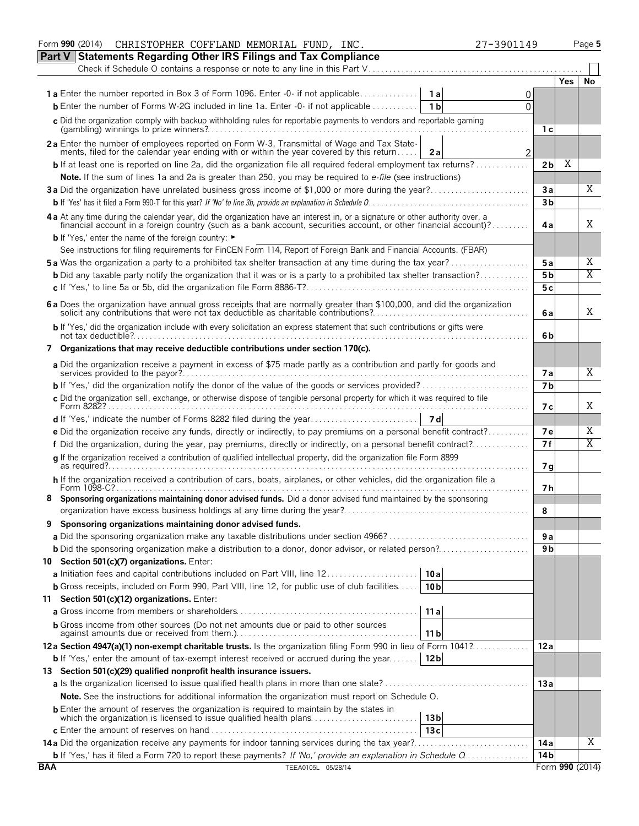|            | Form 990 (2014)<br>CHRISTOPHER COFFLAND MEMORIAL FUND, INC.<br>27-3901149                                                                                                                                   |                |     | Page 5          |
|------------|-------------------------------------------------------------------------------------------------------------------------------------------------------------------------------------------------------------|----------------|-----|-----------------|
|            | Part V Statements Regarding Other IRS Filings and Tax Compliance                                                                                                                                            |                |     |                 |
|            | Check if Schedule O contains a response or note to any line in this Part V                                                                                                                                  |                |     |                 |
|            |                                                                                                                                                                                                             |                | Yes | No              |
|            | <b>1a</b> Enter the number reported in Box 3 of Form 1096. Enter -0- if not applicable<br>1 a l<br>0                                                                                                        |                |     |                 |
|            | <b>b</b> Enter the number of Forms W-2G included in line 1a. Enter $-0$ - if not applicable<br>1 <sub>b</sub><br>0                                                                                          |                |     |                 |
|            | c Did the organization comply with backup withholding rules for reportable payments to vendors and reportable gaming                                                                                        |                |     |                 |
|            |                                                                                                                                                                                                             | 1 с            |     |                 |
|            | 2a Enter the number of employees reported on Form W-3, Transmittal of Wage and Tax State-                                                                                                                   |                |     |                 |
|            | ments, filed for the calendar year ending with or within the year covered by this return<br>2<br>2a                                                                                                         |                |     |                 |
|            | <b>b</b> If at least one is reported on line 2a, did the organization file all required federal employment tax returns?                                                                                     | 2 <sub>b</sub> | Χ   |                 |
|            | Note. If the sum of lines 1a and 2a is greater than 250, you may be required to e-file (see instructions)                                                                                                   |                |     |                 |
|            |                                                                                                                                                                                                             | 3a             |     | X.              |
|            |                                                                                                                                                                                                             | 3 <sub>b</sub> |     |                 |
|            | 4 a At any time during the calendar year, did the organization have an interest in, or a signature or other authority over, a                                                                               |                |     |                 |
|            | financial account in a foreign country (such as a bank account, securities account, or other financial account)?                                                                                            | 4a             |     | Χ               |
|            | <b>b</b> If 'Yes,' enter the name of the foreign country: ►                                                                                                                                                 |                |     |                 |
|            | See instructions for filing requirements for FinCEN Form 114, Report of Foreign Bank and Financial Accounts. (FBAR)                                                                                         |                |     |                 |
|            |                                                                                                                                                                                                             | 5 a            |     | Χ               |
|            | <b>b</b> Did any taxable party notify the organization that it was or is a party to a prohibited tax shelter transaction?                                                                                   | 5 <sub>b</sub> |     | Χ               |
|            |                                                                                                                                                                                                             | 5c             |     |                 |
|            |                                                                                                                                                                                                             |                |     |                 |
|            | 6 a Does the organization have annual gross receipts that are normally greater than \$100,000, and did the organization solicit any contributions that were not tax deductible as charitable contributions? | 6 a            |     | Χ               |
|            | b If 'Yes,' did the organization include with every solicitation an express statement that such contributions or gifts were                                                                                 |                |     |                 |
|            |                                                                                                                                                                                                             | 6b             |     |                 |
| 7          | Organizations that may receive deductible contributions under section 170(c).                                                                                                                               |                |     |                 |
|            | a Did the organization receive a payment in excess of \$75 made partly as a contribution and partly for goods and                                                                                           |                |     |                 |
|            |                                                                                                                                                                                                             | 7а             |     | Χ               |
|            |                                                                                                                                                                                                             | 7 <sub>b</sub> |     |                 |
|            | c Did the organization sell, exchange, or otherwise dispose of tangible personal property for which it was required to file                                                                                 |                |     |                 |
|            |                                                                                                                                                                                                             | 7 с            |     | Χ               |
|            |                                                                                                                                                                                                             |                |     |                 |
|            | e Did the organization receive any funds, directly or indirectly, to pay premiums on a personal benefit contract?                                                                                           | 7е             |     | Χ               |
|            | f Did the organization, during the year, pay premiums, directly or indirectly, on a personal benefit contract?                                                                                              | 7 f            |     | Χ               |
|            | q If the organization received a contribution of qualified intellectual property, did the organization file Form 8899                                                                                       |                |     |                 |
|            |                                                                                                                                                                                                             | 7 <sub>g</sub> |     |                 |
|            | h If the organization received a contribution of cars, boats, airplanes, or other vehicles, did the organization file a                                                                                     | 7h             |     |                 |
|            | Sponsoring organizations maintaining donor advised funds. Did a donor advised fund maintained by the sponsoring                                                                                             |                |     |                 |
|            |                                                                                                                                                                                                             | 8              |     |                 |
| 9          | Sponsoring organizations maintaining donor advised funds.                                                                                                                                                   |                |     |                 |
|            |                                                                                                                                                                                                             |                |     |                 |
|            |                                                                                                                                                                                                             | 9 a            |     |                 |
|            | <b>b</b> Did the sponsoring organization make a distribution to a donor, donor advisor, or related person?                                                                                                  | 9 b            |     |                 |
|            | 10 Section 501(c)(7) organizations. Enter:                                                                                                                                                                  |                |     |                 |
|            | a Initiation fees and capital contributions included on Part VIII, line 12<br>10a                                                                                                                           |                |     |                 |
|            | <b>b</b> Gross receipts, included on Form 990, Part VIII, line 12, for public use of club facilities<br>10 <sub>b</sub>                                                                                     |                |     |                 |
|            | 11 Section 501(c)(12) organizations. Enter:                                                                                                                                                                 |                |     |                 |
|            | 11a                                                                                                                                                                                                         |                |     |                 |
|            | <b>b</b> Gross income from other sources (Do not net amounts due or paid to other sources<br>11 <sub>b</sub>                                                                                                |                |     |                 |
|            | 12a Section 4947(a)(1) non-exempt charitable trusts. Is the organization filing Form 990 in lieu of Form 1041?                                                                                              | 12a            |     |                 |
|            | 12 <sub>b</sub><br><b>b</b> If 'Yes,' enter the amount of tax-exempt interest received or accrued during the year                                                                                           |                |     |                 |
|            | 13 Section 501(c)(29) qualified nonprofit health insurance issuers.                                                                                                                                         |                |     |                 |
|            |                                                                                                                                                                                                             | 13 a           |     |                 |
|            | Note. See the instructions for additional information the organization must report on Schedule O.                                                                                                           |                |     |                 |
|            |                                                                                                                                                                                                             |                |     |                 |
|            | 13 bl                                                                                                                                                                                                       |                |     |                 |
|            | 13c                                                                                                                                                                                                         |                |     |                 |
|            |                                                                                                                                                                                                             | 14 a           |     | Χ               |
|            | <b>b</b> If 'Yes,' has it filed a Form 720 to report these payments? If 'No,' provide an explanation in Schedule O                                                                                          | 14 b           |     |                 |
| <b>BAA</b> | TEEA0105L 05/28/14                                                                                                                                                                                          |                |     | Form 990 (2014) |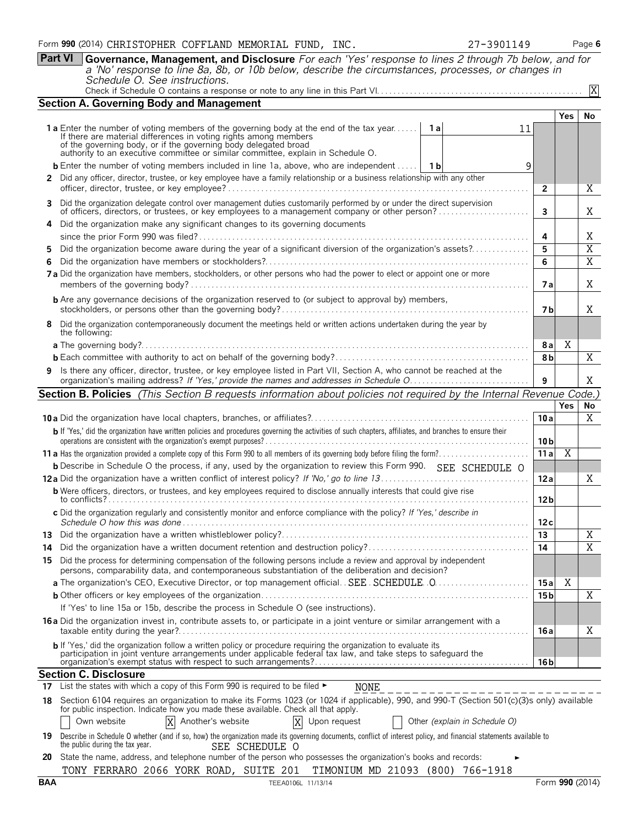**Part VI Governance, Management, and Disclosure** *For each 'Yes' response to lines 2 through 7b below, and for a 'No' response to line 8a, 8b, or 10b below, describe the circumstances, processes, or changes in*

| Schedule O. See instructions. |  |
|-------------------------------|--|
|                               |  |

|    | <b>Section A. Governing Body and Management</b>                                                                                                                                                                            |                 |                |                |
|----|----------------------------------------------------------------------------------------------------------------------------------------------------------------------------------------------------------------------------|-----------------|----------------|----------------|
|    |                                                                                                                                                                                                                            |                 | Yes            | No             |
|    | <b>1a</b> Enter the number of voting members of the governing body at the end of the tax year<br>1 a<br>11                                                                                                                 |                 |                |                |
|    | If there are material differences in voting rights among members                                                                                                                                                           |                 |                |                |
|    | of the governing body, or if the governing body delegated broad<br>authority to an executive committee or similar committee, explain in Schedule O.                                                                        |                 |                |                |
|    | <b>b</b> Enter the number of voting members included in line 1a, above, who are independent<br>1 b<br>9                                                                                                                    |                 |                |                |
|    | 2 Did any officer, director, trustee, or key employee have a family relationship or a business relationship with any other                                                                                                 | $\overline{2}$  |                | Χ              |
|    | 3 Did the organization delegate control over management duties customarily performed by or under the direct supervision                                                                                                    |                 |                |                |
|    | of officers, directors, or trustees, or key employees to a management company or other person?                                                                                                                             | 3               |                | Χ              |
|    | 4 Did the organization make any significant changes to its governing documents                                                                                                                                             |                 |                |                |
|    |                                                                                                                                                                                                                            | 4               |                | Χ              |
| 5. | Did the organization become aware during the year of a significant diversion of the organization's assets?                                                                                                                 | 5               |                | $\overline{X}$ |
| 6  |                                                                                                                                                                                                                            | 6               |                | $\overline{X}$ |
|    | 7a Did the organization have members, stockholders, or other persons who had the power to elect or appoint one or more                                                                                                     | 7 a             |                | X              |
|    | <b>b</b> Are any governance decisions of the organization reserved to (or subject to approval by) members,                                                                                                                 | 7 b             |                | X              |
|    | Did the organization contemporaneously document the meetings held or written actions undertaken during the year by                                                                                                         |                 |                |                |
| 8  | the following:                                                                                                                                                                                                             |                 |                |                |
|    |                                                                                                                                                                                                                            | 8a              | X              |                |
|    |                                                                                                                                                                                                                            | 8b              |                | X              |
|    | 9 Is there any officer, director, trustee, or key employee listed in Part VII, Section A, who cannot be reached at the                                                                                                     | 9               |                | X              |
|    | <b>Section B. Policies</b> (This Section B requests information about policies not required by the Internal Revenue Code.)                                                                                                 |                 |                |                |
|    |                                                                                                                                                                                                                            |                 | Yes            | No             |
|    |                                                                                                                                                                                                                            | 10a             |                | X              |
|    | b If 'Yes,' did the organization have written policies and procedures governing the activities of such chapters, affiliates, and branches to ensure their                                                                  |                 |                |                |
|    |                                                                                                                                                                                                                            | 10 <sub>b</sub> |                |                |
|    |                                                                                                                                                                                                                            | 11a             | $\overline{X}$ |                |
|    | <b>b</b> Describe in Schedule O the process, if any, used by the organization to review this Form 990. SEE SCHEDULE O                                                                                                      |                 |                |                |
|    |                                                                                                                                                                                                                            | 12a             |                | X              |
|    | <b>b</b> Were officers, directors, or trustees, and key employees required to disclose annually interests that could give rise                                                                                             | 12 <sub>b</sub> |                |                |
|    | c Did the organization regularly and consistently monitor and enforce compliance with the policy? If 'Yes,' describe in                                                                                                    | 12c             |                |                |
|    |                                                                                                                                                                                                                            | 13              |                | X              |
| 14 |                                                                                                                                                                                                                            | 14              |                | $\overline{X}$ |
|    | 15 Did the process for determining compensation of the following persons include a review and approval by independent<br>persons, comparability data, and contemporaneous substantiation of the deliberation and decision? |                 |                |                |
|    |                                                                                                                                                                                                                            |                 | Χ              |                |
|    |                                                                                                                                                                                                                            | 15 b            |                | Χ              |
|    | If 'Yes' to line 15a or 15b, describe the process in Schedule O (see instructions).                                                                                                                                        |                 |                |                |
|    | 16 a Did the organization invest in, contribute assets to, or participate in a joint venture or similar arrangement with a                                                                                                 | 16 a            |                | Χ              |
|    | b If 'Yes,' did the organization follow a written policy or procedure requiring the organization to evaluate its                                                                                                           |                 |                |                |
|    | participation in joint venture arrangements under applicable federal tax law, and take steps to safeguard the                                                                                                              | 16 b            |                |                |
|    | <b>Section C. Disclosure</b>                                                                                                                                                                                               |                 |                |                |
|    | 17 List the states with which a copy of this Form 990 is required to be filed $\blacktriangleright$<br><b>NONE</b>                                                                                                         |                 |                |                |
|    | 18 Section 6104 requires an organization to make its Forms 1023 (or 1024 if applicable), 990, and 990-T (Section 501(c)(3)s only) available                                                                                |                 |                |                |
|    | for public inspection. Indicate how you made these available. Check all that apply.                                                                                                                                        |                 |                |                |
|    | X<br>X Another's website<br>Own website<br>Upon request<br>Other (explain in Schedule O)                                                                                                                                   |                 |                |                |
| 19 | Describe in Schedule O whether (and if so, how) the organization made its governing documents, conflict of interest policy, and financial statements available to<br>the public during the tax year.<br>SEE SCHEDULE O     |                 |                |                |
| 20 | State the name, address, and telephone number of the person who possesses the organization's books and records:                                                                                                            |                 |                |                |
|    | TONY FERRARO 2066 YORK ROAD, SUITE 201 TIMONIUM MD 21093 (800) 766-1918                                                                                                                                                    |                 |                |                |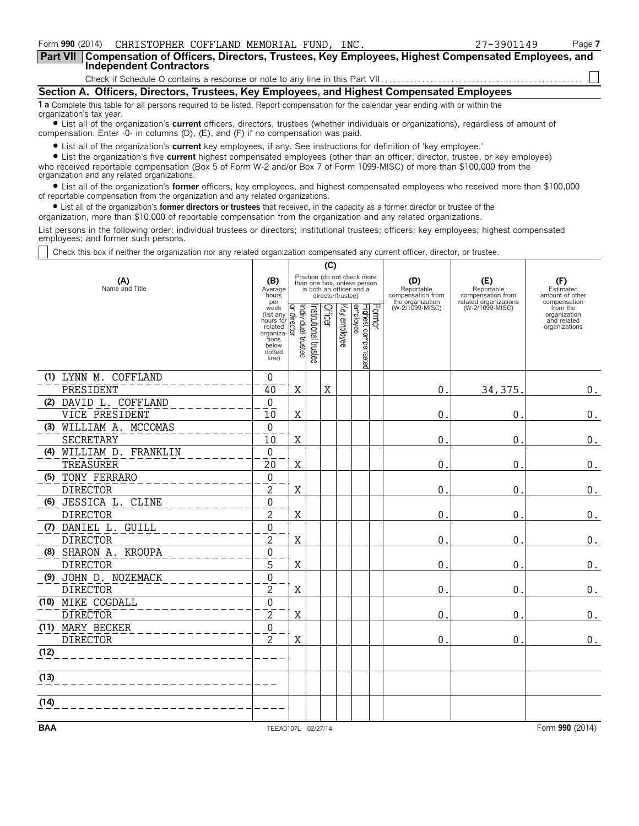| Form 990 (2014) CHRISTOPHER COFFLAND MEMORIAL FUND, INC.                                                                                                                                                                                               | 27-3901149 | Page 7 |
|--------------------------------------------------------------------------------------------------------------------------------------------------------------------------------------------------------------------------------------------------------|------------|--------|
| Part VII   Compensation of Officers, Directors, Trustees, Key Employees, Highest Compensated Employees, and<br><b>Independent Contractors</b>                                                                                                          |            |        |
|                                                                                                                                                                                                                                                        |            |        |
| Section A. Officers, Directors, Trustees, Key Employees, and Highest Compensated Employees                                                                                                                                                             |            |        |
| 1 a Complete this table for all persons required to be listed. Report compensation for the calendar year ending with or within the<br>organization's tax year.                                                                                         |            |        |
| • List all of the organization's current officers, directors, trustees (whether individuals or organizations), regardless of amount of<br>compensation. Enter -0- in columns (D), (E), and (F) if no compensation was paid.                            |            |        |
| • List all of the organization's current key employees, if any. See instructions for definition of 'key employee.'<br>• List the organization's five current highest compensated employees (other than an officer, director, trustee, or key employee) |            |        |

who received reportable compensation (Box 5 of Form W-2 and/or Box 7 of Form 1099-MISC) of more than \$100,000 from the organization and any related organizations.

? List all of the organization's **former** officers, key employees, and highest compensated employees who received more than \$100,000 of reportable compensation from the organization and any related organizations.

? List all of the organization's **former directors or trustees** that received, in the capacity as a former director or trustee of the

organization, more than \$10,000 of reportable compensation from the organization and any related organizations.

List persons in the following order: individual trustees or directors; institutional trustees; officers; key employees; highest compensated employees; and former such persons.

Check this box if neither the organization nor any related organization compensated any current officer, director, or trustee.

|                                            |                                                                                             |                                                                                                             |                      | (C)     |              |                                 |        |                                                            |                                          |                                                          |  |
|--------------------------------------------|---------------------------------------------------------------------------------------------|-------------------------------------------------------------------------------------------------------------|----------------------|---------|--------------|---------------------------------|--------|------------------------------------------------------------|------------------------------------------|----------------------------------------------------------|--|
| (A)<br>Name and Title                      | (B)<br>Average<br>hours<br>per                                                              | Position (do not check more<br>than one box, unless person<br>is both an officer and a<br>director/trustee) |                      |         |              |                                 |        | (D)<br>Reportable<br>compensation from<br>the organization | (E)<br>Reportable<br>compensation from   | (F)<br>Estimated<br>amount of other<br>compensation      |  |
|                                            | week<br>(list any<br>hours for<br>related<br>organiza-<br>tions<br>below<br>dotted<br>line) | Individual trustee<br>$\overline{\mathbf{Q}}$<br>ĒS<br>Σ                                                    | nstitutional trustee | Officer | Key employee | Highest compensated<br>employee | Former | (W-2/1099-MISC)                                            | related organizations<br>(W-2/1099-MISC) | from the<br>organization<br>and related<br>organizations |  |
| (1) LYNN M. COFFLAND                       | 0                                                                                           |                                                                                                             |                      |         |              |                                 |        |                                                            |                                          |                                                          |  |
| PRESIDENT                                  | 40                                                                                          | X                                                                                                           |                      | X       |              |                                 |        | 0.                                                         | 34,375                                   | $0$ .                                                    |  |
| (2) DAVID L. COFFLAND<br>VICE PRESIDENT    | $\mathbf 0$<br>10                                                                           | X                                                                                                           |                      |         |              |                                 |        | 0                                                          | $\mathbf 0$                              | 0.                                                       |  |
| (3) WILLIAM A. MCCOMAS<br><b>SECRETARY</b> | $\overline{0}$<br>10                                                                        | $\mathbf X$                                                                                                 |                      |         |              |                                 |        | 0                                                          | $\mathbf 0$                              | 0.                                                       |  |
| (4) WILLIAM D. FRANKLIN                    | $\mathbf 0$                                                                                 |                                                                                                             |                      |         |              |                                 |        |                                                            |                                          |                                                          |  |
| TREASURER                                  | 20                                                                                          | X                                                                                                           |                      |         |              |                                 |        | 0                                                          | $\pmb{0}$                                | $\boldsymbol{0}$ .                                       |  |
| TONY FERRARO<br>(5)<br><b>DIRECTOR</b>     | $\mathbf 0$<br>$\overline{c}$                                                               | X                                                                                                           |                      |         |              |                                 |        | 0                                                          | 0                                        | $\boldsymbol{0}$ .                                       |  |
| (6) JESSICA L. CLINE                       | $\overline{0}$                                                                              |                                                                                                             |                      |         |              |                                 |        |                                                            |                                          |                                                          |  |
| <b>DIRECTOR</b>                            | $\overline{2}$                                                                              | X                                                                                                           |                      |         |              |                                 |        | 0                                                          | $\mathbf 0$                              | 0.                                                       |  |
| (7) DANIEL L. GUILL<br><b>DIRECTOR</b>     | $\overline{0}$<br>$\overline{2}$                                                            | $\mathbf X$                                                                                                 |                      |         |              |                                 |        | $\Omega$                                                   | $\mathbf 0$                              | $0_{.}$                                                  |  |
| (8) SHARON A. KROUPA                       | $\mathbf 0$                                                                                 |                                                                                                             |                      |         |              |                                 |        |                                                            |                                          |                                                          |  |
| <b>DIRECTOR</b>                            | 5                                                                                           | X                                                                                                           |                      |         |              |                                 |        | 0                                                          | 0                                        | 0.                                                       |  |
| (9) JOHN D. NOZEMACK<br><b>DIRECTOR</b>    | $\mathbf 0$<br>$\overline{2}$                                                               | X                                                                                                           |                      |         |              |                                 |        | 0                                                          | $\mathbf 0$                              | 0.                                                       |  |
| (10) MIKE COGDALL                          | $\overline{0}$                                                                              |                                                                                                             |                      |         |              |                                 |        |                                                            |                                          |                                                          |  |
| <b>DIRECTOR</b>                            | $\overline{2}$                                                                              | X                                                                                                           |                      |         |              |                                 |        | 0                                                          | $\mathbf 0$                              | $0$ .                                                    |  |
| (11) MARY BECKER<br><b>DIRECTOR</b>        | $\mathbf 0$<br>$\overline{2}$                                                               | X                                                                                                           |                      |         |              |                                 |        | $\mathbf 0$                                                | $\mathbf{0}$                             | $\boldsymbol{0}$ .                                       |  |
| (12)                                       |                                                                                             |                                                                                                             |                      |         |              |                                 |        |                                                            |                                          |                                                          |  |
| (13)                                       |                                                                                             |                                                                                                             |                      |         |              |                                 |        |                                                            |                                          |                                                          |  |
| (14)                                       |                                                                                             |                                                                                                             |                      |         |              |                                 |        |                                                            |                                          |                                                          |  |
|                                            |                                                                                             |                                                                                                             |                      |         |              |                                 |        |                                                            |                                          |                                                          |  |
| <b>BAA</b>                                 | TEEA0107L 02/27/14                                                                          |                                                                                                             |                      |         |              |                                 |        |                                                            |                                          | Form 990 (2014)                                          |  |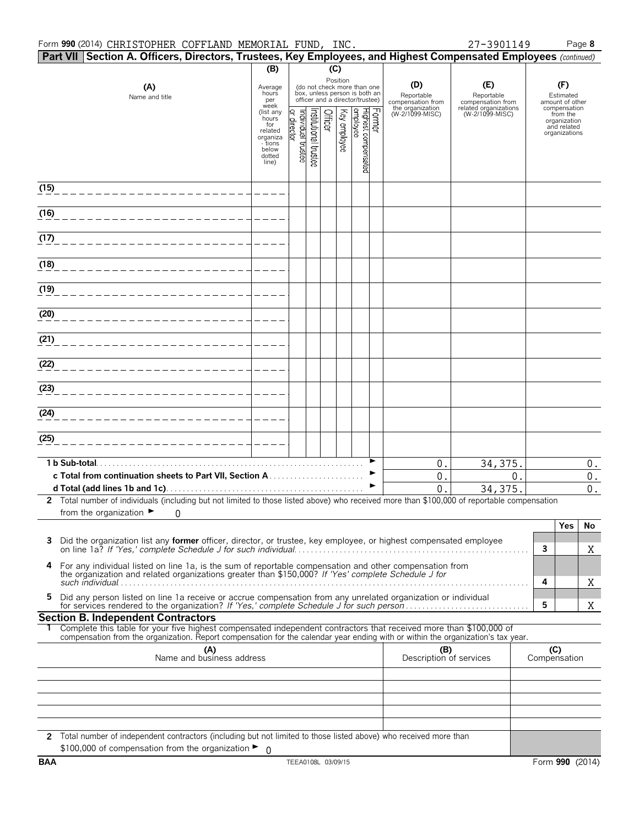### Form **990** (2014) Page **8** CHRISTOPHER COFFLAND MEMORIAL FUND, INC. 27-3901149

**1 b Sub-total**. . . . . . . . . . . . . . . . . . . . . . . . . . . . . . . . . . . . . . . . . . . . . . . . . . . . . . . . . . . . . . . . . G

| Part VII Section A. Officers, Directors, Trustees, Key Employees, and Highest Compensated Employees (continued) |                                                                                         |                                                                                                             |         |                              |                                  |                                        |                                          |                                                                          |
|-----------------------------------------------------------------------------------------------------------------|-----------------------------------------------------------------------------------------|-------------------------------------------------------------------------------------------------------------|---------|------------------------------|----------------------------------|----------------------------------------|------------------------------------------|--------------------------------------------------------------------------|
|                                                                                                                 | (B)                                                                                     |                                                                                                             | (C)     |                              |                                  |                                        |                                          |                                                                          |
| (A)<br>Name and title                                                                                           | Average<br>hours<br>per<br>week                                                         | Position<br>(do not check more than one<br>box, unless person is both an<br>officer and a director/trustee) |         |                              |                                  | (D)<br>Reportable<br>compensation from | (E)<br>Reportable<br>compensation from   | (F)<br>Estimated<br>amount of other                                      |
|                                                                                                                 | (list any<br>hours<br>for<br>related<br>organiza<br>- tions<br>below<br>dotted<br>line) | nstitutiona<br>ndividua<br>trustee<br>trustes                                                               | Officer | employee<br>ତ୍ରି<br>employee | Former<br>Highest<br>compensated | the organization<br>(W-2/1099-MISC)    | related organizations<br>(W-2/1099-MISC) | compensation<br>from the<br>organization<br>and related<br>organizations |
| 15)                                                                                                             |                                                                                         |                                                                                                             |         |                              |                                  |                                        |                                          |                                                                          |

 $\overline{\phantom{0}}$ 

|                                                                                                                                             |  |  |  |  |  |  | 34.375 |  |
|---------------------------------------------------------------------------------------------------------------------------------------------|--|--|--|--|--|--|--------|--|
| 2 Total number of individuals (including but not limited to those listed above) who received more than \$100,000 of reportable compensation |  |  |  |  |  |  |        |  |
| from the organization $\blacktriangleright$                                                                                                 |  |  |  |  |  |  |        |  |

| 4 For any individual listed on line 1a, is the sum of reportable compensation and other compensation from the organization and related organizations greater than \$150,000? If 'Yes' complete Schedule J for |  |  |  |  |  |  |
|---------------------------------------------------------------------------------------------------------------------------------------------------------------------------------------------------------------|--|--|--|--|--|--|
| such individual and a state of the state of the state of the state of the state of the state of the state of t                                                                                                |  |  |  |  |  |  |
| 5 Did any person listed on line 1a receive or accrue compensation from any unrelated organization or individual<br>for services rendered to the organization? If 'Yes,' complete Schedule J for such person   |  |  |  |  |  |  |

#### **Section B. Independent Contractors**

| Complete this table for your five highest compensated independent contractors that received more than \$100,000 of               |
|----------------------------------------------------------------------------------------------------------------------------------|
| compensation from the organization. Report compensation for the calendar year ending with or within the organization's tax year. |

|            | (A)<br>Name and business address                                                                                   | (B)<br>Description of services | (C)<br>Compensation |  |  |  |
|------------|--------------------------------------------------------------------------------------------------------------------|--------------------------------|---------------------|--|--|--|
|            |                                                                                                                    |                                |                     |  |  |  |
|            |                                                                                                                    |                                |                     |  |  |  |
|            |                                                                                                                    |                                |                     |  |  |  |
|            |                                                                                                                    |                                |                     |  |  |  |
|            |                                                                                                                    |                                |                     |  |  |  |
|            | 2 Total number of independent contractors (including but not limited to those listed above) who received more than |                                |                     |  |  |  |
|            | \$100,000 of compensation from the organization $\blacktriangleright$ 0                                            |                                |                     |  |  |  |
| <b>BAA</b> | TEEA0108L 03/09/15                                                                                                 |                                |                     |  |  |  |

 $(15)$ 

**(16)**

**(17)**

**(18)**

**(19)**

**(20)**

**(21)**

**(22)**

**(23)**

**(24)**

**(25)**

 $\overline{\phantom{0}}$ 

 $0.$  34,375. 0.  $0.$  0. 0. 0.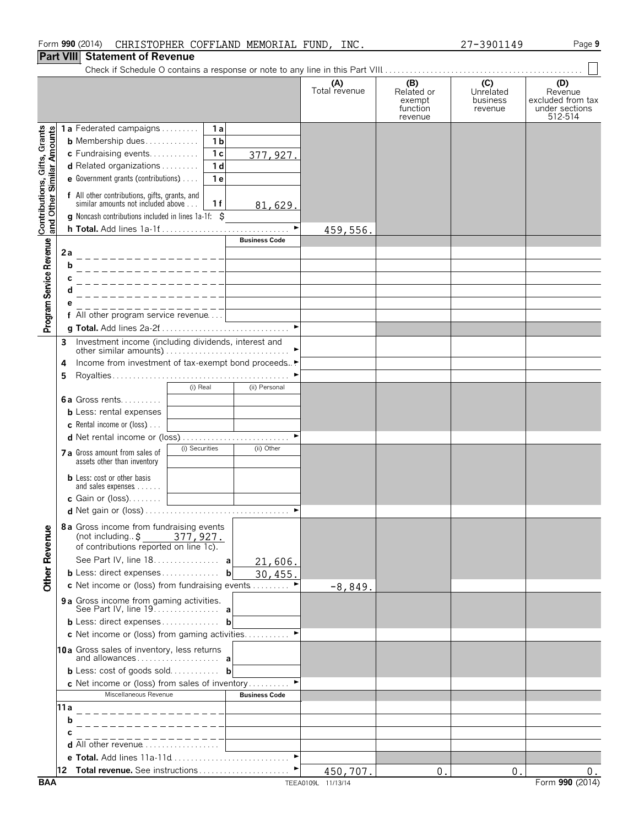# **Part VIII Statement of Revenue**

|                                                           |                                                                                                                                                                                                                                | (A)<br>Total revenue | (B)<br>Related or<br>exempt<br>function<br>revenue | (C)<br>Unrelated<br>business<br>revenue | (D)<br>Revenue<br>excluded from tax<br>under sections<br>512-514 |
|-----------------------------------------------------------|--------------------------------------------------------------------------------------------------------------------------------------------------------------------------------------------------------------------------------|----------------------|----------------------------------------------------|-----------------------------------------|------------------------------------------------------------------|
|                                                           | 1a Federated campaigns<br>1a<br><b>b</b> Membership dues<br>1 <sub>b</sub><br>c Fundraising events<br>1 <sub>c</sub><br>d Related organizations<br>1 d                                                                         | 377, 927.            |                                                    |                                         |                                                                  |
| Contributions, Gifts, Grants<br>and Other Similar Amounts | <b>e</b> Government grants (contributions) $\ldots$<br>1 e<br>f All other contributions, gifts, grants, and<br>similar amounts not included above<br>1 f<br><b>g</b> Noncash contributions included in lines $1a-1f$ : $\zeta$ | 81,629.              |                                                    |                                         |                                                                  |
|                                                           |                                                                                                                                                                                                                                | 459,556.             |                                                    |                                         |                                                                  |
|                                                           |                                                                                                                                                                                                                                | <b>Business Code</b> |                                                    |                                         |                                                                  |
| Program Service Revenue                                   | 2a<br>b<br>С<br>All other program service revenue                                                                                                                                                                              |                      |                                                    |                                         |                                                                  |
|                                                           | Investment income (including dividends, interest and<br>3                                                                                                                                                                      |                      |                                                    |                                         |                                                                  |
|                                                           | Income from investment of tax-exempt bond proceeds▶<br>4<br>5<br>(i) Real                                                                                                                                                      | (ii) Personal        |                                                    |                                         |                                                                  |
|                                                           | <b>6a</b> Gross rents<br><b>b</b> Less: rental expenses<br><b>c</b> Rental income or (loss) $\ldots$                                                                                                                           |                      |                                                    |                                         |                                                                  |
|                                                           | (i) Securities<br>7 a Gross amount from sales of<br>assets other than inventory                                                                                                                                                | (ii) Other           |                                                    |                                         |                                                                  |
|                                                           | <b>b</b> Less: cost or other basis<br>and sales expenses<br>c Gain or (loss). $\dots$ . $\blacksquare$                                                                                                                         |                      |                                                    |                                         |                                                                  |
| ۰<br><b>Other Revenu</b>                                  | 8a Gross income from fundraising events<br>(not including $\frac{277}{927}$ , 927.<br>See Part IV, line 18. a<br><b>b</b> Less: direct expenses <b>b</b>                                                                       | 21,606.              |                                                    |                                         |                                                                  |
|                                                           | c Net income or (loss) from fundraising events                                                                                                                                                                                 | 30,455.              |                                                    |                                         |                                                                  |
|                                                           | 9a Gross income from gaming activities.<br>See Part IV, line 19. a                                                                                                                                                             | $-8,849.$            |                                                    |                                         |                                                                  |
|                                                           | <b>b</b> Less: direct expenses <b>b</b>                                                                                                                                                                                        |                      |                                                    |                                         |                                                                  |
|                                                           | c Net income or (loss) from gaming activities ►                                                                                                                                                                                |                      |                                                    |                                         |                                                                  |
|                                                           | 10a Gross sales of inventory, less returns<br><b>b</b> Less: cost of goods sold <b>b</b>                                                                                                                                       |                      |                                                    |                                         |                                                                  |
|                                                           | c Net income or (loss) from sales of inventory ▶                                                                                                                                                                               |                      |                                                    |                                         |                                                                  |
|                                                           | Miscellaneous Revenue                                                                                                                                                                                                          | <b>Business Code</b> |                                                    |                                         |                                                                  |
|                                                           | 11 a                                                                                                                                                                                                                           |                      |                                                    |                                         |                                                                  |
|                                                           | b                                                                                                                                                                                                                              |                      |                                                    |                                         |                                                                  |
|                                                           | <b>d</b> All other revenue $\ldots, \ldots, \ldots, \ldots$                                                                                                                                                                    |                      |                                                    |                                         |                                                                  |
|                                                           | e Total. Add lines 11a-11d                                                                                                                                                                                                     |                      |                                                    |                                         |                                                                  |
|                                                           |                                                                                                                                                                                                                                | 450,707.             | 0.                                                 | $0$ .                                   | 0.                                                               |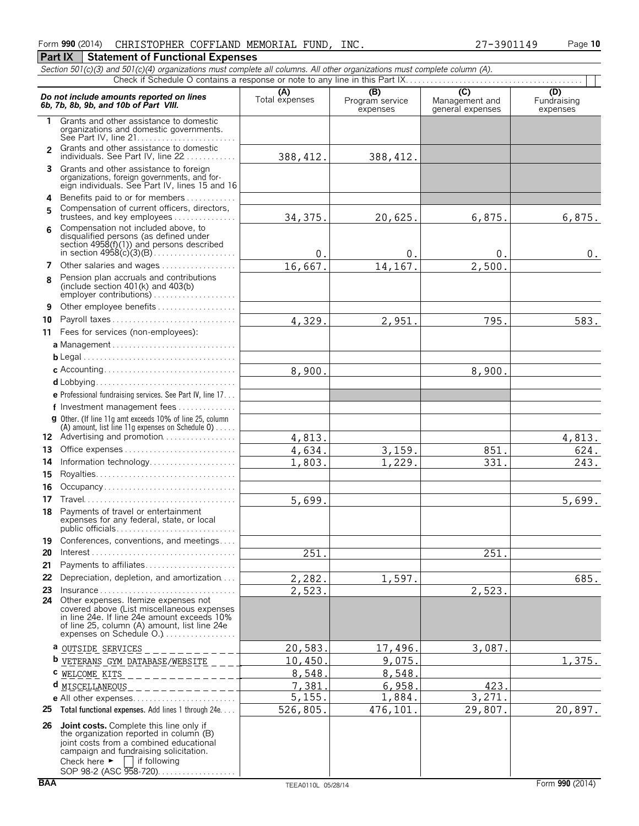**Part IX Statement of Functional Expenses** 

#### *Section 501(c)(3) and 501(c)(4) organizations must complete all columns. All other organizations must complete column (A).* Check if Schedule O contains a response or note to any line in this Part IX.. **(A) (B) (B) (C) (C) (D)**<br> **6b, 7b, 8b, 9b, and 10b of Part VIII. Expenses** Total expenses expenses expenses expenses expenses expenses **1** Grants and other assistance to domestic organizations and domestic governments. See Part IV, line 21. . . . . . . . . . . . . . . . . . . . . . . . Grants and other assistance to domestic **2** individuals. See Part IV, line 22 . . . . . . . . **3** Grants and other assistance to foreign organizations, foreign governments, and for-eign individuals. See Part IV, lines 15 and 16 **4** Benefits paid to or for members. . . . . . . . . . . . . Compensation of current officers, directors, **5** trustees, and key employees . . . . . . . . . . . . Compensation not included above, to **6** disqualified persons (as defined under section 4958(f)(1)) and persons described in section 4958(c)(3)(B). . . . . . . . . . . . . . . . . . . . **7** Other salaries and wages................. Pension plan accruals and contributions **8** (include section 401(k) and 403(b) employer contributions) . . . . . . . . . . . **9** Other employee benefits . . . . . . . . . **10** Payroll taxes . . . . . . . . . . . . . . . . . . . . . . . . . . . . . . **11** Fees for services (non-employees): **a** Management . . . . . . . . . . . . . . . . . . . . . . . . . . . . . . **b** Legal. . . . . . . . . . . . . . . . . . . . . . . . . . . . . . . . . . . . . . **c** Accounting. . . . . . . . . . . . . . . . . . . . . . . . . . . . . . . . **d** Lobbying. . . . . . . . . . . . . . . . . . . . . . . . . . . . . . . . . . **e** Professional fundraising services. See Part IV, line 17. . . **f** Investment management fees. . . . . . . . . . . . . . . **g** Other. (If line 11g amt exceeds 10% of line 25, column (A) amount, list line 11g expenses on Schedule  $0$ )..... 12 Advertising and promotion. . . . . . . . . . . . **13** Office expenses. . . . . . . . . . . . . . . . . . . . . . . . . . . . **14** Information technology. . . . . . . . . . . . . . **15** Royalties. . . . . . . . . . . . . . . . . . . . . . . . . . . . . . . . . . **16** Occupancy . . . . . . . . . . . . . **17** Travel. . . . . . . . . . . . . . . . . . . . . . . . . . . . . . . . . . . . . **18** Payments of travel or entertainment expenses for any federal, state, or local public officials. . . . . . . . . . . . . . . . . . . . . . . . . . . . . **19** Conferences, conventions, and meetings.... **20** Interest. . . . . . . . . . . . . . . . . . . . . . . . . . . . . . . . . . . . **21** Payments to affiliates. . . . . . . . . . . . . . . . . . . . . . **22** Depreciation, depletion, and amortization. . . . **23** Insurance . . . . . . . . . . . . . . . . . . . . . . . . . . . . . . . . . **24** Other expenses. Itemize expenses not covered above (List miscellaneous expenses in line 24e. If line 24e amount exceeds 10% of line 25, column (A) amount, list line 24e expenses on Schedule O.).................. **a** OUTSIDE SERVICES **b** VETERANS GYM DATABASE/WEBSITE **c** WELCOME KITS **d** MISCELLANEOUS**e** All other expenses....................... **25 Total functional expenses.** Add lines 1 through 24e. . . . **26 Joint costs.** Complete this line only if the organization reported in column (B) joint costs from a combined educational campaign and fundraising solicitation.<br>Check here  $\blacktriangleright \Box$  if following  $\Box$  if following SOP 98-2 (ASC 958-720). . . . . . . . . . . . . . 388.412. 34,375. 20,625. 6,875. 6,875.  $0.$  0. 0. 0. 0. 16,667. 14,167. 2,500. 4,329. 2,951. 795. 583. 8,900. | 8,900 4,813. 4,813. 4,634. 3,159. 851. 624. 1,803. 1,229. 331. 243. 5,699. 5,699. 251. 251.  $2,282.$  1,597. 1.597. 2,523. 2,523. 20,583. 17,496. 3,087. 10,450. 9,075. 1,375. 8,548. 8,548. 7,381. 6,958. 423. 5,155. 1,884. 3,271. 526,805. 476,101. 29,807. 20,897.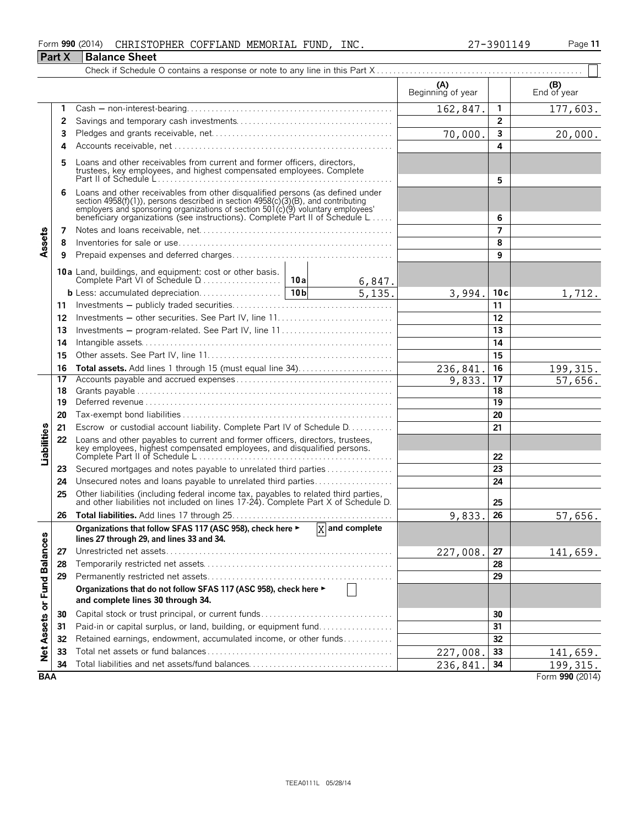#### Form **990** (2014) CHRISTOPHER COFFLAND MEMORIAL FUND,INC. 27-3901149 Page **11** CHRISTOPHER COFFLAND MEMORIAL FUND, INC. 27-3901149

|                             | <b>Part X</b> | <b>Balance Sheet</b>                                                                                                                                                                                                                                                                                                 |                                                     |                   |                          |                 |                      |  |  |  |
|-----------------------------|---------------|----------------------------------------------------------------------------------------------------------------------------------------------------------------------------------------------------------------------------------------------------------------------------------------------------------------------|-----------------------------------------------------|-------------------|--------------------------|-----------------|----------------------|--|--|--|
|                             |               |                                                                                                                                                                                                                                                                                                                      |                                                     |                   |                          |                 |                      |  |  |  |
|                             |               |                                                                                                                                                                                                                                                                                                                      |                                                     |                   | (A)<br>Beginning of year |                 | (B)<br>End of year   |  |  |  |
|                             | 1             |                                                                                                                                                                                                                                                                                                                      |                                                     |                   | 162,847.                 | $\mathbf{1}$    | 177,603.             |  |  |  |
|                             | 2             |                                                                                                                                                                                                                                                                                                                      |                                                     |                   |                          | $\overline{2}$  |                      |  |  |  |
|                             | 3             |                                                                                                                                                                                                                                                                                                                      |                                                     |                   | 70,000.                  | $\mathbf{3}$    | 20,000.              |  |  |  |
|                             | Δ             |                                                                                                                                                                                                                                                                                                                      |                                                     |                   |                          | 4               |                      |  |  |  |
|                             | 5             | Loans and other receivables from current and former officers, directors,<br>trustees, key employees, and highest compensated employees. Complete                                                                                                                                                                     |                                                     |                   |                          | 5               |                      |  |  |  |
|                             | 6             | Loans and other receivables from other disqualified persons (as defined under<br>section 4958(f)(1)), persons described in section 4958(c)(3)(B), and contributing<br>employers and sponsoring organizations of section 501(c)(9) voluntary employees<br>beneficiary organizations (see instructions). Complete Part |                                                     |                   |                          | 6               |                      |  |  |  |
|                             | 7             |                                                                                                                                                                                                                                                                                                                      |                                                     |                   | 7                        |                 |                      |  |  |  |
| Assets                      | 8             |                                                                                                                                                                                                                                                                                                                      |                                                     |                   |                          | 8               |                      |  |  |  |
|                             | 9             |                                                                                                                                                                                                                                                                                                                      |                                                     |                   |                          | 9               |                      |  |  |  |
|                             |               |                                                                                                                                                                                                                                                                                                                      |                                                     |                   |                          |                 |                      |  |  |  |
|                             |               |                                                                                                                                                                                                                                                                                                                      |                                                     | 6,847.            |                          |                 |                      |  |  |  |
|                             |               |                                                                                                                                                                                                                                                                                                                      |                                                     | $\frac{1}{5,135}$ | 3,994.                   | 10c             | 1,712.               |  |  |  |
|                             | 11            |                                                                                                                                                                                                                                                                                                                      |                                                     |                   |                          | 11              |                      |  |  |  |
|                             | 12            |                                                                                                                                                                                                                                                                                                                      |                                                     |                   |                          | 12<br>13        |                      |  |  |  |
|                             | 13            |                                                                                                                                                                                                                                                                                                                      | Investments - program-related. See Part IV, line 11 |                   |                          |                 |                      |  |  |  |
|                             | 14            |                                                                                                                                                                                                                                                                                                                      |                                                     |                   |                          |                 |                      |  |  |  |
|                             | 15            |                                                                                                                                                                                                                                                                                                                      |                                                     |                   |                          | 15              |                      |  |  |  |
|                             | 16<br>17      | Total assets. Add lines 1 through 15 (must equal line 34)                                                                                                                                                                                                                                                            |                                                     |                   | 236,841.<br>9,833.       | 16<br>17        | 199, 315.<br>57,656. |  |  |  |
|                             | 18            |                                                                                                                                                                                                                                                                                                                      |                                                     |                   |                          | $\overline{18}$ |                      |  |  |  |
|                             | 19            |                                                                                                                                                                                                                                                                                                                      |                                                     |                   |                          | $\overline{19}$ |                      |  |  |  |
|                             | 20            |                                                                                                                                                                                                                                                                                                                      |                                                     |                   |                          | 20              |                      |  |  |  |
|                             | 21            | Escrow or custodial account liability. Complete Part IV of Schedule D.                                                                                                                                                                                                                                               |                                                     |                   |                          | 21              |                      |  |  |  |
| Liabilities                 | 22            | Loans and other payables to current and former officers, directors, trustees,<br>key employees, highest compensated employees, and disqualified persons.                                                                                                                                                             |                                                     |                   |                          | 22              |                      |  |  |  |
|                             | 23            | Secured mortgages and notes payable to unrelated third parties                                                                                                                                                                                                                                                       |                                                     |                   |                          | 23              |                      |  |  |  |
|                             | 24            | Unsecured notes and loans payable to unrelated third parties                                                                                                                                                                                                                                                         |                                                     |                   |                          | 24              |                      |  |  |  |
|                             | 25            | Other liabilities (including federal income tax, payables to related third parties, and other liabilities not included on lines 17-24). Complete Part X of Schedule D.                                                                                                                                               |                                                     |                   |                          | 25              |                      |  |  |  |
|                             | 26            |                                                                                                                                                                                                                                                                                                                      |                                                     |                   | 9,833.                   | 26              | 57,656.              |  |  |  |
|                             |               | Organizations that follow SFAS 117 (ASC 958), check here ►<br>lines 27 through 29, and lines 33 and 34.                                                                                                                                                                                                              |                                                     | and complete<br>X |                          |                 |                      |  |  |  |
|                             | 27            |                                                                                                                                                                                                                                                                                                                      |                                                     |                   | 227,008.                 | 27              | 141,659.             |  |  |  |
|                             | 28            |                                                                                                                                                                                                                                                                                                                      |                                                     |                   |                          | 28              |                      |  |  |  |
|                             | 29            |                                                                                                                                                                                                                                                                                                                      |                                                     |                   |                          | 29              |                      |  |  |  |
| Net Assets or Fund Balances |               | Organizations that do not follow SFAS 117 (ASC 958), check here ►<br>and complete lines 30 through 34.                                                                                                                                                                                                               |                                                     |                   |                          |                 |                      |  |  |  |
|                             | 30            |                                                                                                                                                                                                                                                                                                                      |                                                     |                   |                          | 30              |                      |  |  |  |
|                             | 31            | Paid-in or capital surplus, or land, building, or equipment fund                                                                                                                                                                                                                                                     |                                                     |                   |                          | 31              |                      |  |  |  |
|                             | 32            | Retained earnings, endowment, accumulated income, or other funds                                                                                                                                                                                                                                                     |                                                     |                   |                          | 32              |                      |  |  |  |
|                             | 33            |                                                                                                                                                                                                                                                                                                                      |                                                     |                   | 227,008.                 | 33              | 141,659.             |  |  |  |
|                             | 34            | Total liabilities and net assets/fund balances                                                                                                                                                                                                                                                                       |                                                     |                   | 236,841                  | 34              | 199, 315.            |  |  |  |
| <b>BAA</b>                  |               |                                                                                                                                                                                                                                                                                                                      |                                                     |                   |                          |                 | Form 990 (2014)      |  |  |  |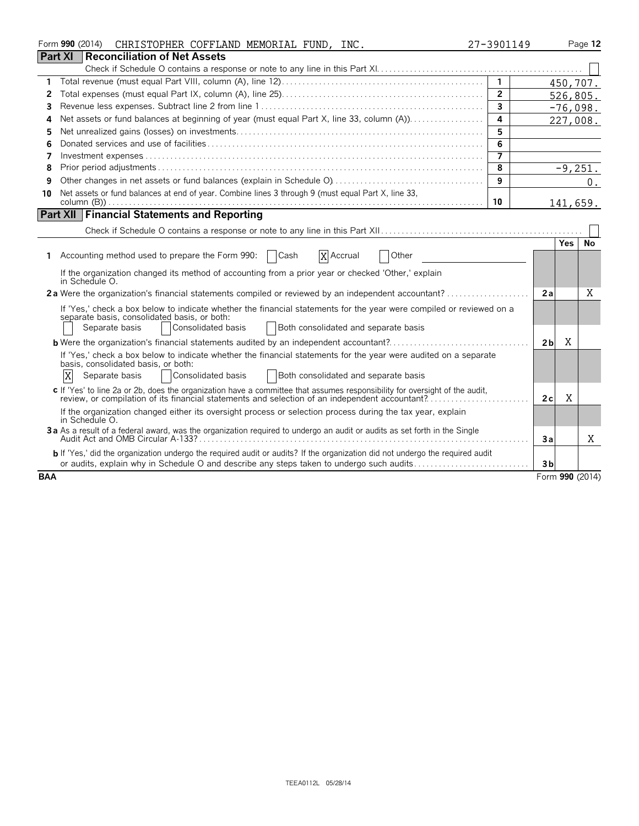|            | Form 990 (2014)<br>CHRISTOPHER COFFLAND MEMORIAL FUND, INC.                                                                                                                                                                                          | 27-3901149     |                |           | Page 12            |
|------------|------------------------------------------------------------------------------------------------------------------------------------------------------------------------------------------------------------------------------------------------------|----------------|----------------|-----------|--------------------|
|            | <b>Part XI</b><br>Reconciliation of Net Assets                                                                                                                                                                                                       |                |                |           |                    |
|            |                                                                                                                                                                                                                                                      |                |                |           |                    |
| 1          |                                                                                                                                                                                                                                                      | $\overline{1}$ |                |           | 450,707.           |
| 2          |                                                                                                                                                                                                                                                      | $\overline{2}$ |                |           | 526,805.           |
| 3          |                                                                                                                                                                                                                                                      | $\mathbf{3}$   |                |           | $-76,098.$         |
| 4          |                                                                                                                                                                                                                                                      | 4              |                |           | 227,008.           |
| 5          |                                                                                                                                                                                                                                                      | 5              |                |           |                    |
| 6          |                                                                                                                                                                                                                                                      | 6              |                |           |                    |
| 7          |                                                                                                                                                                                                                                                      | $\overline{7}$ |                |           |                    |
| 8          |                                                                                                                                                                                                                                                      | 8              |                | $-9,251.$ |                    |
| 9          |                                                                                                                                                                                                                                                      | 9              |                |           | $\boldsymbol{0}$ . |
| 10         | Net assets or fund balances at end of year. Combine lines 3 through 9 (must equal Part X, line 33,                                                                                                                                                   |                |                |           |                    |
|            |                                                                                                                                                                                                                                                      | 10             |                |           | 141,659.           |
|            | <b>Part XII Financial Statements and Reporting</b>                                                                                                                                                                                                   |                |                |           |                    |
|            |                                                                                                                                                                                                                                                      |                |                |           |                    |
|            |                                                                                                                                                                                                                                                      |                |                | Yes   No  |                    |
|            | X Accrual<br>1 Accounting method used to prepare the Form 990:<br>Cash<br>Other                                                                                                                                                                      |                |                |           |                    |
|            | If the organization changed its method of accounting from a prior year or checked 'Other,' explain<br>in Schedule O.                                                                                                                                 |                |                |           |                    |
|            | 2a Were the organization's financial statements compiled or reviewed by an independent accountant?                                                                                                                                                   |                | 2a             |           | X                  |
|            | If 'Yes,' check a box below to indicate whether the financial statements for the year were compiled or reviewed on a<br>separate basis, consolidated basis, or both:<br>Separate basis<br>Consolidated basis<br>Both consolidated and separate basis |                |                |           |                    |
|            |                                                                                                                                                                                                                                                      |                | 2 <sub>b</sub> | X         |                    |
|            | If 'Yes,' check a box below to indicate whether the financial statements for the year were audited on a separate<br>basis, consolidated basis, or both:<br>X<br>Consolidated basis<br><b>Both consolidated and separate basis</b><br>Separate basis  |                |                |           |                    |
|            | c If 'Yes' to line 2a or 2b, does the organization have a committee that assumes responsibility for oversight of the audit,<br>review, or compilation of its financial statements and selection of an independent accountant?                        |                | 2c             | X         |                    |
|            | If the organization changed either its oversight process or selection process during the tax year, explain<br>in Schedule O.                                                                                                                         |                |                |           |                    |
|            | 3a As a result of a federal award, was the organization required to undergo an audit or audits as set forth in the Single                                                                                                                            |                | 3a             |           | Χ                  |
|            | b If 'Yes,' did the organization undergo the required audit or audits? If the organization did not undergo the required audit<br>or audits, explain why in Schedule O and describe any steps taken to undergo such audits                            |                | 3 <sub>b</sub> |           |                    |
| <b>BAA</b> |                                                                                                                                                                                                                                                      |                |                |           | Form 990 (2014)    |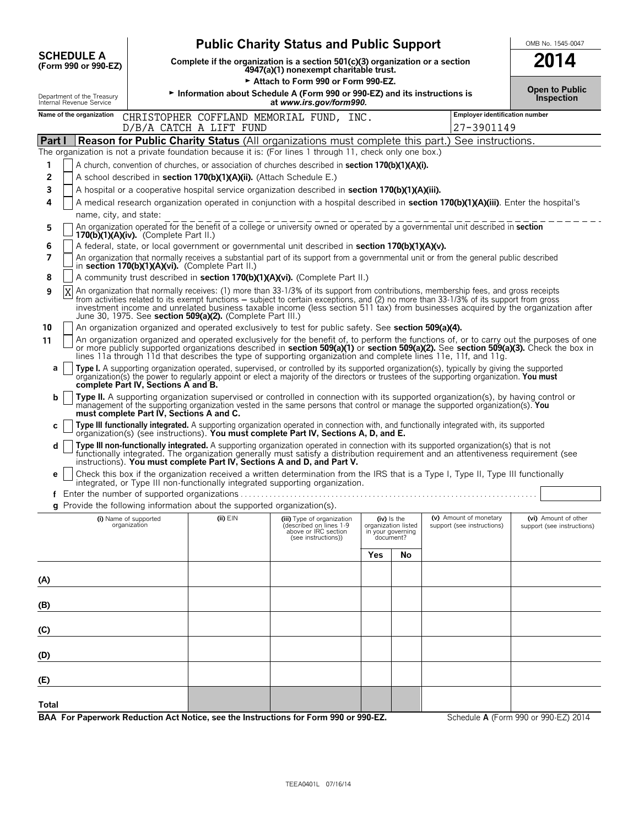|                                                        | <b>Public Charity Status and Public Support</b> | OMB No. 1545-0047                                                    |                                                                                                                                                                                                                                                                                                                                                                                                    |     |                                                                        |                                                      |                                                    |
|--------------------------------------------------------|-------------------------------------------------|----------------------------------------------------------------------|----------------------------------------------------------------------------------------------------------------------------------------------------------------------------------------------------------------------------------------------------------------------------------------------------------------------------------------------------------------------------------------------------|-----|------------------------------------------------------------------------|------------------------------------------------------|----------------------------------------------------|
| <b>SCHEDULE A</b><br>(Form 990 or 990-EZ)              |                                                 |                                                                      | Complete if the organization is a section 501(c)(3) organization or a section<br>4947(a)(1) nonexempt charitable trust.<br>Attach to Form 990 or Form 990-EZ.                                                                                                                                                                                                                                      |     |                                                                        |                                                      | 2014                                               |
| Department of the Treasury<br>Internal Revenue Service |                                                 |                                                                      | Information about Schedule A (Form 990 or 990-EZ) and its instructions is<br>at www.irs.gov/form990.                                                                                                                                                                                                                                                                                               |     |                                                                        |                                                      | Open to Public<br><b>Inspection</b>                |
| Name of the organization                               |                                                 | D/B/A CATCH A LIFT FUND                                              | CHRISTOPHER COFFLAND MEMORIAL FUND, INC.                                                                                                                                                                                                                                                                                                                                                           |     |                                                                        | <b>Employer identification number</b><br>27-3901149  |                                                    |
| Part I                                                 |                                                 |                                                                      | <b>Reason for Public Charity Status (All organizations must complete this part.) See instructions.</b>                                                                                                                                                                                                                                                                                             |     |                                                                        |                                                      |                                                    |
|                                                        |                                                 |                                                                      | The organization is not a private foundation because it is: (For lines 1 through 11, check only one box.)                                                                                                                                                                                                                                                                                          |     |                                                                        |                                                      |                                                    |
| 1<br>$\overline{2}$                                    |                                                 | A school described in section 170(b)(1)(A)(ii). (Attach Schedule E.) | A church, convention of churches, or association of churches described in section 170(b)(1)(A)(i).                                                                                                                                                                                                                                                                                                 |     |                                                                        |                                                      |                                                    |
| 3                                                      |                                                 |                                                                      | A hospital or a cooperative hospital service organization described in section 170(b)(1)(A)(iii).                                                                                                                                                                                                                                                                                                  |     |                                                                        |                                                      |                                                    |
| 4<br>name, city, and state:                            |                                                 |                                                                      | A medical research organization operated in conjunction with a hospital described in section 170(b)(1)(A)(iii). Enter the hospital's                                                                                                                                                                                                                                                               |     |                                                                        |                                                      |                                                    |
| 5                                                      | 170(b)(1)(A)(iv). (Complete Part II.)           |                                                                      | An organization operated for the benefit of a college or university owned or operated by a governmental unit described in section                                                                                                                                                                                                                                                                  |     |                                                                        |                                                      |                                                    |
| 6                                                      |                                                 |                                                                      | A federal, state, or local government or governmental unit described in section 170(b)(1)(A)(v).                                                                                                                                                                                                                                                                                                   |     |                                                                        |                                                      |                                                    |
| 7                                                      |                                                 | in section 170(b)(1)(A)(vi). (Complete Part II.)                     | An organization that normally receives a substantial part of its support from a governmental unit or from the general public described                                                                                                                                                                                                                                                             |     |                                                                        |                                                      |                                                    |
| 8                                                      |                                                 |                                                                      | A community trust described in section 170(b)(1)(A)(vi). (Complete Part II.)                                                                                                                                                                                                                                                                                                                       |     |                                                                        |                                                      |                                                    |
| X<br>9                                                 |                                                 | June 30, 1975. See section 509(a)(2). (Complete Part III.)           | An organization that normally receives: (1) more than 33-1/3% of its support from contributions, membership fees, and gross receipts from activities related to its exempt functions – subject to certain exceptions, and (2)<br>investment income and unrelated business taxable income (less section 511 tax) from businesses acquired by the organization after                                 |     |                                                                        |                                                      |                                                    |
| 10                                                     |                                                 |                                                                      | An organization organized and operated exclusively to test for public safety. See section 509(a)(4).                                                                                                                                                                                                                                                                                               |     |                                                                        |                                                      |                                                    |
| 11                                                     |                                                 |                                                                      | An organization organized and operated exclusively for the benefit of, to perform the functions of, or to carry out the purposes of one<br>or more publicly supported organizations described in section 509(a)(1) or section 509(a)(2). See section 509(a)(3). Check the box in<br>lines 11a through 11d that describes the type of supporting organization and complete lines 11e, 11f, and 11g. |     |                                                                        |                                                      |                                                    |
| a                                                      | complete Part IV, Sections A and B.             |                                                                      | Type I. A supporting organization operated, supervised, or controlled by its supported organization(s), typically by giving the supported<br>organization(s) the power to regularly appoint or elect a majority of the directors or trustees of the supporting organization. You must                                                                                                              |     |                                                                        |                                                      |                                                    |
| b                                                      | must complete Part IV, Sections A and C.        |                                                                      | Type II. A supporting organization supervised or controlled in connection with its supported organization(s), by having control or<br>management of the supporting organization vested in the same persons that control or manage the supported organization(s). You                                                                                                                               |     |                                                                        |                                                      |                                                    |
| c                                                      |                                                 |                                                                      | Type III functionally integrated. A supporting organization operated in connection with, and functionally integrated with, its supported organization(s) (see instructions). You must complete Part IV, Sections A, D, and E.                                                                                                                                                                      |     |                                                                        |                                                      |                                                    |
| d                                                      |                                                 |                                                                      | Type III non-functionally integrated. A supporting organization operated in connection with its supported organization(s) that is not<br>functionally integrated. The organization generally must satisfy a distribution requirement and an attentiveness requirement (see instructions). You must complete Part IV, Sections A and D, and Part V.                                                 |     |                                                                        |                                                      |                                                    |
| е                                                      |                                                 |                                                                      | Check this box if the organization received a written determination from the IRS that is a Type I, Type II, Type III functionally<br>integrated, or Type III non-functionally integrated supporting organization.                                                                                                                                                                                  |     |                                                                        |                                                      |                                                    |
|                                                        |                                                 |                                                                      |                                                                                                                                                                                                                                                                                                                                                                                                    |     |                                                                        |                                                      |                                                    |
|                                                        |                                                 |                                                                      | Provide the following information about the supported organization(s).                                                                                                                                                                                                                                                                                                                             |     |                                                                        |                                                      |                                                    |
|                                                        | (i) Name of supported<br>organization           | (ii) EIN                                                             | (iii) Type of organization<br>(described on lines 1-9<br>above or IRC section<br>(see instructions))                                                                                                                                                                                                                                                                                               |     | $(iv)$ is the<br>organization listed<br>in your governing<br>document? | (v) Amount of monetary<br>support (see instructions) | (vi) Amount of other<br>support (see instructions) |
|                                                        |                                                 |                                                                      |                                                                                                                                                                                                                                                                                                                                                                                                    | Yes | No                                                                     |                                                      |                                                    |
| (A)                                                    |                                                 |                                                                      |                                                                                                                                                                                                                                                                                                                                                                                                    |     |                                                                        |                                                      |                                                    |
| (B)                                                    |                                                 |                                                                      |                                                                                                                                                                                                                                                                                                                                                                                                    |     |                                                                        |                                                      |                                                    |
| (C)                                                    |                                                 |                                                                      |                                                                                                                                                                                                                                                                                                                                                                                                    |     |                                                                        |                                                      |                                                    |
| (D)                                                    |                                                 |                                                                      |                                                                                                                                                                                                                                                                                                                                                                                                    |     |                                                                        |                                                      |                                                    |
| (E)                                                    |                                                 |                                                                      |                                                                                                                                                                                                                                                                                                                                                                                                    |     |                                                                        |                                                      |                                                    |
| Total                                                  |                                                 |                                                                      |                                                                                                                                                                                                                                                                                                                                                                                                    |     |                                                                        |                                                      |                                                    |
|                                                        |                                                 |                                                                      | BAA For Paperwork Reduction Act Notice, see the Instructions for Form 990 or 990-EZ.                                                                                                                                                                                                                                                                                                               |     |                                                                        |                                                      | Schedule A (Form 990 or 990-EZ) 2014               |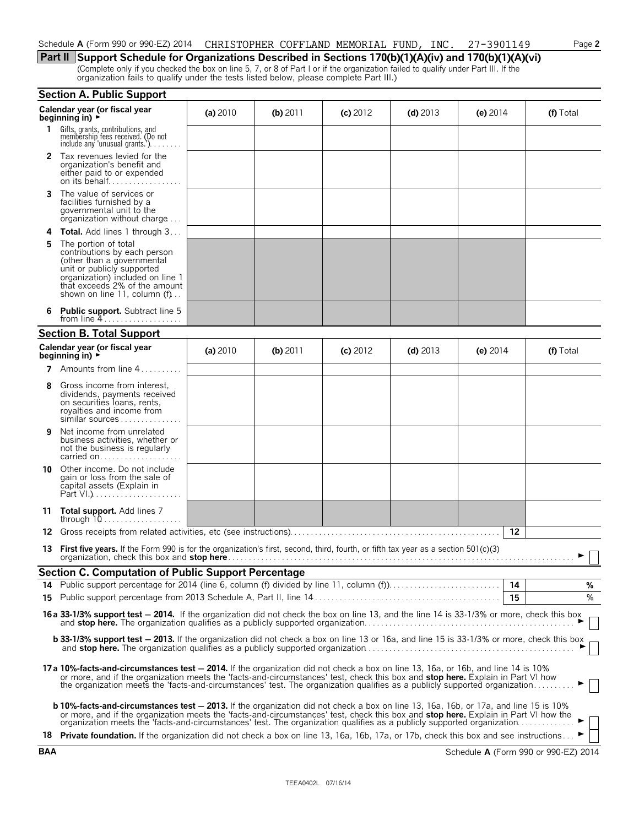# Schedule **A** (Form 990 or 990-EZ) 2014 CHRISTOPHER COFFLAND MEMORIAL FUND, INC. 27-3901149 Page 2

(Complete only if you checked the box on line 5, 7, or 8 of Part I or if the organization failed to qualify under Part III. If the organization fails to qualify under the tests listed below, please complete Part III.)

|    | <b>Section A. Public Support</b>                                                                                                                                                                                                                                                                                                                                             |          |            |            |            |            |           |
|----|------------------------------------------------------------------------------------------------------------------------------------------------------------------------------------------------------------------------------------------------------------------------------------------------------------------------------------------------------------------------------|----------|------------|------------|------------|------------|-----------|
|    | Calendar year (or fiscal year<br>beginning in) $\rightarrow$                                                                                                                                                                                                                                                                                                                 | (a) 2010 | (b) $2011$ | $(c)$ 2012 | $(d)$ 2013 | (e) $2014$ | (f) Total |
| 1. | Gifts, grants, contributions, and<br>membership fees received. (Do not<br>include any 'unusual grants.')                                                                                                                                                                                                                                                                     |          |            |            |            |            |           |
|    | 2 Tax revenues levied for the<br>organization's benefit and<br>either paid to or expended<br>on its behalf                                                                                                                                                                                                                                                                   |          |            |            |            |            |           |
| 3. | The value of services or<br>facilities furnished by a<br>governmental unit to the<br>organization without charge                                                                                                                                                                                                                                                             |          |            |            |            |            |           |
| 4  | <b>Total.</b> Add lines 1 through 3                                                                                                                                                                                                                                                                                                                                          |          |            |            |            |            |           |
| 5  | The portion of total<br>contributions by each person<br>(other than a governmental<br>unit or publicly supported<br>organization) included on line 1<br>that exceeds 2% of the amount<br>shown on line 11, column $(f)$                                                                                                                                                      |          |            |            |            |            |           |
| 6  | <b>Public support.</b> Subtract line 5<br>from line $4$                                                                                                                                                                                                                                                                                                                      |          |            |            |            |            |           |
|    | <b>Section B. Total Support</b>                                                                                                                                                                                                                                                                                                                                              |          |            |            |            |            |           |
|    | Calendar year (or fiscal year<br>beginning in) $\rightarrow$                                                                                                                                                                                                                                                                                                                 | (a) 2010 | (b) $2011$ | $(c)$ 2012 | $(d)$ 2013 | (e) $2014$ | (f) Total |
| 7  | Amounts from line 4                                                                                                                                                                                                                                                                                                                                                          |          |            |            |            |            |           |
| 8  | Gross income from interest,<br>dividends, payments received<br>on securities loans, rents,<br>royalties and income from<br>similar sources                                                                                                                                                                                                                                   |          |            |            |            |            |           |
| 9  | Net income from unrelated<br>business activities, whether or<br>not the business is regularly<br>carried on                                                                                                                                                                                                                                                                  |          |            |            |            |            |           |
| 10 | Other income. Do not include<br>gain or loss from the sale of<br>capital assets (Explain in                                                                                                                                                                                                                                                                                  |          |            |            |            |            |           |
|    | 11 Total support. Add lines 7                                                                                                                                                                                                                                                                                                                                                |          |            |            |            |            |           |
| 12 |                                                                                                                                                                                                                                                                                                                                                                              |          |            |            |            | 12         |           |
| 13 | <b>First five years.</b> If the Form 990 is for the organization's first, second, third, fourth, or fifth tax year as a section 501 $(c)(3)$<br>organization, check this box and stop here.                                                                                                                                                                                  |          |            |            |            |            |           |
|    | <b>Section C. Computation of Public Support Percentage</b>                                                                                                                                                                                                                                                                                                                   |          |            |            |            |            |           |
|    |                                                                                                                                                                                                                                                                                                                                                                              |          |            |            |            |            | %         |
|    |                                                                                                                                                                                                                                                                                                                                                                              |          |            |            |            | 15         | $\%$      |
|    | 16a 33-1/3% support test - 2014. If the organization did not check the box on line 13, and the line 14 is 33-1/3% or more, check this box                                                                                                                                                                                                                                    |          |            |            |            |            |           |
|    | <b>b 33-1/3% support test - 2013.</b> If the organization did not check a box on line 13 or 16a, and line 15 is 33-1/3% or more, check this box                                                                                                                                                                                                                              |          |            |            |            |            |           |
|    | 17a 10%-facts-and-circumstances test - 2014. If the organization did not check a box on line 13, 16a, or 16b, and line 14 is 10%<br>or more, and if the organization meets the 'facts-and-circumstances' test, check this box and <b>stop here.</b> Explain in Part VI how<br>the organization meets the 'facts-and-circumstances' test. The organization qualifies as a p   |          |            |            |            |            |           |
|    | <b>b 10%-facts-and-circumstances test - 2013.</b> If the organization did not check a box on line 13, 16a, 16b, or 17a, and line 15 is 10%<br>or more, and if the organization meets the 'facts-and-circumstances' test, check this box and stop here. Explain in Part VI how the organization meets the 'facts-and-circumstances' test. The organization qualifies as a pub |          |            |            |            |            |           |
|    | 18 Private foundation. If the organization did not check a box on line 13, 16a, 16b, 17a, or 17b, check this box and see instructions                                                                                                                                                                                                                                        |          |            |            |            |            |           |

**Part II Support Schedule for Organizations Described in Sections 170(b)(1)(A)(iv) and 170(b)(1)(A)(vi)**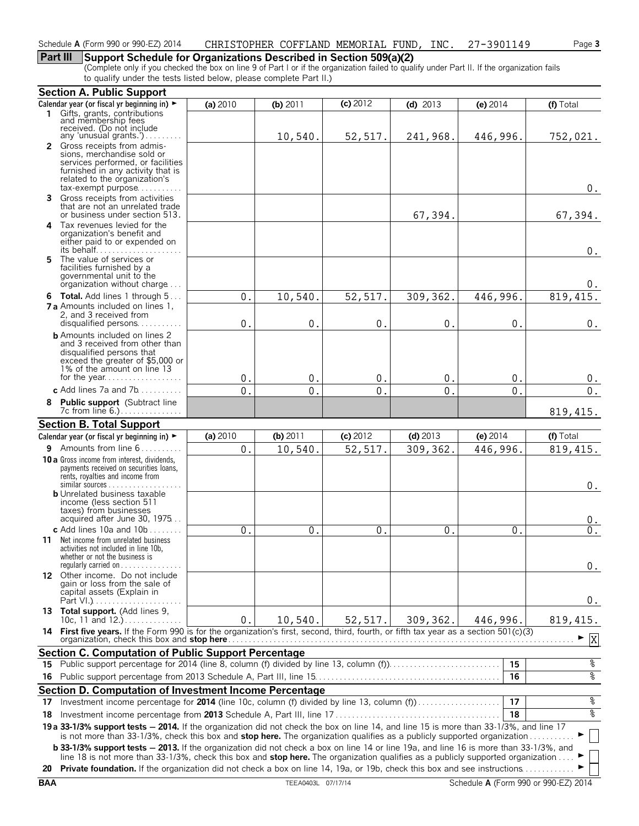# **Part III Support Schedule for Organizations Described in Section 509(a)(2)**

(Complete only if you checked the box on line 9 of Part I or if the organization failed to qualify under Part II. If the organization fails to qualify under the tests listed below, please complete Part II.)

|            | <b>Section A. Public Support</b>                                                                                                                                                                                                                                  |               |                    |                |               |                                      |                    |
|------------|-------------------------------------------------------------------------------------------------------------------------------------------------------------------------------------------------------------------------------------------------------------------|---------------|--------------------|----------------|---------------|--------------------------------------|--------------------|
|            | Calendar year (or fiscal yr beginning in) $\blacktriangleright$                                                                                                                                                                                                   | (a) 2010      | (b) $2011$         | (c) 2012       | (d) $2013$    | (e) 2014                             | (f) Total          |
|            | 1 Gifts, grants, contributions<br>and membership fees<br>received. (Do not include                                                                                                                                                                                |               |                    |                |               |                                      |                    |
|            | any 'unusual grants.')                                                                                                                                                                                                                                            |               | 10,540.            | 52,517.        | 241,968.      | 446,996.                             | 752,021.           |
|            | 2 Gross receipts from admis-                                                                                                                                                                                                                                      |               |                    |                |               |                                      |                    |
|            | sions, merchandise sold or                                                                                                                                                                                                                                        |               |                    |                |               |                                      |                    |
|            | services performed, or facilities<br>furnished in any activity that is                                                                                                                                                                                            |               |                    |                |               |                                      |                    |
|            | related to the organization's                                                                                                                                                                                                                                     |               |                    |                |               |                                      |                    |
|            | tax-exempt purpose                                                                                                                                                                                                                                                |               |                    |                |               |                                      | $0$ .              |
|            | 3 Gross receipts from activities<br>that are not an unrelated trade<br>or business under section 513.                                                                                                                                                             |               |                    |                | 67,394.       |                                      | 67,394.            |
| 4          | Tax revenues levied for the                                                                                                                                                                                                                                       |               |                    |                |               |                                      |                    |
|            | organization's benefit and<br>either paid to or expended on                                                                                                                                                                                                       |               |                    |                |               |                                      | 0.                 |
| 5.         | The value of services or                                                                                                                                                                                                                                          |               |                    |                |               |                                      |                    |
|            | facilities furnished by a                                                                                                                                                                                                                                         |               |                    |                |               |                                      |                    |
|            | governmental unit to the<br>organization without charge                                                                                                                                                                                                           |               |                    |                |               |                                      | 0.                 |
|            | 6 Total. Add lines 1 through 5                                                                                                                                                                                                                                    |               |                    |                |               | 446,996.                             |                    |
|            | <b>7 a</b> Amounts included on lines 1,                                                                                                                                                                                                                           | 0.            | 10,540             | 52,517.        | 309, 362.     |                                      | 819, 415.          |
|            | 2, and 3 received from<br>disqualified persons                                                                                                                                                                                                                    | 0.            | 0.                 | $\mathbf 0$ .  | 0.            | 0.                                   | $0$ .              |
|            | <b>b</b> Amounts included on lines 2                                                                                                                                                                                                                              |               |                    |                |               |                                      |                    |
|            | and 3 received from other than<br>disqualified persons that<br>exceed the greater of \$5,000 or                                                                                                                                                                   |               |                    |                |               |                                      |                    |
|            | 1% of the amount on line 13                                                                                                                                                                                                                                       | 0.            | $\mathbf{0}$ .     | $\mathbf 0$ .  | 0.            | 0.                                   | 0.                 |
|            | c Add lines 7a and $7b$                                                                                                                                                                                                                                           | $\mathbf 0$ . | $\mathbf{0}$ .     | $\mathbf{0}$ . | $\mathbf 0$ . | 0.                                   | $\boldsymbol{0}$ . |
|            | 8 Public support (Subtract line                                                                                                                                                                                                                                   |               |                    |                |               |                                      |                    |
|            | 7c from line 6.)                                                                                                                                                                                                                                                  |               |                    |                |               |                                      | 819, 415.          |
|            | <b>Section B. Total Support</b>                                                                                                                                                                                                                                   |               |                    |                |               |                                      |                    |
|            | Calendar year (or fiscal yr beginning in) $\blacktriangleright$                                                                                                                                                                                                   | (a) $2010$    | (b) 2011           | $(c)$ 2012     | $(d)$ 2013    | (e) $2014$                           | (f) Total          |
|            | 9 Amounts from line 6                                                                                                                                                                                                                                             | 0.            | 10,540             | 52, 517.       | 309,362.      | 446,996.                             | 819, 415.          |
|            | 10 a Gross income from interest, dividends,<br>payments received on securities loans,<br>rents, royalties and income from<br>$similar$ sources $\ldots \ldots \ldots \ldots$                                                                                      |               |                    |                |               |                                      |                    |
|            | <b>b</b> Unrelated business taxable                                                                                                                                                                                                                               |               |                    |                |               |                                      | $0$ .              |
|            | income (less section 511                                                                                                                                                                                                                                          |               |                    |                |               |                                      |                    |
|            | taxes) from businesses<br>acquired after June 30, 1975                                                                                                                                                                                                            |               |                    |                |               |                                      |                    |
|            | c Add lines $10a$ and $10b$                                                                                                                                                                                                                                       |               |                    |                |               |                                      | 0.                 |
|            | <b>11</b> Net income from unrelated business                                                                                                                                                                                                                      | $\mathbf 0$   | 0                  | $\mathbf{0}$   | 0             | $\Omega$                             | $0$ .              |
|            | activities not included in line 10b,<br>whether or not the business is<br>regularly carried on $\dots\dots\dots\dots\dots$                                                                                                                                        |               |                    |                |               |                                      | 0.                 |
|            | 12 Other income. Do not include                                                                                                                                                                                                                                   |               |                    |                |               |                                      |                    |
|            | gain or loss from the sale of<br>capital assets (Explain in                                                                                                                                                                                                       |               |                    |                |               |                                      |                    |
|            |                                                                                                                                                                                                                                                                   |               |                    |                |               |                                      | 0.                 |
|            | 13 Total support. (Add lines 9,<br>10c, 11 and 12.)                                                                                                                                                                                                               | $0$ .         | 10,540.            | 52, 517.       | 309,362.      | 446,996.                             | 819, 415.          |
|            | 14 First five years. If the Form 990 is for the organization's first, second, third, fourth, or fifth tax year as a section 501(c)(3)                                                                                                                             |               |                    |                |               |                                      | X                  |
|            | <b>Section C. Computation of Public Support Percentage</b>                                                                                                                                                                                                        |               |                    |                |               |                                      |                    |
|            |                                                                                                                                                                                                                                                                   |               |                    |                |               | 15                                   | ್ಗ                 |
|            |                                                                                                                                                                                                                                                                   |               |                    |                |               | 16                                   | နွ                 |
|            | Section D. Computation of Investment Income Percentage                                                                                                                                                                                                            |               |                    |                |               |                                      |                    |
| 17         | Investment income percentage for 2014 (line 10c, column (f) divided by line 13, column (f)                                                                                                                                                                        |               |                    |                |               | 17                                   | ್ಗ                 |
|            |                                                                                                                                                                                                                                                                   |               |                    |                |               |                                      | o۶                 |
| 18         |                                                                                                                                                                                                                                                                   |               |                    |                |               | 18                                   |                    |
|            | 19 a 33-1/3% support tests - 2014. If the organization did not check the box on line 14, and line 15 is more than 33-1/3%, and line 17<br>is not more than 33-1/3%, check this box and stop here. The organization qualifies as a publicly supported organization |               |                    |                |               |                                      |                    |
|            | <b>b 33-1/3% support tests - 2013.</b> If the organization did not check a box on line 14 or line 19a, and line 16 is more than 33-1/3%, and                                                                                                                      |               |                    |                |               |                                      |                    |
|            | line 18 is not more than 33-1/3%, check this box and stop here. The organization qualifies as a publicly supported organization                                                                                                                                   |               |                    |                |               |                                      |                    |
|            | 20 Private foundation. If the organization did not check a box on line 14, 19a, or 19b, check this box and see instructions                                                                                                                                       |               |                    |                |               |                                      |                    |
| <b>BAA</b> |                                                                                                                                                                                                                                                                   |               | TEEA0403L 07/17/14 |                |               | Schedule A (Form 990 or 990-EZ) 2014 |                    |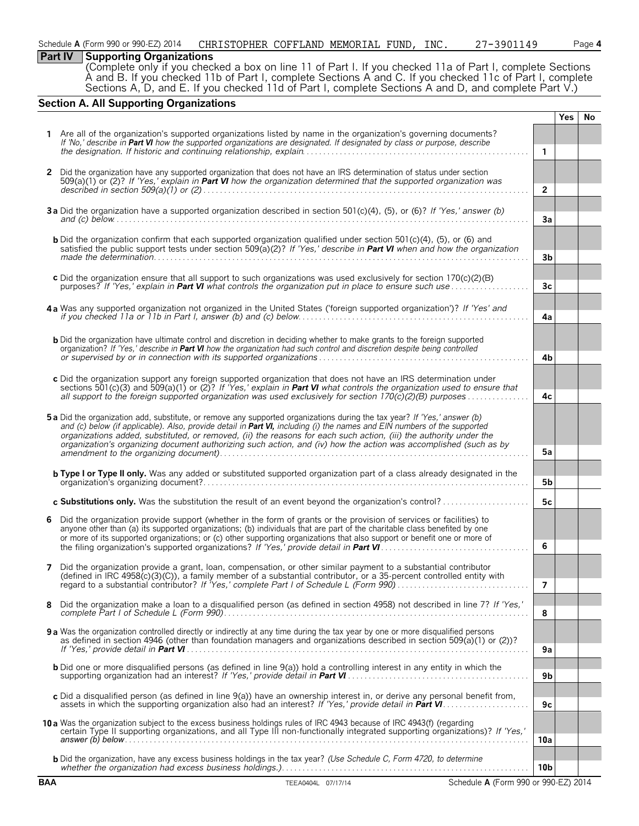| Schedule A (Form 990 or 990-EZ) 2014 | CHRISTOPHER COFFLAND |  | MEMORIAL | FUND. | INC | 3901<br>. 49 | Page 4 |
|--------------------------------------|----------------------|--|----------|-------|-----|--------------|--------|
|--------------------------------------|----------------------|--|----------|-------|-----|--------------|--------|

**Part IV** Supporting Organizations

(Complete only if you checked a box on line 11 of Part I. If you checked 11a of Part I, complete Sections A and B. If you checked 11b of Part I, complete Sections A and C. If you checked 11c of Part I, complete Sections A, D, and E. If you checked 11d of Part I, complete Sections A and D, and complete Part V.)

# **Section A. All Supporting Organizations**

|            |                                                                                                                                                                                                                                                                  |                 | <b>Yes</b> | No. |
|------------|------------------------------------------------------------------------------------------------------------------------------------------------------------------------------------------------------------------------------------------------------------------|-----------------|------------|-----|
|            | 1 Are all of the organization's supported organizations listed by name in the organization's governing documents?                                                                                                                                                |                 |            |     |
|            | If 'No,' describe in Part VI how the supported organizations are designated. If designated by class or purpose, describe                                                                                                                                         |                 |            |     |
|            |                                                                                                                                                                                                                                                                  | $\mathbf{1}$    |            |     |
| 2          | Did the organization have any supported organization that does not have an IRS determination of status under section                                                                                                                                             |                 |            |     |
|            | 509(a)(1) or (2)? If 'Yes,' explain in Part VI how the organization determined that the supported organization was                                                                                                                                               |                 |            |     |
|            |                                                                                                                                                                                                                                                                  | $\overline{2}$  |            |     |
|            | 3a Did the organization have a supported organization described in section 501(c)(4), (5), or (6)? If 'Yes,' answer (b)                                                                                                                                          |                 |            |     |
|            |                                                                                                                                                                                                                                                                  | 3a              |            |     |
|            |                                                                                                                                                                                                                                                                  |                 |            |     |
|            | <b>b</b> Did the organization confirm that each supported organization qualified under section 501 $(c)(4)$ , $(5)$ , or $(6)$ and<br>satisfied the public support tests under section 509( $a(2)$ ? If 'Yes,' describe in Part VI when and how the organization |                 |            |     |
|            |                                                                                                                                                                                                                                                                  | 3 <sub>b</sub>  |            |     |
|            |                                                                                                                                                                                                                                                                  |                 |            |     |
|            | c Did the organization ensure that all support to such organizations was used exclusively for section 170(c)(2)(B)<br>purposes? If 'Yes,' explain in <b>Part VI</b> what controls the organization put in place to ensure such use                               | 3 <sub>c</sub>  |            |     |
|            |                                                                                                                                                                                                                                                                  |                 |            |     |
|            | 4a Was any supported organization not organized in the United States ('foreign supported organization')? If 'Yes' and                                                                                                                                            |                 |            |     |
|            |                                                                                                                                                                                                                                                                  | 4a              |            |     |
|            |                                                                                                                                                                                                                                                                  |                 |            |     |
|            | <b>b</b> Did the organization have ultimate control and discretion in deciding whether to make grants to the foreign supported<br>organization? If 'Yes,' describe in Part VI how the organization had such control and discretion despite being controlled      |                 |            |     |
|            |                                                                                                                                                                                                                                                                  | 4b              |            |     |
|            |                                                                                                                                                                                                                                                                  |                 |            |     |
|            | c Did the organization support any foreign supported organization that does not have an IRS determination under<br>sections 501(c)(3) and 509(a)(1) or (2)? If 'Yes,' explain in <b>Part VI</b> what controls the organization used to ensure that               |                 |            |     |
|            | all support to the foreign supported organization was used exclusively for section $170(\tilde{c})(2)(B)$ purposes                                                                                                                                               | 4c              |            |     |
|            |                                                                                                                                                                                                                                                                  |                 |            |     |
|            | 5a Did the organization add, substitute, or remove any supported organizations during the tax year? If 'Yes,' answer (b)                                                                                                                                         |                 |            |     |
|            | and (c) below (if applicable). Also, provide detail in Part VI, including (i) the names and EIN numbers of the supported<br>organizations added, substituted, or removed, (ii) the reasons for each such action, (iii) the authority under the                   |                 |            |     |
|            | organization's organizing document authorizing such action, and (iv) how the action was accomplished (such as by                                                                                                                                                 |                 |            |     |
|            |                                                                                                                                                                                                                                                                  | 5a              |            |     |
|            | <b>b Type I or Type II only.</b> Was any added or substituted supported organization part of a class already designated in the                                                                                                                                   |                 |            |     |
|            |                                                                                                                                                                                                                                                                  | 5b              |            |     |
|            | c Substitutions only. Was the substitution the result of an event beyond the organization's control?                                                                                                                                                             | 5c              |            |     |
|            |                                                                                                                                                                                                                                                                  |                 |            |     |
| 6          | Did the organization provide support (whether in the form of grants or the provision of services or facilities) to                                                                                                                                               |                 |            |     |
|            | anyone other than (a) its supported organizations; (b) individuals that are part of the charitable class benefited by one<br>or more of its supported organizations; or (c) other supporting organizations that also support or benefit one or more of           |                 |            |     |
|            |                                                                                                                                                                                                                                                                  | 6               |            |     |
|            |                                                                                                                                                                                                                                                                  |                 |            |     |
| 7          | Did the organization provide a grant, loan, compensation, or other similar payment to a substantial contributor<br>(defined in IRC 4958(c)(3)(C)), a family member of a substantial contributor, or a 35-percent controlled entity with                          |                 |            |     |
|            | regard to a substantial contributor? If 'Yes,' complete Part I of Schedule L (Form 990)                                                                                                                                                                          | 7               |            |     |
|            |                                                                                                                                                                                                                                                                  |                 |            |     |
| 8          | Did the organization make a loan to a disqualified person (as defined in section 4958) not described in line 7? If 'Yes,'                                                                                                                                        | 8               |            |     |
|            |                                                                                                                                                                                                                                                                  |                 |            |     |
|            | 9a Was the organization controlled directly or indirectly at any time during the tax year by one or more disqualified persons<br>as defined in section 4946 (other than foundation managers and organizations described in section 509(a)(1) or (2))?            |                 |            |     |
|            |                                                                                                                                                                                                                                                                  | 9a              |            |     |
|            | <b>b</b> Did one or more disqualified persons (as defined in line 9(a)) hold a controlling interest in any entity in which the                                                                                                                                   |                 |            |     |
|            |                                                                                                                                                                                                                                                                  | 9b              |            |     |
|            |                                                                                                                                                                                                                                                                  |                 |            |     |
|            | c Did a disqualified person (as defined in line 9(a)) have an ownership interest in, or derive any personal benefit from,                                                                                                                                        | 9c              |            |     |
|            |                                                                                                                                                                                                                                                                  |                 |            |     |
|            | 10 a Was the organization subject to the excess business holdings rules of IRC 4943 because of IRC 4943(f) (regarding<br>certain Type II supporting organizations, and all Type III non-functionally integrated supporting organizations)? If 'Yes,'             |                 |            |     |
|            |                                                                                                                                                                                                                                                                  | 10a             |            |     |
|            |                                                                                                                                                                                                                                                                  |                 |            |     |
|            | b Did the organization, have any excess business holdings in the tax year? (Use Schedule C, Form 4720, to determine                                                                                                                                              | 10 <sub>b</sub> |            |     |
| <b>BAA</b> | TEEA0404L 07/17/14 Schedule A (Form 990 or 990-EZ) 2014                                                                                                                                                                                                          |                 |            |     |
|            |                                                                                                                                                                                                                                                                  |                 |            |     |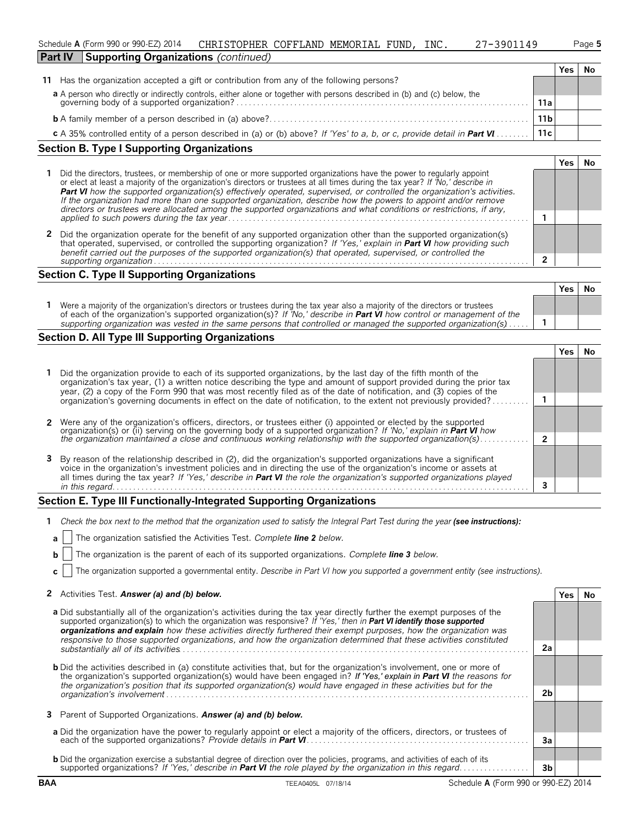|                | Schedule A (Form 990 or 990-EZ) 2014        | CHRISTOPHER COFFLAND | MEMORIAL | FUND | INC. | 7-3901149 | $\mathsf{a}$ aqe 5 |
|----------------|---------------------------------------------|----------------------|----------|------|------|-----------|--------------------|
| <b>Part IV</b> | <b>Supporting Organizations</b> (continued) |                      |          |      |      |           |                    |

| 11 Has the organization accepted a gift or contribution from any of the following persons?                                                                            |                 |  |
|-----------------------------------------------------------------------------------------------------------------------------------------------------------------------|-----------------|--|
|                                                                                                                                                                       |                 |  |
| a A person who directly or indirectly controls, either alone or together with persons described in (b) and (c) below, the governing body of a supported organization? | 11a             |  |
|                                                                                                                                                                       | 11 <sub>b</sub> |  |
| c A 35% controlled entity of a person described in (a) or (b) above? If 'Yes' to a, b, or c, provide detail in <b>Part VI</b>                                         | 11c             |  |

# **Section B. Type I Supporting Organizations**

|                                                                                                                                                                                                                                                                                                                                                                                                                                                                                                                                                                                                                              |  | 'es |  |
|------------------------------------------------------------------------------------------------------------------------------------------------------------------------------------------------------------------------------------------------------------------------------------------------------------------------------------------------------------------------------------------------------------------------------------------------------------------------------------------------------------------------------------------------------------------------------------------------------------------------------|--|-----|--|
| Did the directors, trustees, or membership of one or more supported organizations have the power to regularly appoint<br>or elect at least a majority of the organization's directors or trustees at all times during the tax year? If No,' describe in<br>Part VI how the supported organization(s) effectively operated, supervised, or controlled the organization's activities.<br>If the organization had more than one supported organization, describe how the powers to appoint and/or remove<br>directors or trustees were allocated among the supported organizations and what conditions or restrictions, if any, |  |     |  |
|                                                                                                                                                                                                                                                                                                                                                                                                                                                                                                                                                                                                                              |  |     |  |
| 2 Did the organization operate for the benefit of any supported organization other than the supported organization(s)<br>that operated, supervised, or controlled the supporting organization? If 'Yes,' explain in Part VI how providing such<br>benefit carried out the purposes of the supported organization(s) that operated, supervised, or controlled the                                                                                                                                                                                                                                                             |  |     |  |
| supporting organization                                                                                                                                                                                                                                                                                                                                                                                                                                                                                                                                                                                                      |  |     |  |

# **Section C. Type II Supporting Organizations**

| Were a majority of the organization's directors or trustees during the tax year also a majority of the directors or trustees<br>of each of the organization's supported organization(s)? If 'No,' describe in <b>Part VI</b> how control or management of the |  |
|---------------------------------------------------------------------------------------------------------------------------------------------------------------------------------------------------------------------------------------------------------------|--|
| supporting organization was vested in the same persons that controlled or managed the supported organization(s)                                                                                                                                               |  |

# **Section D. All Type III Supporting Organizations**

| 1 Did the organization provide to each of its supported organizations, by the last day of the fifth month of the<br>organization's tax year, (1) a written notice describing the type and amount of support provided during the prior tax<br>year, (2) a copy of the Form 990 that was most recently filed as of the date of notification, and (3) copies of the     |  |  |  |  |  |  |
|----------------------------------------------------------------------------------------------------------------------------------------------------------------------------------------------------------------------------------------------------------------------------------------------------------------------------------------------------------------------|--|--|--|--|--|--|
| organization's governing documents in effect on the date of notification, to the extent not previously provided?                                                                                                                                                                                                                                                     |  |  |  |  |  |  |
|                                                                                                                                                                                                                                                                                                                                                                      |  |  |  |  |  |  |
| 2 Were any of the organization's officers, directors, or trustees either (i) appointed or elected by the supported organization(s) or (ii) serving on the governing body of a supported organization? If 'No,' explain in Part                                                                                                                                       |  |  |  |  |  |  |
|                                                                                                                                                                                                                                                                                                                                                                      |  |  |  |  |  |  |
| 3 By reason of the relationship described in (2), did the organization's supported organizations have a significant<br>voice in the organization's investment policies and in directing the use of the organization's income or assets at<br>all times during the tax year? If 'Yes,' describe in Part VI the role the organization's supported organizations played |  |  |  |  |  |  |
| in this regard.                                                                                                                                                                                                                                                                                                                                                      |  |  |  |  |  |  |

# **Section E. Type III Functionally-Integrated Supporting Organizations**

| 1 Check the box next to the method that the organization used to satisfy the Integral Part Test during the year (see instructions): |  |  |
|-------------------------------------------------------------------------------------------------------------------------------------|--|--|
|                                                                                                                                     |  |  |

|  | <b>a</b>   The organization satisfied the Activities Test. Complete line 2 below. |  |  |
|--|-----------------------------------------------------------------------------------|--|--|
|  |                                                                                   |  |  |

|  | <b>b</b> $ $ The organization is the parent of each of its supported organizations. Complete line 3 below. |  |  |  |
|--|------------------------------------------------------------------------------------------------------------|--|--|--|
|  |                                                                                                            |  |  |  |

**c** The organization supported a governmental entity. *Describe in Part VI how you supported a government entity (see instructions).*

| 2 Activities Test. Answer (a) and (b) below. | Yes   No |  |
|----------------------------------------------|----------|--|
|----------------------------------------------|----------|--|

| <b>a</b> Did substantially all of the organization's activities during the tax year directly further the exempt purposes of the<br>supported organization(s) to which the organization was responsive? If 'Yes,' then in <b>Part VI identify those supported</b><br>organizations and explain how these activities directly furthered their exempt purposes, how the organization was<br>responsive to those supported organizations, and how the organization determined that these activities constituted |                |  |
|-------------------------------------------------------------------------------------------------------------------------------------------------------------------------------------------------------------------------------------------------------------------------------------------------------------------------------------------------------------------------------------------------------------------------------------------------------------------------------------------------------------|----------------|--|
|                                                                                                                                                                                                                                                                                                                                                                                                                                                                                                             | 2a             |  |
| <b>b</b> Did the activities described in (a) constitute activities that, but for the organization's involvement, one or more of<br>the organization's supported organization(s) would have been engaged in? If 'Yes,' explain in Part VI the reasons for<br>the organization's position that its supported organization(s) would have engaged in these activities but for the                                                                                                                               |                |  |
|                                                                                                                                                                                                                                                                                                                                                                                                                                                                                                             | 2 <sub>b</sub> |  |
| 3 Parent of Supported Organizations. Answer (a) and (b) below.                                                                                                                                                                                                                                                                                                                                                                                                                                              |                |  |
| a Did the organization have the power to regularly appoint or elect a majority of the officers, directors, or trustees of                                                                                                                                                                                                                                                                                                                                                                                   | 3a             |  |
|                                                                                                                                                                                                                                                                                                                                                                                                                                                                                                             |                |  |
| <b>b</b> Did the organization exercise a substantial degree of direction over the policies, programs, and activities of each of its<br>supported organizations? If 'Yes,' describe in Part VI the role played by the organization in this regard                                                                                                                                                                                                                                                            | 3b             |  |
|                                                                                                                                                                                                                                                                                                                                                                                                                                                                                                             |                |  |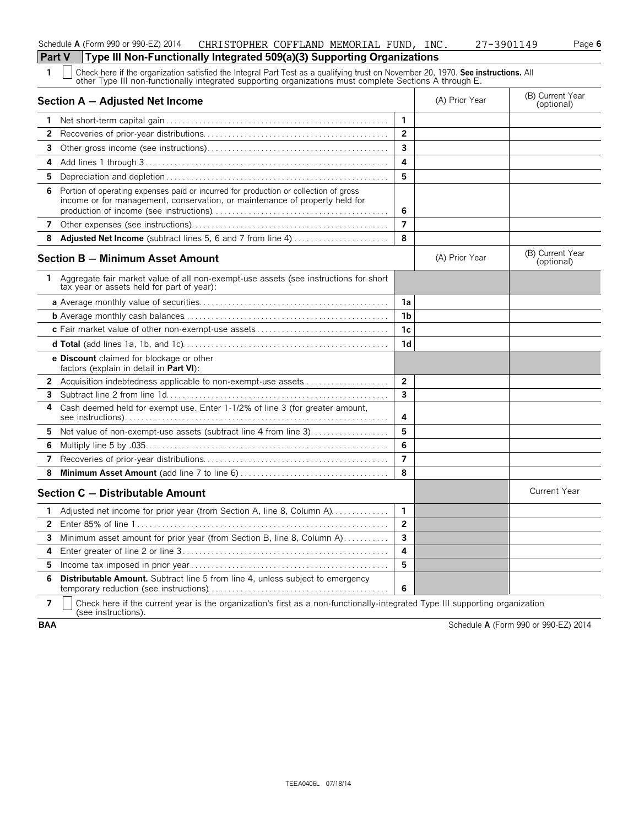|  | Check here if the organization satisfied the Integral Part Test as a qualifying trust on November 20, 1970. See instructions. All<br>- other Type III non-functionally integrated supporting organizations must complete Sections A through E. |
|--|------------------------------------------------------------------------------------------------------------------------------------------------------------------------------------------------------------------------------------------------|

|                | Section A - Adjusted Net Income                                                                                                                                     |                         | (A) Prior Year | (B) Current Year<br>(optional) |
|----------------|---------------------------------------------------------------------------------------------------------------------------------------------------------------------|-------------------------|----------------|--------------------------------|
| 1.             |                                                                                                                                                                     | $\mathbf{1}$            |                |                                |
| 2              |                                                                                                                                                                     | $\overline{2}$          |                |                                |
| 3              |                                                                                                                                                                     | 3                       |                |                                |
| 4              |                                                                                                                                                                     | 4                       |                |                                |
| 5.             |                                                                                                                                                                     | 5                       |                |                                |
| 6              | Portion of operating expenses paid or incurred for production or collection of gross<br>income or for management, conservation, or maintenance of property held for | 6                       |                |                                |
| 7              |                                                                                                                                                                     | $\overline{7}$          |                |                                |
| 8              | Adjusted Net Income (subtract lines 5, 6 and 7 from line 4)                                                                                                         | 8                       |                |                                |
|                | <b>Section B - Minimum Asset Amount</b>                                                                                                                             |                         | (A) Prior Year | (B) Current Year<br>(optional) |
| 1.             | Aggregate fair market value of all non-exempt-use assets (see instructions for short<br>tax year or assets held for part of year):                                  |                         |                |                                |
|                |                                                                                                                                                                     | 1a                      |                |                                |
|                |                                                                                                                                                                     | 1b                      |                |                                |
|                |                                                                                                                                                                     | 1c                      |                |                                |
|                |                                                                                                                                                                     | 1d                      |                |                                |
|                | <b>e Discount</b> claimed for blockage or other<br>factors (explain in detail in <b>Part VI</b> ):                                                                  |                         |                |                                |
| 2              | Acquisition indebtedness applicable to non-exempt-use assets                                                                                                        | $\mathbf{2}$            |                |                                |
| 3              |                                                                                                                                                                     | 3                       |                |                                |
| 4              | Cash deemed held for exempt use. Enter 1-1/2% of line 3 (for greater amount,                                                                                        | 4                       |                |                                |
| 5              | Net value of non-exempt-use assets (subtract line 4 from line 3)                                                                                                    | 5                       |                |                                |
| 6              |                                                                                                                                                                     | 6                       |                |                                |
| 7              |                                                                                                                                                                     | $\overline{7}$          |                |                                |
| 8              |                                                                                                                                                                     | 8                       |                |                                |
|                | Section C - Distributable Amount                                                                                                                                    |                         |                | <b>Current Year</b>            |
| 1              | Adjusted net income for prior year (from Section A, line 8, Column A)                                                                                               | $\mathbf{1}$            |                |                                |
| $\overline{2}$ |                                                                                                                                                                     | $\overline{2}$          |                |                                |
| 3              | Minimum asset amount for prior year (from Section B, line 8, Column A)                                                                                              | $\overline{\mathbf{3}}$ |                |                                |
| 4              |                                                                                                                                                                     | 4                       |                |                                |
| 5              |                                                                                                                                                                     | 5                       |                |                                |
| 6              | Distributable Amount. Subtract line 5 from line 4, unless subject to emergency                                                                                      | 6                       |                |                                |

**7**  $\mid$  Check here if the current year is the organization's first as a non-functionally-integrated Type III supporting organization (see instructions).

**BAA** Schedule **A** (Form 990 or 990-EZ) 2014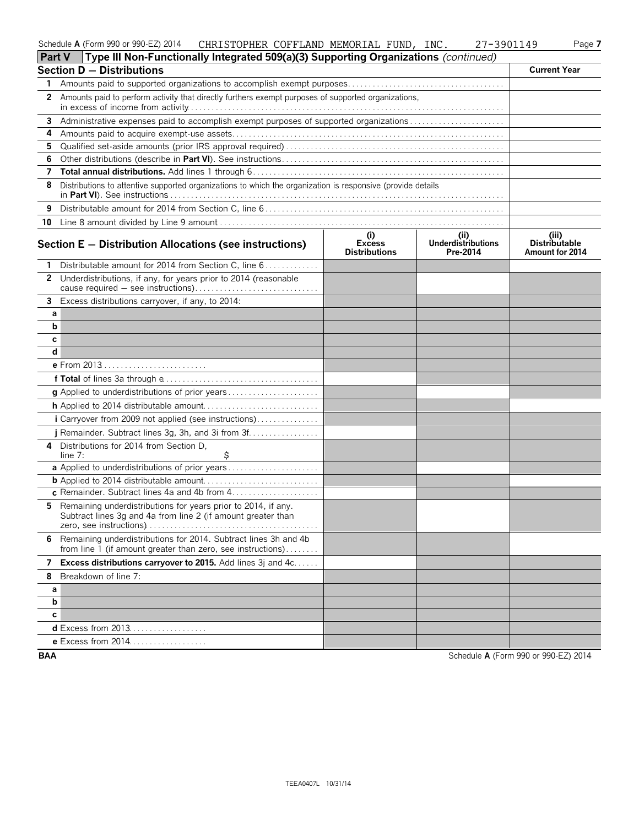| 990<br>or 990-EZ<br>2014<br>Schedule<br>A (Form | <b>TIMPHER</b><br>COFFLAND<br>CHRIS | MEMORIAL<br>TUND. | INC. | 4 G | Page |
|-------------------------------------------------|-------------------------------------|-------------------|------|-----|------|
|                                                 |                                     |                   |      |     |      |

| <b>Part V</b> | Type III Non-Functionally Integrated 509(a)(3) Supporting Organizations (continued)                                            |                                              |                                               |                                                  |
|---------------|--------------------------------------------------------------------------------------------------------------------------------|----------------------------------------------|-----------------------------------------------|--------------------------------------------------|
|               | Section D - Distributions                                                                                                      |                                              |                                               | <b>Current Year</b>                              |
| 1.            |                                                                                                                                |                                              |                                               |                                                  |
|               | 2 Amounts paid to perform activity that directly furthers exempt purposes of supported organizations,                          |                                              |                                               |                                                  |
| 3             | Administrative expenses paid to accomplish exempt purposes of supported organizations                                          |                                              |                                               |                                                  |
| 4             |                                                                                                                                |                                              |                                               |                                                  |
| 5             |                                                                                                                                |                                              |                                               |                                                  |
| 6             |                                                                                                                                |                                              |                                               |                                                  |
| 7             |                                                                                                                                |                                              |                                               |                                                  |
| 8             | Distributions to attentive supported organizations to which the organization is responsive (provide details                    |                                              |                                               |                                                  |
| 9             |                                                                                                                                |                                              |                                               |                                                  |
| 10            |                                                                                                                                |                                              |                                               |                                                  |
|               | Section $E -$ Distribution Allocations (see instructions)                                                                      | (i)<br><b>Excess</b><br><b>Distributions</b> | (ii)<br><b>Underdistributions</b><br>Pre-2014 | (iii)<br><b>Distributable</b><br>Amount for 2014 |
| 1.            | Distributable amount for 2014 from Section C, line 6                                                                           |                                              |                                               |                                                  |
| $\mathbf{2}$  | Underdistributions, if any, for years prior to 2014 (reasonable                                                                |                                              |                                               |                                                  |
| 3             | Excess distributions carryover, if any, to 2014:                                                                               |                                              |                                               |                                                  |
| а             |                                                                                                                                |                                              |                                               |                                                  |
| b             |                                                                                                                                |                                              |                                               |                                                  |
| C             |                                                                                                                                |                                              |                                               |                                                  |
| d             |                                                                                                                                |                                              |                                               |                                                  |
|               |                                                                                                                                |                                              |                                               |                                                  |
|               |                                                                                                                                |                                              |                                               |                                                  |
|               |                                                                                                                                |                                              |                                               |                                                  |
|               |                                                                                                                                |                                              |                                               |                                                  |
|               | i Carryover from 2009 not applied (see instructions)                                                                           |                                              |                                               |                                                  |
|               | j Remainder. Subtract lines 3g, 3h, and 3i from 3f                                                                             |                                              |                                               |                                                  |
| 4             | Distributions for 2014 from Section D.<br>\$<br>line $7:$                                                                      |                                              |                                               |                                                  |
|               |                                                                                                                                |                                              |                                               |                                                  |
|               |                                                                                                                                |                                              |                                               |                                                  |
|               | c Remainder. Subtract lines 4a and 4b from 4                                                                                   |                                              |                                               |                                                  |
| 5.            | Remaining underdistributions for years prior to 2014, if any.<br>Subtract lines 3g and 4a from line 2 (if amount greater than  |                                              |                                               |                                                  |
| 6.            | Remaining underdistributions for 2014. Subtract lines 3h and 4b<br>from line 1 (if amount greater than zero, see instructions) |                                              |                                               |                                                  |
| 7             | Excess distributions carryover to 2015. Add lines 3j and 4c                                                                    |                                              |                                               |                                                  |
| 8             | Breakdown of line 7:                                                                                                           |                                              |                                               |                                                  |
| а             |                                                                                                                                |                                              |                                               |                                                  |
| b             |                                                                                                                                |                                              |                                               |                                                  |
| C             |                                                                                                                                |                                              |                                               |                                                  |
|               | <b>d</b> Excess from 2013                                                                                                      |                                              |                                               |                                                  |
|               | e Excess from 2014                                                                                                             |                                              |                                               |                                                  |

**BAA** Schedule **A** (Form 990 or 990-EZ) 2014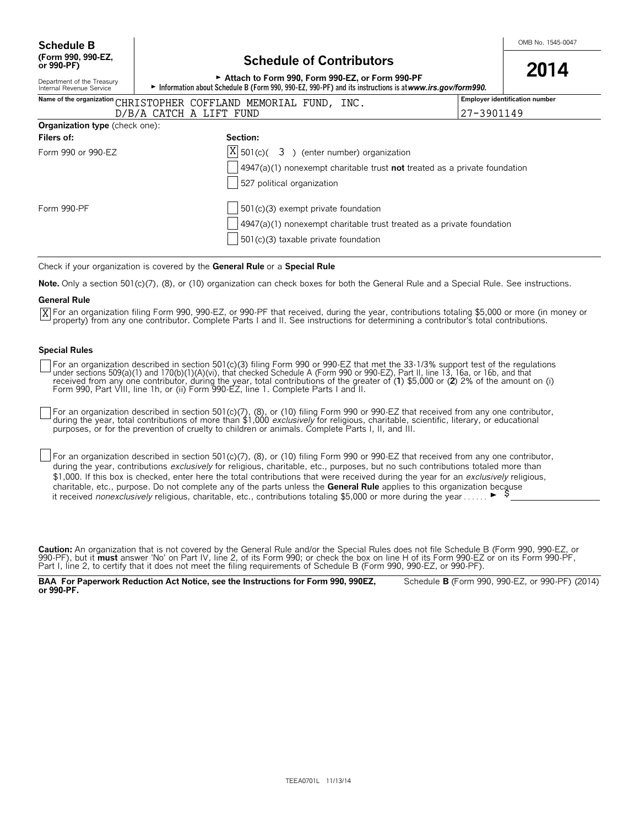# **Schedule of Contributors**

| or 990-PF)                                             | <u>Julianum VI Volitiibutoi S</u>                                                                                                                          | 2014                                  |
|--------------------------------------------------------|------------------------------------------------------------------------------------------------------------------------------------------------------------|---------------------------------------|
| Department of the Treasury<br>Internal Revenue Service | Attach to Form 990, Form 990-EZ, or Form 990-PF<br>Information about Schedule B (Form 990, 990-EZ, 990-PF) and its instructions is at www.irs.gov/form990. |                                       |
|                                                        | Name of the organization CHRISTOPHER COFFLAND MEMORIAL FUND, INC.                                                                                          | <b>Employer identification number</b> |
|                                                        | D/B/A CATCH A LIFT FUND<br>27-3901149                                                                                                                      |                                       |
| <b>Organization type</b> (check one):                  |                                                                                                                                                            |                                       |
| Filers of:                                             | Section:                                                                                                                                                   |                                       |
| Form 990 or 990-EZ                                     | $X\vert 501(c)$ (3) (enter number) organization                                                                                                            |                                       |
|                                                        | $\vert$ 4947(a)(1) nonexempt charitable trust <b>not</b> treated as a private foundation                                                                   |                                       |
|                                                        | 527 political organization                                                                                                                                 |                                       |
| Form 990-PF                                            | 501(c)(3) exempt private foundation                                                                                                                        |                                       |
|                                                        | $4947(a)(1)$ nonexempt charitable trust treated as a private foundation                                                                                    |                                       |
|                                                        | $\vert$ 501(c)(3) taxable private foundation                                                                                                               |                                       |

Check if your organization is covered by the **General Rule** or a **Special Rule**

**Note.** Only a section 501(c)(7), (8), or (10) organization can check boxes for both the General Rule and a Special Rule. See instructions.

#### **General Rule**

 $\overline{X}$  For an organization filing Form 990, 990-EZ, or 990-PF that received, during the year, contributions totaling \$5,000 or more (in money or property) from any one contributor. Complete Parts I and II. See instructions for determining a contributor's total contributions.

#### **Special Rules**

For an organization described in section 501(c)(3) filing Form 990 or 990-EZ that met the 33-1/3% support test of the regulations<br>under sections 509(a)(1) and 170(b)(1)(A)(vi), that checked Schedule A (Form 990 or 990-EZ),

For an organization described in section 501(c)(7), (8), or (10) filing Form 990 or 990-EZ that received from any one contributor, during the year, total contributions of more than \$1,000 *exclusively* for religious, charitable, scientific, literary, or educational purposes, or for the prevention of cruelty to children or animals. Complete Parts I, II, and III.

For an organization described in section 501(c)(7), (8), or (10) filing Form 990 or 990-EZ that received from any one contributor, during the year, contributions *exclusively* for religious, charitable, etc., purposes, but no such contributions totaled more than \$1,000. If this box is checked, enter here the total contributions that were received during the year for an *exclusively* religious, charitable, etc., purpose. Do not complete any of the parts unless the **General Rule** applies to this organization because it received *nonexclusively* religious, charitable, etc., contributions totaling \$5,000 or more during the year . . . . .  $\blacktriangleright$ 

**Caution:** An organization that is not covered by the General Rule and/or the Special Rules does not file Schedule B (Form 990, 990-EZ, or 990-PF), but it **must** answer 'No' on Part IV, line 2, of its Form 990; or check the box on line H of its Form 990-EZ or on its Form 990-PF, Part I, line 2, to certify that it does not meet the filing requirements of Schedule B (Form 990, 990-EZ, or 990-PF).

**BAA For Paperwork Reduction Act Notice, see the Instructions for Form 990, 990EZ,** Schedule **B** (Form 990, 990-EZ, or 990-PF) (2014) **or 990-PF.**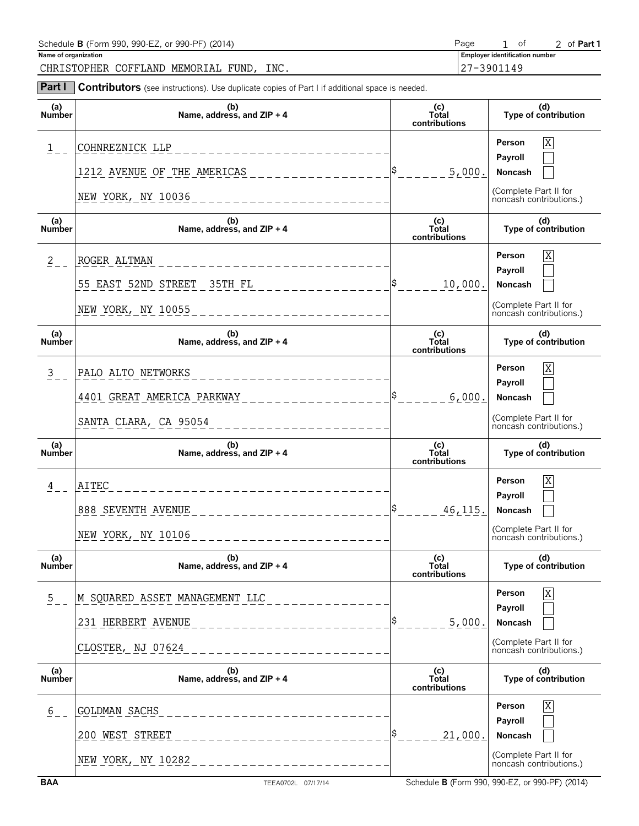| Schedule <b>B</b> (Form 990, 990-EZ, or 990-PF) (2014)                                                       | Page                                  | 1 of | 2 of <b>Part 1</b> |
|--------------------------------------------------------------------------------------------------------------|---------------------------------------|------|--------------------|
| Name of organization                                                                                         | <b>Employer identification number</b> |      |                    |
| CHRISTOPHER COFFLAND MEMORIAL FUND, INC.                                                                     | $ 27 - 3901149$                       |      |                    |
| <b>Part I</b> Contributors (see instructions). Use duplicate copies of Part I if additional space is needed. |                                       |      |                    |

| (a)<br><b>Number</b> | (b)<br>Name, address, and $ZIP + 4$            | (c)<br>Total<br>contributions | (d)<br>Type of contribution                                |
|----------------------|------------------------------------------------|-------------------------------|------------------------------------------------------------|
| 1                    | COHNREZNICK LLP<br>1212 AVENUE OF THE AMERICAS | 5,000.                        | X<br>Person<br>Payroll<br>Noncash<br>(Complete Part II for |
|                      | NEW YORK, NY 10036                             |                               | noncash contributions.)                                    |
| (a)<br><b>Number</b> | (b)<br>Name, address, and $ZIP + 4$            | (c)<br>Total<br>contributions | (d)<br>Type of contribution                                |
| $2$ $-$              | ROGER ALTMAN                                   |                               | X<br>Person                                                |
|                      | 55 EAST 52ND STREET<br>35TH FL                 | \$<br>10,000.                 | Payroll<br>Noncash                                         |
|                      | NEW YORK, NY 10055                             |                               | (Complete Part II for<br>noncash contributions.)           |
| (a)<br><b>Number</b> | (b)<br>Name, address, and ZIP + 4              | (c)<br>Total<br>contributions | (d)<br>Type of contribution                                |
| $\frac{3}{2}$        | PALO ALTO NETWORKS                             |                               | X<br>Person                                                |
|                      | 4401 GREAT AMERICA PARKWAY                     | I\$<br>6,000.                 | Payroll<br>Noncash                                         |
|                      | SANTA CLARA, CA 95054<br>________________      |                               | (Complete Part II for<br>noncash contributions.)           |
|                      |                                                |                               |                                                            |
| (a)<br><b>Number</b> | (b)<br>Name, address, and $ZIP + 4$            | (c)<br>Total<br>contributions | (d)<br>Type of contribution                                |
| $\frac{4}{ }$        | <b>AITEC</b>                                   |                               | X<br>Person                                                |
|                      | 888 SEVENTH AVENUE                             | l\$<br>46, 115.               | Payroll<br>Noncash                                         |
|                      | NEW YORK, NY 10106                             |                               | (Complete Part II for<br>noncash contributions.)           |
| (a)<br>Number        | (b)<br>Name, address, and ZIP + 4              | (c)<br>Total<br>contributions | (d)<br>Type of contribution                                |
| $\frac{5}{2}$        | M SQUARED ASSET MANAGEMENT LLC                 |                               | X<br>Person                                                |
|                      | 231 HERBERT AVENUE                             | \$<br>5,000.                  | Payroll<br>Noncash                                         |
|                      | CLOSTER, NJ 07624                              |                               | (Complete Part II for<br>noncash contributions.)           |
| (a)<br><b>Number</b> | (b)<br>Name, address, and ZIP + 4              | (c)<br>Total<br>contributions | (d)<br>Type of contribution                                |
| 6                    | GOLDMAN SACHS                                  |                               | X<br>Person                                                |
|                      | 200 WEST STREET                                | \$<br>21,000.                 | Payroll<br>Noncash                                         |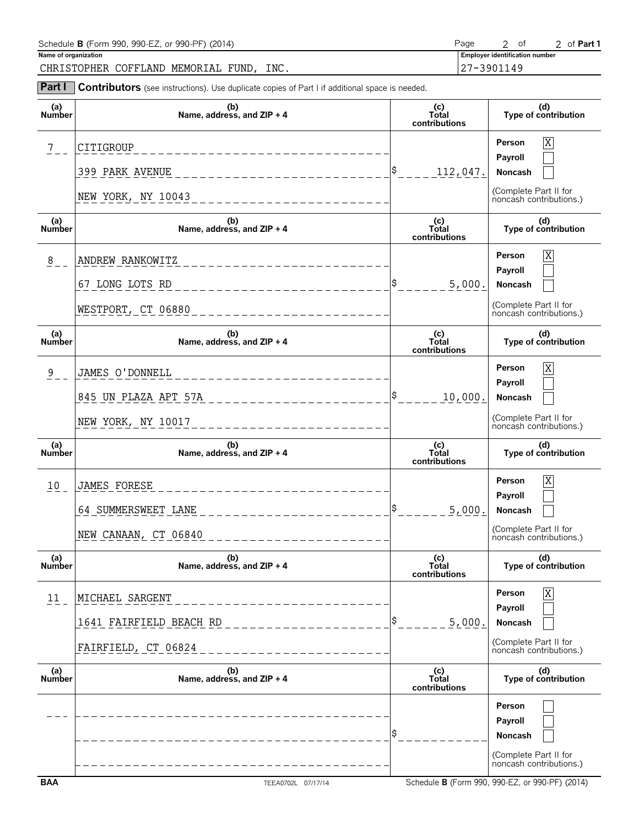| Schedule <b>B</b> (Form 990, 990-EZ, or 990-PF) (2014)                                                       | Page                                  | 2 of | 2 of <b>Part 1</b> |
|--------------------------------------------------------------------------------------------------------------|---------------------------------------|------|--------------------|
| Name of organization                                                                                         | <b>Employer identification number</b> |      |                    |
| CHRISTOPHER COFFLAND MEMORIAL FUND, INC.                                                                     | 27-3901149                            |      |                    |
| <b>Part I</b> Contributors (see instructions). Use duplicate copies of Part I if additional space is needed. |                                       |      |                    |

| (a)<br>Number        | (b)<br>Name, address, and ZIP + 4                                                                | (c)<br>Total<br>contributions | (d)<br>Type of contribution                                                                     |
|----------------------|--------------------------------------------------------------------------------------------------|-------------------------------|-------------------------------------------------------------------------------------------------|
| 7                    | CITIGROUP<br>__________________<br>399 PARK AVENUE<br>NEW YORK, NY 10043<br>_______________      | 112,047.                      | X<br>Person<br>Payroll<br>Noncash<br>(Complete Part II for<br>noncash contributions.)           |
| (a)<br>Number        | (b)<br>Name, address, and ZIP + 4                                                                | (c)<br>Total<br>contributions | (d)<br>Type of contribution                                                                     |
| $\frac{8}{1}$        | ANDREW RANKOWITZ<br>67 LONG LOTS RD<br>WESTPORT, CT 06880<br>_ _ _ _ _ _ _ _ _ _ _ _ _ _ _ _ _ _ | 5,000.                        | $\mathbf X$<br>Person<br>Payroll<br>Noncash<br>(Complete Part II for<br>noncash contributions.) |
| (a)<br><b>Number</b> | (b)<br>Name, address, and ZIP + 4                                                                | (c)<br>Total<br>contributions | (d)<br>Type of contribution                                                                     |
| $\frac{9}{2}$        | JAMES O'DONNELL<br>_ _ _ _ _ _ _ _ _ _ _ _<br>845 UN PLAZA APT 57A<br>NEW YORK, NY 10017         | 10,000.                       | $\mathbf X$<br>Person<br>Payroll<br>Noncash<br>(Complete Part II for<br>noncash contributions.) |
|                      |                                                                                                  |                               |                                                                                                 |
| (a)<br>Number        | (b)<br>Name, address, and ZIP + 4                                                                | (c)<br>Total<br>contributions | (d)<br>Type of contribution                                                                     |
| $10\,$               | JAMES FORESE<br>64 SUMMERSWEET LANE<br>NEW CANAAN, CT 06840                                      | 5,000.                        | $\mathbf X$<br>Person<br>Payroll<br>Noncash<br>(Complete Part II for<br>noncash contributions.) |
| (a)<br><b>Number</b> | (b)<br>Name, address, and ZIP + 4                                                                | (c)<br>Total<br>contributions | (d)<br>Type of contribution                                                                     |
| 11                   | MICHAEL SARGENT<br>1641 FAIRFIELD BEACH RD<br>FAIRFIELD, CT 06824                                | 5,000.                        | X<br>Person<br>Payroll<br>Noncash<br>(Complete Part II for<br>noncash contributions.)           |
| (a)<br>Number        | (b)<br>Name, address, and ZIP + 4                                                                | (c)<br>Total<br>contributions | (d)<br>Type of contribution                                                                     |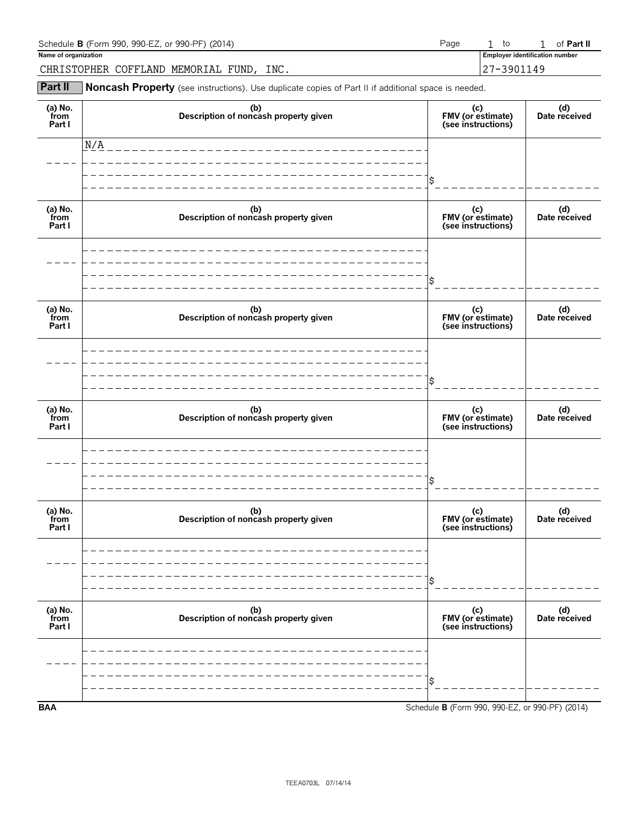| Schedule <b>B</b> (Form 990, 990-EZ, or 990-PF) (2014)<br>Page |  |  |                                       | of <b>Part II</b> |
|----------------------------------------------------------------|--|--|---------------------------------------|-------------------|
| Name of organization                                           |  |  | <b>Employer identification number</b> |                   |
| CHRISTOPHER COFFLAND MEMORIAL FUND.<br>INC.                    |  |  | 27-3901149                            |                   |
|                                                                |  |  |                                       |                   |

**Part II** Noncash Property (see instructions). Use duplicate copies of Part II if additional space is needed.

| (a) No.<br>from<br>Part I | (b)<br>Description of noncash property given | (c)<br>FMV (or estimate)<br>(see instructions) | (d)<br>Date received |
|---------------------------|----------------------------------------------|------------------------------------------------|----------------------|
| (a) $No.$ from<br>Part I  | (b)<br>Description of noncash property given | (c)<br>FMV (or estimate)<br>(see instructions) | (d)<br>Date received |
|                           |                                              |                                                |                      |
| (a) No.<br>from<br>Part I | (b)<br>Description of noncash property given | (c)<br>FMV (or estimate)<br>(see instructions) | (d)<br>Date received |
| (a) No.<br>from<br>Part I | (b)<br>Description of noncash property given | (c)<br>FMV (or estimate)<br>(see instructions) | (d)<br>Date received |
|                           |                                              |                                                |                      |
| (a) $No.$ from<br>Part I  | (b)<br>Description of noncash property given | (c)<br>FMV (or estimate)<br>(see instructions) | (d)<br>Date received |
|                           | N/A                                          |                                                |                      |
| (a) $No.$ from<br>Part I  | (b)<br>Description of noncash property given | (c)<br>FMV (or estimate)<br>(see instructions) | (d)<br>Date received |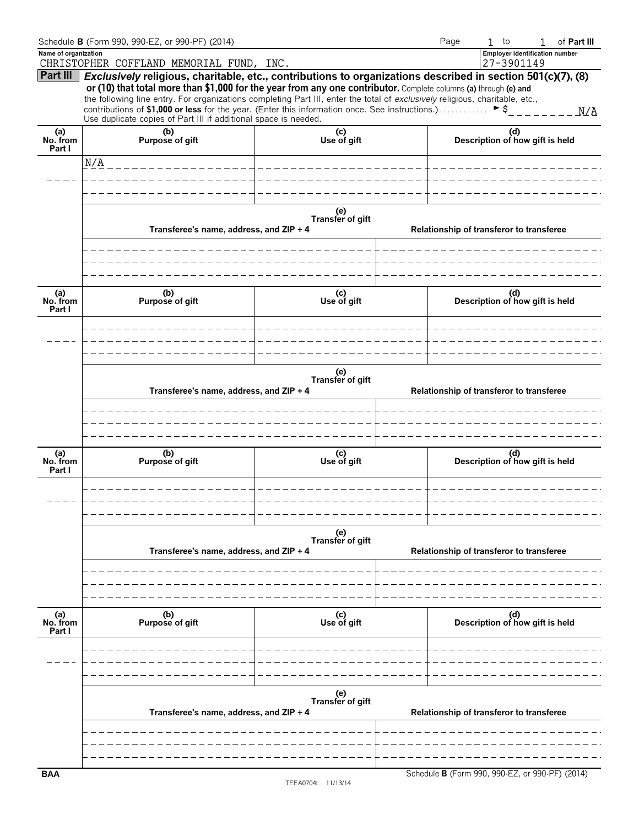|                           | Schedule B (Form 990, 990-EZ, or 990-PF) (2014)                                                                                                                                        |                         |  | Page | $1$ to                                              | $\mathbf{1}$ | of Part III |
|---------------------------|----------------------------------------------------------------------------------------------------------------------------------------------------------------------------------------|-------------------------|--|------|-----------------------------------------------------|--------------|-------------|
| Name of organization      | CHRISTOPHER COFFLAND MEMORIAL FUND, INC.                                                                                                                                               |                         |  |      | <b>Employer identification number</b><br>27-3901149 |              |             |
|                           | Part III Exclusively religious, charitable, etc., contributions to organizations described in section 501(c)(7), (8)                                                                   |                         |  |      |                                                     |              |             |
|                           | or (10) that total more than \$1,000 for the year from any one contributor. Complete columns (a) through (e) and                                                                       |                         |  |      |                                                     |              |             |
|                           | the following line entry. For organizations completing Part III, enter the total of exclusively religious, charitable, etc.,                                                           |                         |  |      |                                                     |              |             |
|                           | contributions of \$1,000 or less for the year. (Enter this information once. See instructions.) $\triangleright$ \$<br>Use duplicate copies of Part III if additional space is needed. |                         |  |      |                                                     |              |             |
|                           |                                                                                                                                                                                        |                         |  |      |                                                     |              |             |
| (a)<br>No. from<br>Part I | (b)<br>Purpose of gift                                                                                                                                                                 | (c)<br>Use of gift      |  |      | (d)<br>Description of how gift is held              |              |             |
|                           | N/A                                                                                                                                                                                    |                         |  |      |                                                     |              |             |
|                           |                                                                                                                                                                                        |                         |  |      |                                                     |              |             |
|                           |                                                                                                                                                                                        |                         |  |      |                                                     |              |             |
|                           |                                                                                                                                                                                        |                         |  |      |                                                     |              |             |
|                           |                                                                                                                                                                                        | (e)<br>Transfer of gift |  |      |                                                     |              |             |
|                           | Transferee's name, address, and ZIP + 4                                                                                                                                                |                         |  |      | Relationship of transferor to transferee            |              |             |
|                           |                                                                                                                                                                                        |                         |  |      |                                                     |              |             |
|                           |                                                                                                                                                                                        |                         |  |      |                                                     |              |             |
|                           |                                                                                                                                                                                        |                         |  |      |                                                     |              |             |
|                           |                                                                                                                                                                                        |                         |  |      |                                                     |              |             |
| (a)<br>No. from           | (b)<br>Purpose of gift                                                                                                                                                                 | (c)<br>Use of gift      |  |      | (d)<br>Description of how gift is held              |              |             |
| Part I                    |                                                                                                                                                                                        |                         |  |      |                                                     |              |             |
|                           |                                                                                                                                                                                        |                         |  |      |                                                     |              |             |
|                           |                                                                                                                                                                                        |                         |  |      |                                                     |              |             |
|                           |                                                                                                                                                                                        |                         |  |      |                                                     |              |             |
|                           |                                                                                                                                                                                        |                         |  |      |                                                     |              |             |
|                           | (e)<br>Transfer of gift                                                                                                                                                                |                         |  |      |                                                     |              |             |
|                           | Transferee's name, address, and ZIP + 4                                                                                                                                                |                         |  |      | Relationship of transferor to transferee            |              |             |
|                           |                                                                                                                                                                                        |                         |  |      |                                                     |              |             |
|                           |                                                                                                                                                                                        |                         |  |      |                                                     |              |             |
|                           |                                                                                                                                                                                        |                         |  |      |                                                     |              |             |
| (a)<br>No. from           | (b)<br>Purpose of gift                                                                                                                                                                 | (c)<br>Use of gift      |  |      | (d)<br>Description of how gift is held              |              |             |
| Part I                    |                                                                                                                                                                                        |                         |  |      |                                                     |              |             |
|                           |                                                                                                                                                                                        |                         |  |      |                                                     |              |             |
|                           |                                                                                                                                                                                        |                         |  |      |                                                     |              |             |
|                           |                                                                                                                                                                                        |                         |  |      |                                                     |              |             |
|                           |                                                                                                                                                                                        |                         |  |      |                                                     |              |             |
|                           |                                                                                                                                                                                        | (e)<br>Transfer of gift |  |      |                                                     |              |             |
|                           | Transferee's name, address, and ZIP + 4                                                                                                                                                |                         |  |      | Relationship of transferor to transferee            |              |             |
|                           |                                                                                                                                                                                        |                         |  |      |                                                     |              |             |
|                           |                                                                                                                                                                                        |                         |  |      |                                                     |              |             |
|                           |                                                                                                                                                                                        |                         |  |      |                                                     |              |             |
|                           |                                                                                                                                                                                        |                         |  |      |                                                     |              |             |
| (a)<br>No. from           | (b)<br>Purpose of gift                                                                                                                                                                 | (c)<br>Use of gift      |  |      | (d)<br>Description of how gift is held              |              |             |
| Part I                    |                                                                                                                                                                                        |                         |  |      |                                                     |              |             |
|                           |                                                                                                                                                                                        |                         |  |      |                                                     |              |             |
|                           |                                                                                                                                                                                        |                         |  |      |                                                     |              |             |
|                           |                                                                                                                                                                                        |                         |  |      |                                                     |              |             |
|                           |                                                                                                                                                                                        |                         |  |      |                                                     |              |             |
|                           |                                                                                                                                                                                        | (e)<br>Transfer of gift |  |      |                                                     |              |             |
|                           | Transferee's name, address, and ZIP + 4                                                                                                                                                |                         |  |      | Relationship of transferor to transferee            |              |             |
|                           |                                                                                                                                                                                        |                         |  |      |                                                     |              |             |
|                           |                                                                                                                                                                                        |                         |  |      |                                                     |              |             |
|                           |                                                                                                                                                                                        |                         |  |      |                                                     |              |             |
| <b>BAA</b>                |                                                                                                                                                                                        | TEE A0704L<br>11/12/    |  |      | Schedule B (Form 990, 990-EZ, or 990-PF) (2014)     |              |             |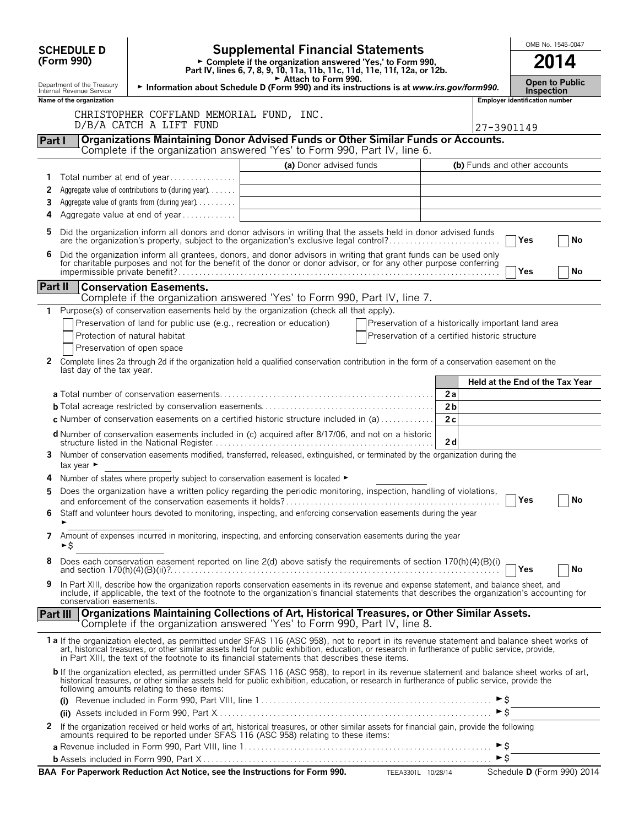|                 |                                                                                                                                                   |                                                                                                    |                                                                                                                                                                                                                                                                                                                                                                                                |                                                    |                      |                          |                                       | OMB No. 1545-0047                          |  |
|-----------------|---------------------------------------------------------------------------------------------------------------------------------------------------|----------------------------------------------------------------------------------------------------|------------------------------------------------------------------------------------------------------------------------------------------------------------------------------------------------------------------------------------------------------------------------------------------------------------------------------------------------------------------------------------------------|----------------------------------------------------|----------------------|--------------------------|---------------------------------------|--------------------------------------------|--|
|                 | <b>SCHEDULE D</b><br>(Form 990)                                                                                                                   |                                                                                                    | <b>Supplemental Financial Statements</b><br>► Complete if the organization answered 'Yes,' to Form 990,                                                                                                                                                                                                                                                                                        |                                                    |                      |                          |                                       | 2014                                       |  |
|                 |                                                                                                                                                   |                                                                                                    | Part IV, lines 6, 7, 8, 9, 10, 11a, 11b, 11c, 11d, 11e, 11f, 12a, or 12b.<br>Attach to Form 990.                                                                                                                                                                                                                                                                                               |                                                    |                      |                          |                                       |                                            |  |
|                 | Department of the Treasury<br>Information about Schedule D (Form 990) and its instructions is at www.irs.gov/form990.<br>Internal Revenue Service |                                                                                                    |                                                                                                                                                                                                                                                                                                                                                                                                |                                                    |                      |                          |                                       | <b>Open to Public</b><br><b>Inspection</b> |  |
|                 | Name of the organization                                                                                                                          |                                                                                                    |                                                                                                                                                                                                                                                                                                                                                                                                |                                                    |                      |                          | <b>Employer identification number</b> |                                            |  |
|                 |                                                                                                                                                   | CHRISTOPHER COFFLAND MEMORIAL FUND, INC.<br>D/B/A CATCH A LIFT FUND                                |                                                                                                                                                                                                                                                                                                                                                                                                |                                                    |                      | 27-3901149               |                                       |                                            |  |
| <b>Part I</b>   |                                                                                                                                                   |                                                                                                    | Organizations Maintaining Donor Advised Funds or Other Similar Funds or Accounts.                                                                                                                                                                                                                                                                                                              |                                                    |                      |                          |                                       |                                            |  |
|                 |                                                                                                                                                   |                                                                                                    | Complete if the organization answered 'Yes' to Form 990, Part IV, line 6.                                                                                                                                                                                                                                                                                                                      |                                                    |                      |                          |                                       |                                            |  |
|                 |                                                                                                                                                   |                                                                                                    | (a) Donor advised funds                                                                                                                                                                                                                                                                                                                                                                        |                                                    |                      |                          | (b) Funds and other accounts          |                                            |  |
| 1               |                                                                                                                                                   | Total number at end of year                                                                        |                                                                                                                                                                                                                                                                                                                                                                                                |                                                    |                      |                          |                                       |                                            |  |
| 2<br>3          |                                                                                                                                                   | Aggregate value of contributions to (during year).<br>Aggregate value of grants from (during year) |                                                                                                                                                                                                                                                                                                                                                                                                |                                                    |                      |                          |                                       |                                            |  |
| 4               |                                                                                                                                                   | Aggregate value at end of year                                                                     |                                                                                                                                                                                                                                                                                                                                                                                                |                                                    |                      |                          |                                       |                                            |  |
| 5               |                                                                                                                                                   |                                                                                                    | Did the organization inform all donors and donor advisors in writing that the assets held in donor advised funds<br>are the organization's property, subject to the organization's exclusive legal control?                                                                                                                                                                                    |                                                    |                      |                          | Yes                                   | No                                         |  |
| 6               |                                                                                                                                                   |                                                                                                    | Did the organization inform all grantees, donors, and donor advisors in writing that grant funds can be used only                                                                                                                                                                                                                                                                              |                                                    |                      |                          |                                       |                                            |  |
|                 |                                                                                                                                                   |                                                                                                    | for charitable purposes and not for the benefit of the donor or donor advisor, or for any other purpose conferring                                                                                                                                                                                                                                                                             |                                                    |                      |                          | Yes                                   | No                                         |  |
| Part II         |                                                                                                                                                   | <b>Conservation Easements.</b>                                                                     |                                                                                                                                                                                                                                                                                                                                                                                                |                                                    |                      |                          |                                       |                                            |  |
|                 |                                                                                                                                                   |                                                                                                    | Complete if the organization answered 'Yes' to Form 990, Part IV, line 7.                                                                                                                                                                                                                                                                                                                      |                                                    |                      |                          |                                       |                                            |  |
| $\mathbf{1}$    |                                                                                                                                                   |                                                                                                    | Purpose(s) of conservation easements held by the organization (check all that apply).                                                                                                                                                                                                                                                                                                          |                                                    |                      |                          |                                       |                                            |  |
|                 |                                                                                                                                                   | Preservation of land for public use (e.g., recreation or education)                                |                                                                                                                                                                                                                                                                                                                                                                                                | Preservation of a historically important land area |                      |                          |                                       |                                            |  |
|                 |                                                                                                                                                   | Protection of natural habitat                                                                      |                                                                                                                                                                                                                                                                                                                                                                                                | Preservation of a certified historic structure     |                      |                          |                                       |                                            |  |
| 2               |                                                                                                                                                   | Preservation of open space                                                                         | Complete lines 2a through 2d if the organization held a qualified conservation contribution in the form of a conservation easement on the                                                                                                                                                                                                                                                      |                                                    |                      |                          |                                       |                                            |  |
|                 | last day of the tax year.                                                                                                                         |                                                                                                    |                                                                                                                                                                                                                                                                                                                                                                                                |                                                    |                      |                          |                                       |                                            |  |
|                 |                                                                                                                                                   |                                                                                                    |                                                                                                                                                                                                                                                                                                                                                                                                |                                                    |                      |                          |                                       | Held at the End of the Tax Year            |  |
|                 |                                                                                                                                                   |                                                                                                    |                                                                                                                                                                                                                                                                                                                                                                                                |                                                    | 2a<br>2 <sub>b</sub> |                          |                                       |                                            |  |
|                 |                                                                                                                                                   |                                                                                                    | <b>c</b> Number of conservation easements on a certified historic structure included in (a) $\dots \dots \dots$                                                                                                                                                                                                                                                                                |                                                    | 2c                   |                          |                                       |                                            |  |
|                 |                                                                                                                                                   |                                                                                                    | d Number of conservation easements included in (c) acquired after 8/17/06, and not on a historic                                                                                                                                                                                                                                                                                               |                                                    |                      |                          |                                       |                                            |  |
|                 |                                                                                                                                                   |                                                                                                    |                                                                                                                                                                                                                                                                                                                                                                                                |                                                    | 2d                   |                          |                                       |                                            |  |
| 3               | tax year $\blacktriangleright$                                                                                                                    |                                                                                                    | Number of conservation easements modified, transferred, released, extinguished, or terminated by the organization during the                                                                                                                                                                                                                                                                   |                                                    |                      |                          |                                       |                                            |  |
|                 |                                                                                                                                                   | Number of states where property subject to conservation easement is located ►                      |                                                                                                                                                                                                                                                                                                                                                                                                |                                                    |                      |                          |                                       |                                            |  |
| 5               |                                                                                                                                                   |                                                                                                    | Does the organization have a written policy regarding the periodic monitoring, inspection, handling of violations,                                                                                                                                                                                                                                                                             |                                                    |                      |                          |                                       | <b>NO</b>                                  |  |
| 6               |                                                                                                                                                   |                                                                                                    | Staff and volunteer hours devoted to monitoring, inspecting, and enforcing conservation easements during the year                                                                                                                                                                                                                                                                              |                                                    |                      |                          |                                       |                                            |  |
| 7               | ►\$                                                                                                                                               |                                                                                                    | Amount of expenses incurred in monitoring, inspecting, and enforcing conservation easements during the year                                                                                                                                                                                                                                                                                    |                                                    |                      |                          |                                       |                                            |  |
| 8               |                                                                                                                                                   |                                                                                                    | Does each conservation easement reported on line $2(d)$ above satisfy the requirements of section $170(h)(4)(B)(i)$ .                                                                                                                                                                                                                                                                          |                                                    |                      |                          | $\neg$ Yes                            | No                                         |  |
| 9               | conservation easements.                                                                                                                           |                                                                                                    | In Part XIII, describe how the organization reports conservation easements in its revenue and expense statement, and balance sheet, and<br>include, if applicable, the text of the footnote to the organization's financial statements that describes the organization's accounting for                                                                                                        |                                                    |                      |                          |                                       |                                            |  |
| <b>Part III</b> |                                                                                                                                                   |                                                                                                    | Organizations Maintaining Collections of Art, Historical Treasures, or Other Similar Assets.<br>Complete if the organization answered 'Yes' to Form 990, Part IV, line 8.                                                                                                                                                                                                                      |                                                    |                      |                          |                                       |                                            |  |
|                 |                                                                                                                                                   |                                                                                                    | 1a If the organization elected, as permitted under SFAS 116 (ASC 958), not to report in its revenue statement and balance sheet works of<br>art, historical treasures, or other similar assets held for public exhibition, education, or research in furtherance of public service, provide,<br>in Part XIII, the text of the footnote to its financial statements that describes these items. |                                                    |                      |                          |                                       |                                            |  |
|                 |                                                                                                                                                   | following amounts relating to these items:                                                         | b If the organization elected, as permitted under SFAS 116 (ASC 958), to report in its revenue statement and balance sheet works of art,<br>historical treasures, or other similar assets held for public exhibition, education, or research in furtherance of public service, provide the                                                                                                     |                                                    |                      |                          |                                       |                                            |  |
|                 |                                                                                                                                                   |                                                                                                    |                                                                                                                                                                                                                                                                                                                                                                                                |                                                    |                      |                          |                                       |                                            |  |
|                 |                                                                                                                                                   |                                                                                                    |                                                                                                                                                                                                                                                                                                                                                                                                |                                                    |                      |                          |                                       |                                            |  |
| 2               |                                                                                                                                                   |                                                                                                    | If the organization received or held works of art, historical treasures, or other similar assets for financial gain, provide the following amounts required to be reported under SFAS 116 (ASC 958) relating to these items:                                                                                                                                                                   |                                                    |                      |                          |                                       |                                            |  |
|                 |                                                                                                                                                   |                                                                                                    |                                                                                                                                                                                                                                                                                                                                                                                                |                                                    |                      | $\blacktriangleright$ \$ |                                       |                                            |  |
|                 |                                                                                                                                                   |                                                                                                    |                                                                                                                                                                                                                                                                                                                                                                                                |                                                    |                      | $\triangleright$ \$      |                                       |                                            |  |
|                 |                                                                                                                                                   |                                                                                                    | BAA For Paperwork Reduction Act Notice, see the Instructions for Form 990. TEEA3301L 10/28/14                                                                                                                                                                                                                                                                                                  |                                                    |                      |                          |                                       | Schedule D (Form 990) 2014                 |  |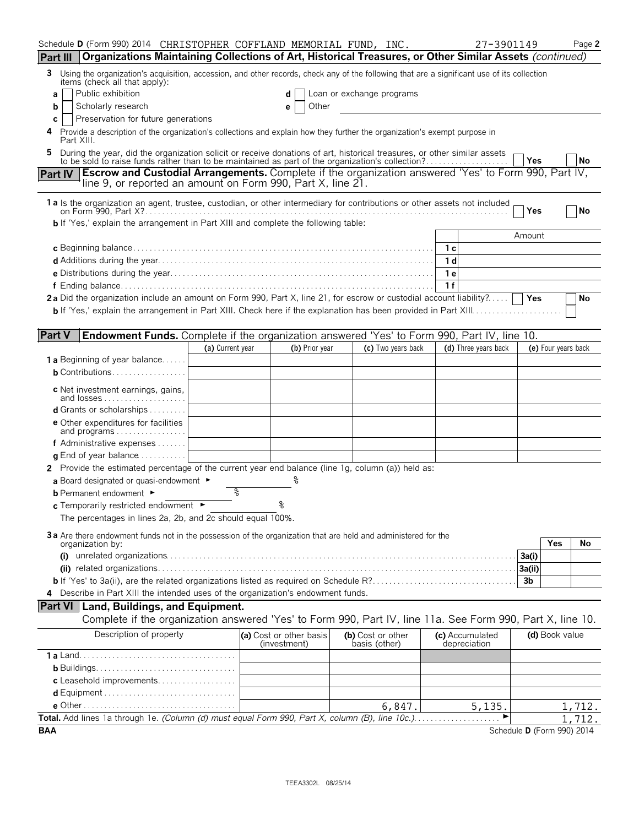| Schedule D (Form 990) 2014 CHRISTOPHER COFFLAND MEMORIAL FUND, INC.                                                                                                                                                       |                  |                                         |                                    | 27-3901149                      |                            | Page 2 |
|---------------------------------------------------------------------------------------------------------------------------------------------------------------------------------------------------------------------------|------------------|-----------------------------------------|------------------------------------|---------------------------------|----------------------------|--------|
| Organizations Maintaining Collections of Art, Historical Treasures, or Other Similar Assets (continued)<br><b>Part III</b>                                                                                                |                  |                                         |                                    |                                 |                            |        |
| Using the organization's acquisition, accession, and other records, check any of the following that are a significant use of its collection<br>3<br>items (check all that apply):                                         |                  |                                         |                                    |                                 |                            |        |
| Public exhibition<br>a                                                                                                                                                                                                    |                  | d                                       | Loan or exchange programs          |                                 |                            |        |
| Scholarly research<br>b                                                                                                                                                                                                   |                  | Other<br>е                              |                                    |                                 |                            |        |
| Preservation for future generations<br>С<br>Provide a description of the organization's collections and explain how they further the organization's exempt purpose in<br>Part XIII.                                       |                  |                                         |                                    |                                 |                            |        |
| During the year, did the organization solicit or receive donations of art, historical treasures, or other similar assets to be sold to raise funds rather than to be maintained as part of the organization's collection? |                  |                                         |                                    |                                 |                            |        |
| Escrow and Custodial Arrangements. Complete if the organization answered 'Yes' to Form 990, Part IV,<br><b>Part IV</b>                                                                                                    |                  |                                         |                                    |                                 | Yes                        | No     |
| line 9, or reported an amount on Form 990, Part X, line 21.                                                                                                                                                               |                  |                                         |                                    |                                 |                            |        |
| 1a Is the organization an agent, trustee, custodian, or other intermediary for contributions or other assets not included                                                                                                 |                  |                                         |                                    |                                 |                            |        |
|                                                                                                                                                                                                                           |                  |                                         |                                    |                                 | Yes                        | l No   |
| <b>b</b> If 'Yes,' explain the arrangement in Part XIII and complete the following table:                                                                                                                                 |                  |                                         |                                    |                                 |                            |        |
|                                                                                                                                                                                                                           |                  |                                         |                                    | 1 с                             | Amount                     |        |
|                                                                                                                                                                                                                           |                  |                                         |                                    | 1 d                             |                            |        |
|                                                                                                                                                                                                                           |                  |                                         |                                    | 1 e                             |                            |        |
|                                                                                                                                                                                                                           |                  |                                         |                                    | 1f                              |                            |        |
| 2a Did the organization include an amount on Form 990, Part X, line 21, for escrow or custodial account liability?                                                                                                        |                  |                                         |                                    |                                 | Yes                        | No     |
| <b>b</b> If 'Yes,' explain the arrangement in Part XIII. Check here if the explanation has been provided in Part XIII                                                                                                     |                  |                                         |                                    |                                 |                            |        |
|                                                                                                                                                                                                                           |                  |                                         |                                    |                                 |                            |        |
| <b>Part V</b><br><b>Endowment Funds.</b> Complete if the organization answered 'Yes' to Form 990, Part IV, line 10.                                                                                                       | (a) Current year | (b) Prior year                          | (c) Two years back                 | (d) Three years back            | (e) Four years back        |        |
| <b>1 a</b> Beginning of year balance                                                                                                                                                                                      |                  |                                         |                                    |                                 |                            |        |
| <b>b</b> Contributions                                                                                                                                                                                                    |                  |                                         |                                    |                                 |                            |        |
| c Net investment earnings, gains,                                                                                                                                                                                         |                  |                                         |                                    |                                 |                            |        |
| and losses                                                                                                                                                                                                                |                  |                                         |                                    |                                 |                            |        |
| <b>d</b> Grants or scholarships $\ldots$                                                                                                                                                                                  |                  |                                         |                                    |                                 |                            |        |
| <b>e</b> Other expenditures for facilities<br>and programs                                                                                                                                                                |                  |                                         |                                    |                                 |                            |        |
| f Administrative expenses $\dots \dots$                                                                                                                                                                                   |                  |                                         |                                    |                                 |                            |        |
| <b>q</b> End of year balance $\dots\dots\dots\dots$                                                                                                                                                                       |                  |                                         |                                    |                                 |                            |        |
| 2 Provide the estimated percentage of the current year end balance (line 1g, column (a)) held as:                                                                                                                         |                  |                                         |                                    |                                 |                            |        |
| a Board designated or quasi-endowment $\blacktriangleright$                                                                                                                                                               | १९               |                                         |                                    |                                 |                            |        |
| <b>b</b> Permanent endowment ►<br>c Temporarily restricted endowment ►                                                                                                                                                    |                  | ٥                                       |                                    |                                 |                            |        |
| The percentages in lines 2a, 2b, and 2c should equal 100%.                                                                                                                                                                |                  |                                         |                                    |                                 |                            |        |
|                                                                                                                                                                                                                           |                  |                                         |                                    |                                 |                            |        |
| 3a Are there endowment funds not in the possession of the organization that are held and administered for the<br>organization by:                                                                                         |                  |                                         |                                    |                                 | Yes                        | No     |
|                                                                                                                                                                                                                           |                  |                                         |                                    |                                 | 3a(i)                      |        |
|                                                                                                                                                                                                                           |                  |                                         |                                    |                                 | 3a(ii)                     |        |
|                                                                                                                                                                                                                           |                  |                                         |                                    |                                 | 3b                         |        |
| 4 Describe in Part XIII the intended uses of the organization's endowment funds.                                                                                                                                          |                  |                                         |                                    |                                 |                            |        |
| <b>Part VI</b> Land, Buildings, and Equipment.                                                                                                                                                                            |                  |                                         |                                    |                                 |                            |        |
| Complete if the organization answered 'Yes' to Form 990, Part IV, line 11a. See Form 990, Part X, line 10.                                                                                                                |                  |                                         |                                    |                                 |                            |        |
| Description of property                                                                                                                                                                                                   |                  | (a) Cost or other basis<br>(investment) | (b) Cost or other<br>basis (other) | (c) Accumulated<br>depreciation | (d) Book value             |        |
|                                                                                                                                                                                                                           |                  |                                         |                                    |                                 |                            |        |
|                                                                                                                                                                                                                           |                  |                                         |                                    |                                 |                            |        |
| c Leasehold improvements                                                                                                                                                                                                  |                  |                                         |                                    |                                 |                            |        |
|                                                                                                                                                                                                                           |                  |                                         | 6,847.                             | 5,135.                          |                            | 1,712. |
|                                                                                                                                                                                                                           |                  |                                         |                                    |                                 |                            | 1,712. |
| <b>BAA</b>                                                                                                                                                                                                                |                  |                                         |                                    |                                 | Schedule D (Form 990) 2014 |        |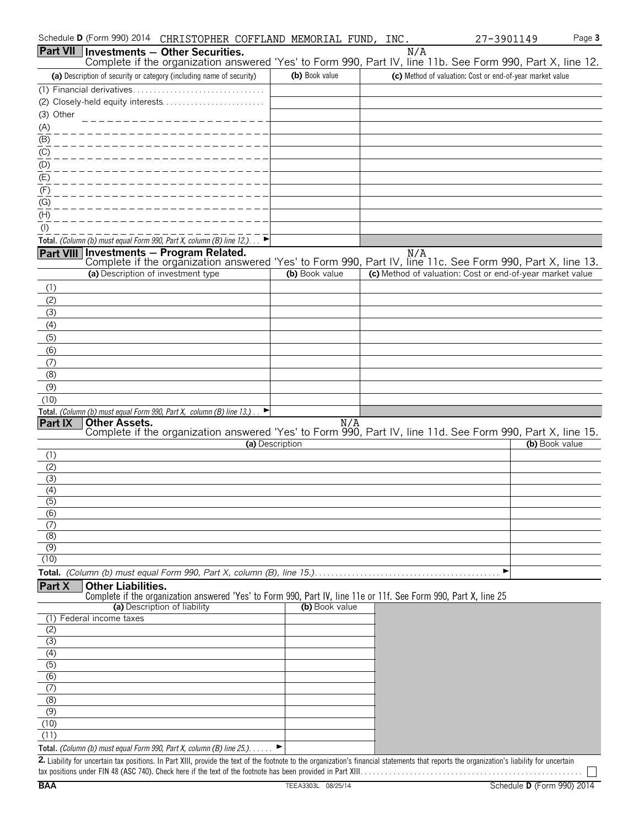|                                    | Schedule D (Form 990) 2014<br>CHRISTOPHER COFFLAND MEMORIAL FUND, INC.                                                                                                                      |                 |     | 27-3901149                                                | Page 3 |
|------------------------------------|---------------------------------------------------------------------------------------------------------------------------------------------------------------------------------------------|-----------------|-----|-----------------------------------------------------------|--------|
|                                    | <b>Part VII Investments - Other Securities.</b>                                                                                                                                             |                 | N/A |                                                           |        |
|                                    | Complete if the organization answered 'Yes' to Form 990, Part IV, line 11b. See Form 990, Part X, line 12.<br>(a) Description of security or category (including name of security)          | (b) Book value  |     | (c) Method of valuation: Cost or end-of-year market value |        |
|                                    |                                                                                                                                                                                             |                 |     |                                                           |        |
|                                    |                                                                                                                                                                                             |                 |     |                                                           |        |
| (3) Other                          |                                                                                                                                                                                             |                 |     |                                                           |        |
| (A)                                | ___________________                                                                                                                                                                         |                 |     |                                                           |        |
| $\overline{(\mathsf{B})}$          |                                                                                                                                                                                             |                 |     |                                                           |        |
| (C)                                |                                                                                                                                                                                             |                 |     |                                                           |        |
| (D)                                |                                                                                                                                                                                             |                 |     |                                                           |        |
| $\overline{E}$<br>(F)              |                                                                                                                                                                                             |                 |     |                                                           |        |
| (G)                                |                                                                                                                                                                                             |                 |     |                                                           |        |
| (H)                                |                                                                                                                                                                                             |                 |     |                                                           |        |
| $($ l $)$                          |                                                                                                                                                                                             |                 |     |                                                           |        |
|                                    | Total. (Column (b) must equal Form 990, Part X, column (B) line 12.). $\Box$                                                                                                                |                 |     |                                                           |        |
|                                    | Part VIII Investments - Program Related.<br>Complete if the organization answered 'Yes' to Form 990, Part IV, line 11c. See Form 990, Part X, line 13.                                      |                 | N/A |                                                           |        |
|                                    | (a) Description of investment type                                                                                                                                                          | (b) Book value  |     | (c) Method of valuation: Cost or end-of-year market value |        |
| (1)                                |                                                                                                                                                                                             |                 |     |                                                           |        |
| (2)                                |                                                                                                                                                                                             |                 |     |                                                           |        |
| (3)                                |                                                                                                                                                                                             |                 |     |                                                           |        |
| (4)                                |                                                                                                                                                                                             |                 |     |                                                           |        |
| (5)<br>(6)                         |                                                                                                                                                                                             |                 |     |                                                           |        |
| (7)                                |                                                                                                                                                                                             |                 |     |                                                           |        |
| (8)                                |                                                                                                                                                                                             |                 |     |                                                           |        |
| (9)                                |                                                                                                                                                                                             |                 |     |                                                           |        |
| (10)                               |                                                                                                                                                                                             |                 |     |                                                           |        |
| Part IX                            | Total. (Column (b) must equal Form 990, Part X, column (B) line 13.) $\Box$<br><b>Other Assets.</b>                                                                                         | N/A             |     |                                                           |        |
|                                    | Complete if the organization answered 'Yes' to Form 990, Part IV, line 11d. See Form 990, Part X, line 15.                                                                                  |                 |     |                                                           |        |
|                                    |                                                                                                                                                                                             | (a) Description |     | (b) Book value                                            |        |
| (1)<br>(2)                         |                                                                                                                                                                                             |                 |     |                                                           |        |
| (3)                                |                                                                                                                                                                                             |                 |     |                                                           |        |
| (4)                                |                                                                                                                                                                                             |                 |     |                                                           |        |
| $\overline{(5)}$                   |                                                                                                                                                                                             |                 |     |                                                           |        |
| (6)<br>(7)                         |                                                                                                                                                                                             |                 |     |                                                           |        |
| (8)                                |                                                                                                                                                                                             |                 |     |                                                           |        |
| (9)                                |                                                                                                                                                                                             |                 |     |                                                           |        |
| (10)                               |                                                                                                                                                                                             |                 |     |                                                           |        |
|                                    |                                                                                                                                                                                             |                 |     | ▶                                                         |        |
| Part X                             | <b>Other Liabilities.</b><br>Complete if the organization answered 'Yes' to Form 990, Part IV, line 11e or 11f. See Form 990, Part X, line 25                                               |                 |     |                                                           |        |
|                                    | (a) Description of liability                                                                                                                                                                | (b) Book value  |     |                                                           |        |
| (1)                                | Federal income taxes                                                                                                                                                                        |                 |     |                                                           |        |
| (2)<br>(3)                         |                                                                                                                                                                                             |                 |     |                                                           |        |
| (4)                                |                                                                                                                                                                                             |                 |     |                                                           |        |
| (5)                                |                                                                                                                                                                                             |                 |     |                                                           |        |
| (6)                                |                                                                                                                                                                                             |                 |     |                                                           |        |
| $\overline{(\overline{7})}$<br>(8) |                                                                                                                                                                                             |                 |     |                                                           |        |
| (9)                                |                                                                                                                                                                                             |                 |     |                                                           |        |
| (10)                               |                                                                                                                                                                                             |                 |     |                                                           |        |
| (11)                               |                                                                                                                                                                                             |                 |     |                                                           |        |
|                                    | Total. (Column (b) must equal Form 990, Part X, column (B) line $25.$ ). $\blacktriangleright$                                                                                              |                 |     |                                                           |        |
|                                    | 2. Liability for uncertain tax positions. In Part XIII, provide the text of the footnote to the organization's financial statements that reports the organization's liability for uncertain |                 |     |                                                           |        |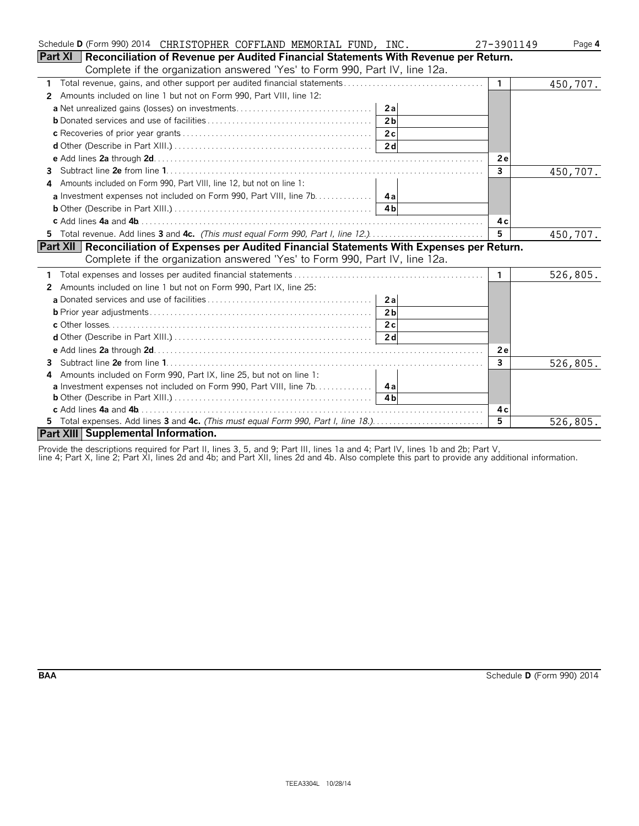| Schedule D (Form 990) 2014 CHRISTOPHER COFFLAND MEMORIAL FUND, INC.                                                           | 27-3901149   | Page 4   |
|-------------------------------------------------------------------------------------------------------------------------------|--------------|----------|
| Part XI   Reconciliation of Revenue per Audited Financial Statements With Revenue per Return.                                 |              |          |
| Complete if the organization answered 'Yes' to Form 990, Part IV, line 12a.                                                   |              |          |
| 1                                                                                                                             | $\mathbf{1}$ | 450,707. |
| Amounts included on line 1 but not on Form 990, Part VIII, line 12:<br>2                                                      |              |          |
|                                                                                                                               |              |          |
| 2 <sub>b</sub>                                                                                                                |              |          |
| 2c                                                                                                                            |              |          |
| 2d                                                                                                                            |              |          |
|                                                                                                                               | 2e           |          |
|                                                                                                                               | 3            | 450,707. |
| Amounts included on Form 990, Part VIII, line 12, but not on line 1:<br>4                                                     |              |          |
| a Investment expenses not included on Form 990, Part VIII, line 7b. 4a                                                        |              |          |
|                                                                                                                               |              |          |
|                                                                                                                               | 4 c          |          |
|                                                                                                                               | 5            | 450,707. |
| Part XII   Reconciliation of Expenses per Audited Financial Statements With Expenses per Return.                              |              |          |
| Complete if the organization answered 'Yes' to Form 990, Part IV, line 12a.                                                   |              |          |
|                                                                                                                               | $\mathbf{1}$ | 526,805. |
| Amounts included on line 1 but not on Form 990, Part IX, line 25:<br>2                                                        |              |          |
| 2a                                                                                                                            |              |          |
| 2 <sub>b</sub>                                                                                                                |              |          |
| 2c                                                                                                                            |              |          |
|                                                                                                                               |              |          |
|                                                                                                                               | 2e           |          |
|                                                                                                                               | $\mathbf{3}$ | 526,805. |
| Amounts included on Form 990, Part IX, line 25, but not on line 1:<br>4                                                       |              |          |
| a Investment expenses not included on Form 990, Part VIII, line 7b.   4a                                                      |              |          |
| <b>b</b> Other (Describe in Part XIII.) $\ldots \ldots \ldots \ldots \ldots \ldots \ldots \ldots \ldots \ldots \ldots \ldots$ |              |          |
|                                                                                                                               | 4 c          |          |
| 5 Total expenses. Add lines 3 and 4c. (This must equal Form 990, Part I, line 18.)                                            | 5            | 526,805. |
| Part XIII Supplemental Information.                                                                                           |              |          |

Provide the descriptions required for Part II, lines 3, 5, and 9; Part III, lines 1a and 4; Part IV, lines 1b and 2b; Part V,

line 4; Part X, line 2; Part XI, lines 2d and 4b; and Part XII, lines 2d and 4b. Also complete this part to provide any additional information.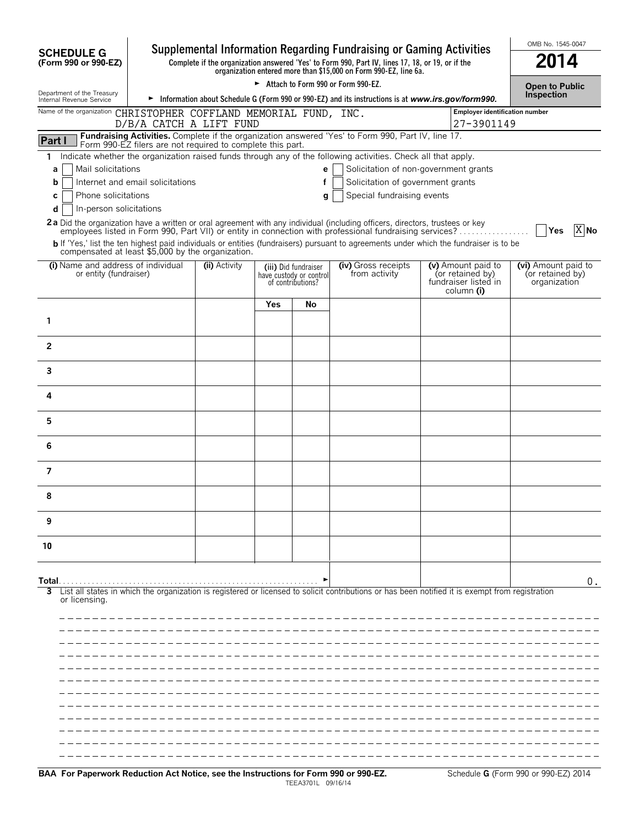|                                                                                              | OMB No. 1545-0047                                          |               |            |                                              |                                                                                                                                                                                                                                             |                                        |                                         |  |  |
|----------------------------------------------------------------------------------------------|------------------------------------------------------------|---------------|------------|----------------------------------------------|---------------------------------------------------------------------------------------------------------------------------------------------------------------------------------------------------------------------------------------------|----------------------------------------|-----------------------------------------|--|--|
| <b>SCHEDULE G</b><br>(Form 990 or 990-EZ)                                                    |                                                            |               |            |                                              | Supplemental Information Regarding Fundraising or Gaming Activities<br>Complete if the organization answered 'Yes' to Form 990, Part IV, lines 17, 18, or 19, or if the<br>organization entered more than \$15,000 on Form 990-EZ, line 6a. |                                        | 2014                                    |  |  |
|                                                                                              | Attach to Form 990 or Form 990-EZ.                         |               |            |                                              |                                                                                                                                                                                                                                             |                                        |                                         |  |  |
| Department of the Treasury<br>Internal Revenue Service                                       |                                                            |               |            |                                              | Information about Schedule G (Form 990 or 990-EZ) and its instructions is at www.irs.gov/form990.                                                                                                                                           |                                        | <b>Inspection</b>                       |  |  |
| Name of the organization CHRISTOPHER COFFLAND MEMORIAL FUND, INC.<br>D/B/A CATCH A LIFT FUND | <b>Employer identification number</b><br>27-3901149        |               |            |                                              |                                                                                                                                                                                                                                             |                                        |                                         |  |  |
| Part I                                                                                       | Form 990-EZ filers are not required to complete this part. |               |            |                                              | Fundraising Activities. Complete if the organization answered 'Yes' to Form 990, Part IV, line 17.                                                                                                                                          |                                        |                                         |  |  |
| 1                                                                                            |                                                            |               |            |                                              | Indicate whether the organization raised funds through any of the following activities. Check all that apply.                                                                                                                               |                                        |                                         |  |  |
| Mail solicitations<br>a                                                                      |                                                            |               |            | e                                            | Solicitation of non-government grants                                                                                                                                                                                                       |                                        |                                         |  |  |
| b                                                                                            | Internet and email solicitations                           |               |            | f                                            | Solicitation of government grants                                                                                                                                                                                                           |                                        |                                         |  |  |
| Phone solicitations<br>C                                                                     |                                                            |               |            | g                                            | Special fundraising events                                                                                                                                                                                                                  |                                        |                                         |  |  |
| In-person solicitations<br>d                                                                 |                                                            |               |            |                                              |                                                                                                                                                                                                                                             |                                        |                                         |  |  |
|                                                                                              |                                                            |               |            |                                              | 2a Did the organization have a written or oral agreement with any individual (including officers, directors, trustees or key<br>employees listed in Form 990, Part VII) or entity in connection with professional fundraising services?     |                                        | $X$ No<br>  Yes                         |  |  |
| compensated at least \$5,000 by the organization.                                            |                                                            |               |            |                                              | b If 'Yes,' list the ten highest paid individuals or entities (fundraisers) pursuant to agreements under which the fundraiser is to be                                                                                                      |                                        |                                         |  |  |
| (i) Name and address of individual<br>or entity (fundraiser)                                 |                                                            | (ii) Activity |            | (iii) Did fundraiser                         | (iv) Gross receipts<br>from activity                                                                                                                                                                                                        | (v) Amount paid to<br>(or retained by) | (vi) Amount paid to<br>(or retained by) |  |  |
|                                                                                              |                                                            |               |            | have custody or control<br>of contributions? |                                                                                                                                                                                                                                             | fundraiser listed in<br>column (i)     | organization                            |  |  |
|                                                                                              |                                                            |               | <b>Yes</b> | Νo                                           |                                                                                                                                                                                                                                             |                                        |                                         |  |  |
| 1                                                                                            |                                                            |               |            |                                              |                                                                                                                                                                                                                                             |                                        |                                         |  |  |
| $\overline{2}$                                                                               |                                                            |               |            |                                              |                                                                                                                                                                                                                                             |                                        |                                         |  |  |
| 3                                                                                            |                                                            |               |            |                                              |                                                                                                                                                                                                                                             |                                        |                                         |  |  |
| 4                                                                                            |                                                            |               |            |                                              |                                                                                                                                                                                                                                             |                                        |                                         |  |  |
| 5                                                                                            |                                                            |               |            |                                              |                                                                                                                                                                                                                                             |                                        |                                         |  |  |
| 6                                                                                            |                                                            |               |            |                                              |                                                                                                                                                                                                                                             |                                        |                                         |  |  |
| $\overline{7}$                                                                               |                                                            |               |            |                                              |                                                                                                                                                                                                                                             |                                        |                                         |  |  |
| 8                                                                                            |                                                            |               |            |                                              |                                                                                                                                                                                                                                             |                                        |                                         |  |  |
| 9                                                                                            |                                                            |               |            |                                              |                                                                                                                                                                                                                                             |                                        |                                         |  |  |
| 10                                                                                           |                                                            |               |            |                                              |                                                                                                                                                                                                                                             |                                        |                                         |  |  |
|                                                                                              |                                                            |               |            |                                              |                                                                                                                                                                                                                                             |                                        |                                         |  |  |
| Total                                                                                        |                                                            |               |            |                                              | List all states in which the organization is registered or licensed to solicit contributions or has been notified it is exempt from registration                                                                                            |                                        | 0.                                      |  |  |
| or licensing.                                                                                |                                                            |               |            |                                              |                                                                                                                                                                                                                                             |                                        |                                         |  |  |
|                                                                                              |                                                            |               |            |                                              |                                                                                                                                                                                                                                             |                                        |                                         |  |  |
|                                                                                              |                                                            |               |            |                                              |                                                                                                                                                                                                                                             |                                        |                                         |  |  |
|                                                                                              |                                                            |               |            |                                              |                                                                                                                                                                                                                                             |                                        |                                         |  |  |
|                                                                                              |                                                            |               |            |                                              |                                                                                                                                                                                                                                             |                                        |                                         |  |  |
|                                                                                              |                                                            |               |            |                                              |                                                                                                                                                                                                                                             |                                        |                                         |  |  |
|                                                                                              |                                                            |               |            |                                              |                                                                                                                                                                                                                                             |                                        |                                         |  |  |
|                                                                                              |                                                            |               |            |                                              |                                                                                                                                                                                                                                             |                                        |                                         |  |  |
|                                                                                              |                                                            |               |            |                                              |                                                                                                                                                                                                                                             |                                        |                                         |  |  |
|                                                                                              |                                                            |               |            |                                              |                                                                                                                                                                                                                                             |                                        |                                         |  |  |
|                                                                                              |                                                            |               |            |                                              |                                                                                                                                                                                                                                             |                                        |                                         |  |  |
|                                                                                              |                                                            |               |            |                                              |                                                                                                                                                                                                                                             |                                        |                                         |  |  |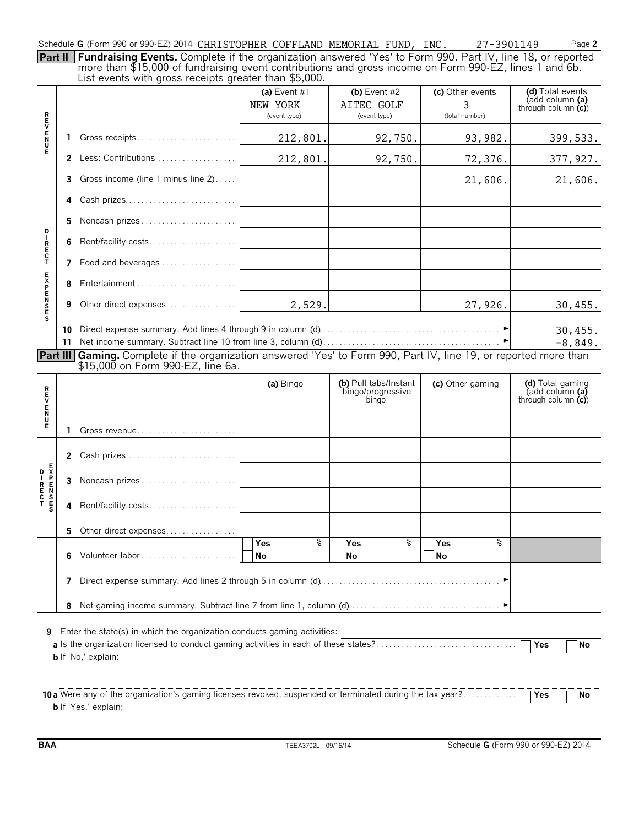| Schedule G (Form 990 or 990-EZ) 2014 CHRISTOPHER COFFLAND MEMORIAL FUND, |  |  | INC. | 27-3901149 | $P$ age $\geq$ |
|--------------------------------------------------------------------------|--|--|------|------------|----------------|
|                                                                          |  |  |      |            |                |

**Part II Fundraising Events.** Complete if the organization answered 'Yes' to Form 990, Part IV, line 18, or reported more than \$15,000 of fundraising event contributions and gross income on Form 990-EZ, lines 1 and 6b. List events with gross receipts greater than \$5,000.

|                 |                                          | LIST OVONIS WITH GLOSS TOOCIDIS GLOBIOL THAN \$9,000.                                                                                                  | (a) Event $#1$<br>NEW YORK<br>(event type) | (b) Event $#2$<br>AITEC GOLF<br>(event type)        | (c) Other events<br>3<br>(total number) | (d) Total events<br>(add column (a)<br>through column $(c)$ |  |  |  |  |
|-----------------|------------------------------------------|--------------------------------------------------------------------------------------------------------------------------------------------------------|--------------------------------------------|-----------------------------------------------------|-----------------------------------------|-------------------------------------------------------------|--|--|--|--|
| トロンドラス          | 1.                                       | Gross receipts                                                                                                                                         | 212,801.                                   | 92,750.                                             | 93,982.                                 | 399,533.                                                    |  |  |  |  |
|                 | 2                                        | Less: Contributions                                                                                                                                    | 212,801.                                   | 92,750.                                             | 72,376.                                 | 377,927.                                                    |  |  |  |  |
|                 | 3                                        | Gross income (line 1 minus line 2)                                                                                                                     |                                            |                                                     | 21,606.                                 | 21,606.                                                     |  |  |  |  |
|                 | 4                                        | Cash prizes                                                                                                                                            |                                            |                                                     |                                         |                                                             |  |  |  |  |
| D               | 5.                                       | Noncash prizes                                                                                                                                         |                                            |                                                     |                                         |                                                             |  |  |  |  |
| IRECT           | 6                                        | Rent/facility costs                                                                                                                                    |                                            |                                                     |                                         |                                                             |  |  |  |  |
|                 | 7                                        | Food and beverages                                                                                                                                     |                                            |                                                     |                                         |                                                             |  |  |  |  |
|                 | 8                                        |                                                                                                                                                        |                                            |                                                     |                                         |                                                             |  |  |  |  |
| <b>EXPENSES</b> | 9                                        | Other direct expenses                                                                                                                                  | 2,529.                                     |                                                     | 27,926.                                 | 30,455.                                                     |  |  |  |  |
|                 | 10                                       |                                                                                                                                                        |                                            |                                                     |                                         | 30,455.                                                     |  |  |  |  |
|                 | 11                                       |                                                                                                                                                        |                                            |                                                     |                                         | $-8,849.$                                                   |  |  |  |  |
|                 |                                          | Part III Gaming. Complete if the organization answered 'Yes' to Form 990, Part IV, line 19, or reported more than<br>\$15,000 on Form 990-EZ, line 6a. |                                            |                                                     |                                         |                                                             |  |  |  |  |
| ロマロスロ           |                                          |                                                                                                                                                        | (a) Bingo                                  | (b) Pull tabs/Instant<br>bingo/progressive<br>bingo | (c) Other gaming                        | (d) Total gaming<br>(add column (a)<br>through column $(c)$ |  |  |  |  |
| Ē               | 1                                        |                                                                                                                                                        |                                            |                                                     |                                         |                                                             |  |  |  |  |
|                 | 2                                        | Cash prizes                                                                                                                                            |                                            |                                                     |                                         |                                                             |  |  |  |  |
|                 | 3                                        | Noncash prizes                                                                                                                                         |                                            |                                                     |                                         |                                                             |  |  |  |  |
|                 | 4                                        | Rent/facility costs                                                                                                                                    |                                            |                                                     |                                         |                                                             |  |  |  |  |
|                 | 5.                                       | Other direct expenses                                                                                                                                  |                                            |                                                     |                                         |                                                             |  |  |  |  |
|                 | 6                                        |                                                                                                                                                        | နွ<br>Yes<br><b>No</b>                     | နွ<br>Yes<br>No                                     | န္<br>Yes<br><b>No</b>                  |                                                             |  |  |  |  |
|                 | 7                                        |                                                                                                                                                        |                                            |                                                     |                                         |                                                             |  |  |  |  |
|                 | 8                                        |                                                                                                                                                        |                                            |                                                     |                                         |                                                             |  |  |  |  |
| 9               |                                          | Enter the state(s) in which the organization conducts gaming activities:<br><b>b</b> If 'No,' explain:                                                 |                                            |                                                     |                                         | No                                                          |  |  |  |  |
|                 | <b>No</b><br><b>b</b> If 'Yes,' explain: |                                                                                                                                                        |                                            |                                                     |                                         |                                                             |  |  |  |  |

**BAA** TEEA3702L 09/16/14 Schedule **G** (Form 990 or 990-EZ) 2014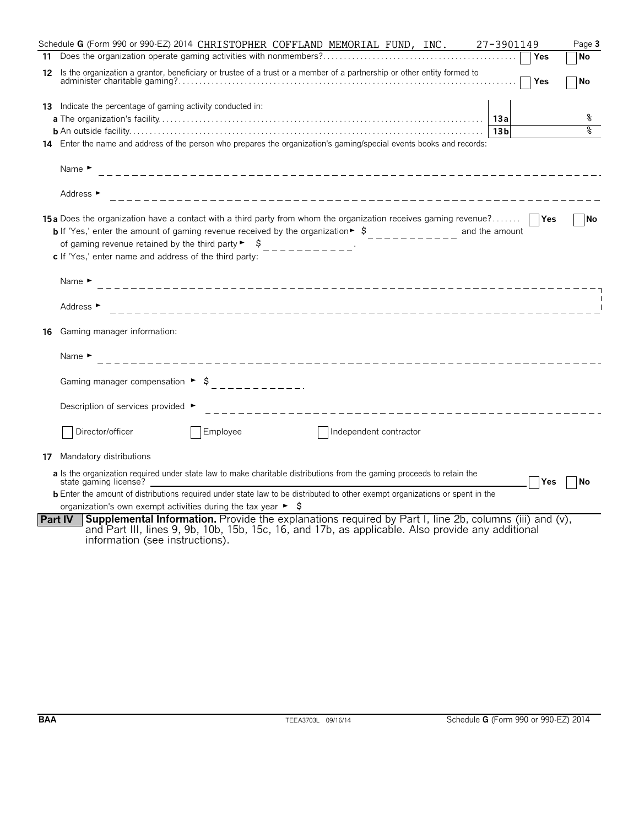|    | Schedule <b>G</b> (Form 990 or 990-EZ) 2014 CHRISTOPHER COFFLAND MEMORIAL FUND, INC.<br>27-3901149                                                                                                                                                                                                                                                                                           | Page 3    |
|----|----------------------------------------------------------------------------------------------------------------------------------------------------------------------------------------------------------------------------------------------------------------------------------------------------------------------------------------------------------------------------------------------|-----------|
|    | Yes                                                                                                                                                                                                                                                                                                                                                                                          | <b>No</b> |
|    | 12 Is the organization a grantor, beneficiary or trustee of a trust or a member of a partnership or other entity formed to<br>Yes                                                                                                                                                                                                                                                            | No        |
|    | 13 Indicate the percentage of gaming activity conducted in:                                                                                                                                                                                                                                                                                                                                  |           |
|    |                                                                                                                                                                                                                                                                                                                                                                                              |           |
|    | 13 <sub>b</sub>                                                                                                                                                                                                                                                                                                                                                                              | ৡ         |
|    | 14 Enter the name and address of the person who prepares the organization's gaming/special events books and records:                                                                                                                                                                                                                                                                         |           |
|    | Name $\blacktriangleright$                                                                                                                                                                                                                                                                                                                                                                   |           |
|    | Address $\blacktriangleright$                                                                                                                                                                                                                                                                                                                                                                |           |
|    | 15a Does the organization have a contact with a third party from whom the organization receives gaming revenue?<br><b>b</b> If 'Yes,' enter the amount of gaming revenue received by the organization $\frac{1}{2}$<br>and the amount<br>of gaming revenue retained by the third party $\blacktriangleright$ $\blacktriangleright$<br>c If 'Yes,' enter name and address of the third party: | No        |
|    | Name $\blacktriangleright$                                                                                                                                                                                                                                                                                                                                                                   |           |
|    | Address ►                                                                                                                                                                                                                                                                                                                                                                                    |           |
| 16 | Gaming manager information:                                                                                                                                                                                                                                                                                                                                                                  |           |
|    | Name $\blacktriangleright$                                                                                                                                                                                                                                                                                                                                                                   |           |
|    | Gaming manager compensation $\triangleright$ \$ __________.                                                                                                                                                                                                                                                                                                                                  |           |
|    | Description of services provided ►<br>____________________________________                                                                                                                                                                                                                                                                                                                   |           |
|    | Director/officer<br>Employee<br>Independent contractor                                                                                                                                                                                                                                                                                                                                       |           |
| 17 | Mandatory distributions                                                                                                                                                                                                                                                                                                                                                                      |           |
|    | a Is the organization required under state law to make charitable distributions from the gaming proceeds to retain the<br>state gaming license?<br>Yes                                                                                                                                                                                                                                       | No        |
|    | <b>b</b> Enter the amount of distributions required under state law to be distributed to other exempt organizations or spent in the                                                                                                                                                                                                                                                          |           |
|    | organization's own exempt activities during the tax year $\blacktriangleright$ \$                                                                                                                                                                                                                                                                                                            |           |
|    | Supplemental Information. Provide the explanations required by Part I, line 2b, columns (iii) and (v),<br><b>Part IV</b><br>and Part III, lines 9, 9b, 10b, 15b, 15c, 16, and 17b, as applicable. Also provide any additional<br>information (see instructions).                                                                                                                             |           |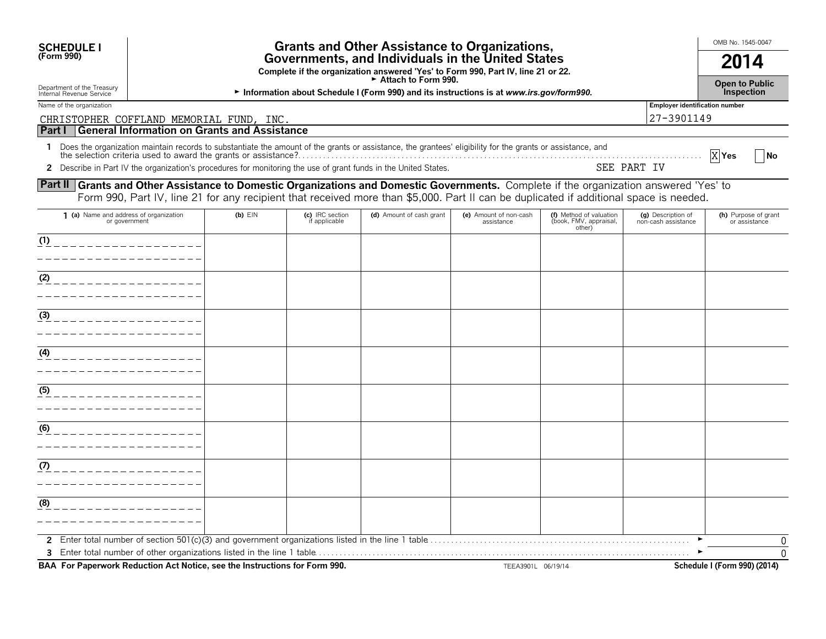| <b>SCHEDULE I</b><br>(Form 990)                                                                                                               | <b>Grants and Other Assistance to Organizations,</b><br>Governments, and Individuals in the United States<br>Complete if the organization answered 'Yes' to Form 990, Part IV, line 21 or 22. |                                                                                                                  |                                  |                                                                                                                                                                                                                                                                                 |                                      |                                                             |                                              |                                          |  |  |  |
|-----------------------------------------------------------------------------------------------------------------------------------------------|-----------------------------------------------------------------------------------------------------------------------------------------------------------------------------------------------|------------------------------------------------------------------------------------------------------------------|----------------------------------|---------------------------------------------------------------------------------------------------------------------------------------------------------------------------------------------------------------------------------------------------------------------------------|--------------------------------------|-------------------------------------------------------------|----------------------------------------------|------------------------------------------|--|--|--|
| Department of the Treasury<br>Internal Revenue Service                                                                                        |                                                                                                                                                                                               | ► Attach to Form 990.<br>Information about Schedule I (Form 990) and its instructions is at www.irs.gov/form990. |                                  |                                                                                                                                                                                                                                                                                 |                                      |                                                             |                                              |                                          |  |  |  |
| Name of the organization<br>CHRISTOPHER COFFLAND MEMORIAL FUND, INC.                                                                          |                                                                                                                                                                                               |                                                                                                                  |                                  |                                                                                                                                                                                                                                                                                 |                                      |                                                             | Employer identification number<br>27-3901149 |                                          |  |  |  |
| Part I                                                                                                                                        |                                                                                                                                                                                               | <b>General Information on Grants and Assistance</b>                                                              |                                  |                                                                                                                                                                                                                                                                                 |                                      |                                                             |                                              |                                          |  |  |  |
|                                                                                                                                               |                                                                                                                                                                                               |                                                                                                                  |                                  | 1 Does the organization maintain records to substantiate the amount of the grants or assistance, the grantees' eligibility for the grants or assistance, and<br>2 Describe in Part IV the organization's procedures for monitoring the use of grant funds in the United States. |                                      |                                                             | SEE PART IV                                  | X Yes<br>$\overline{\phantom{a}}$ No     |  |  |  |
| <b>Part II Grants and Other Assistance to Domestic Organizations and Domestic Governments.</b> Complete if the organization answered 'Yes' to |                                                                                                                                                                                               |                                                                                                                  |                                  | Form 990, Part IV, line 21 for any recipient that received more than \$5,000. Part II can be duplicated if additional space is needed.                                                                                                                                          |                                      |                                                             |                                              |                                          |  |  |  |
| 1 (a) Name and address of organization<br>or government                                                                                       |                                                                                                                                                                                               | $(b)$ $EIN$                                                                                                      | (c) IRC section<br>if applicable | (d) Amount of cash grant                                                                                                                                                                                                                                                        | (e) Amount of non-cash<br>assistance | (f) Method of valuation<br>(book, FMV, appraisal,<br>other) | (g) Description of<br>non-cash assistance    | (h) Purpose of grant<br>or assistance    |  |  |  |
| (1)                                                                                                                                           |                                                                                                                                                                                               |                                                                                                                  |                                  |                                                                                                                                                                                                                                                                                 |                                      |                                                             |                                              |                                          |  |  |  |
| (2)                                                                                                                                           |                                                                                                                                                                                               |                                                                                                                  |                                  |                                                                                                                                                                                                                                                                                 |                                      |                                                             |                                              |                                          |  |  |  |
| (3)                                                                                                                                           |                                                                                                                                                                                               |                                                                                                                  |                                  |                                                                                                                                                                                                                                                                                 |                                      |                                                             |                                              |                                          |  |  |  |
|                                                                                                                                               |                                                                                                                                                                                               |                                                                                                                  |                                  |                                                                                                                                                                                                                                                                                 |                                      |                                                             |                                              |                                          |  |  |  |
| (4)                                                                                                                                           |                                                                                                                                                                                               |                                                                                                                  |                                  |                                                                                                                                                                                                                                                                                 |                                      |                                                             |                                              |                                          |  |  |  |
| (5)                                                                                                                                           |                                                                                                                                                                                               |                                                                                                                  |                                  |                                                                                                                                                                                                                                                                                 |                                      |                                                             |                                              |                                          |  |  |  |
| (6)                                                                                                                                           |                                                                                                                                                                                               |                                                                                                                  |                                  |                                                                                                                                                                                                                                                                                 |                                      |                                                             |                                              |                                          |  |  |  |
| (7)                                                                                                                                           |                                                                                                                                                                                               |                                                                                                                  |                                  |                                                                                                                                                                                                                                                                                 |                                      |                                                             |                                              |                                          |  |  |  |
| (8)                                                                                                                                           |                                                                                                                                                                                               |                                                                                                                  |                                  |                                                                                                                                                                                                                                                                                 |                                      |                                                             |                                              |                                          |  |  |  |
|                                                                                                                                               |                                                                                                                                                                                               |                                                                                                                  |                                  |                                                                                                                                                                                                                                                                                 |                                      |                                                             |                                              | 0                                        |  |  |  |
| BAA For Paperwork Reduction Act Notice, see the Instructions for Form 990.                                                                    |                                                                                                                                                                                               |                                                                                                                  |                                  |                                                                                                                                                                                                                                                                                 | TEEA3901L 06/19/14                   |                                                             |                                              | $\Omega$<br>Schedule I (Form 990) (2014) |  |  |  |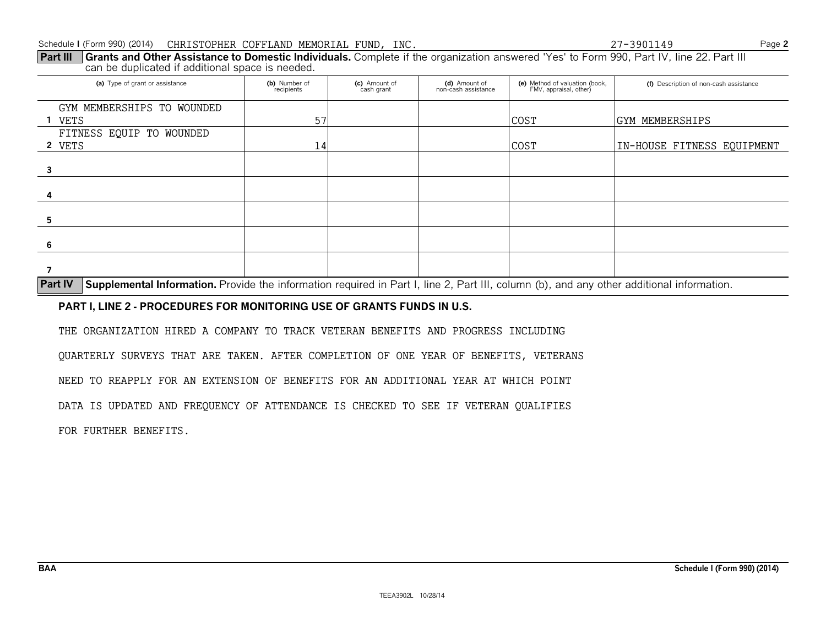**Part III** Grants and Other Assistance to Domestic Individuals. Complete if the organization answered 'Yes' to Form 990, Part IV, line 22. Part III can be duplicated if additional space is needed.

| (a) Type of grant or assistance | (b) Number of<br>recipients | (c) Amount of<br>cash grant | (d) Amount of<br>non-cash assistance | (e) Method of valuation (book,<br>FMV, appraisal, other) | (f) Description of non-cash assistance |
|---------------------------------|-----------------------------|-----------------------------|--------------------------------------|----------------------------------------------------------|----------------------------------------|
| GYM MEMBERSHIPS TO WOUNDED      |                             |                             |                                      |                                                          |                                        |
| VETS                            | 57                          |                             |                                      | <b>COST</b>                                              | <b>GYM MEMBERSHIPS</b>                 |
| FITNESS EQUIP TO WOUNDED        |                             |                             |                                      |                                                          |                                        |
| 2 VETS                          | 14                          |                             |                                      | <b>COST</b>                                              | IN-HOUSE FITNESS EQUIPMENT             |
|                                 |                             |                             |                                      |                                                          |                                        |
|                                 |                             |                             |                                      |                                                          |                                        |
|                                 |                             |                             |                                      |                                                          |                                        |
|                                 |                             |                             |                                      |                                                          |                                        |
|                                 |                             |                             |                                      |                                                          |                                        |
| 5                               |                             |                             |                                      |                                                          |                                        |
|                                 |                             |                             |                                      |                                                          |                                        |
| 6                               |                             |                             |                                      |                                                          |                                        |
|                                 |                             |                             |                                      |                                                          |                                        |
| .                               |                             |                             |                                      |                                                          |                                        |

**Part IV** Supplemental Information. Provide the information required in Part I, line 2, Part III, column (b), and any other additional information.

# **PART I, LINE 2 - PROCEDURES FOR MONITORING USE OF GRANTS FUNDS IN U.S.**

THE ORGANIZATION HIRED A COMPANY TO TRACK VETERAN BENEFITS AND PROGRESS INCLUDING

QUARTERLY SURVEYS THAT ARE TAKEN. AFTER COMPLETION OF ONE YEAR OF BENEFITS, VETERANS

NEED TO REAPPLY FOR AN EXTENSION OF BENEFITS FOR AN ADDITIONAL YEAR AT WHICH POINT

DATA IS UPDATED AND FREQUENCY OF ATTENDANCE IS CHECKED TO SEE IF VETERAN QUALIFIES

FOR FURTHER BENEFITS.